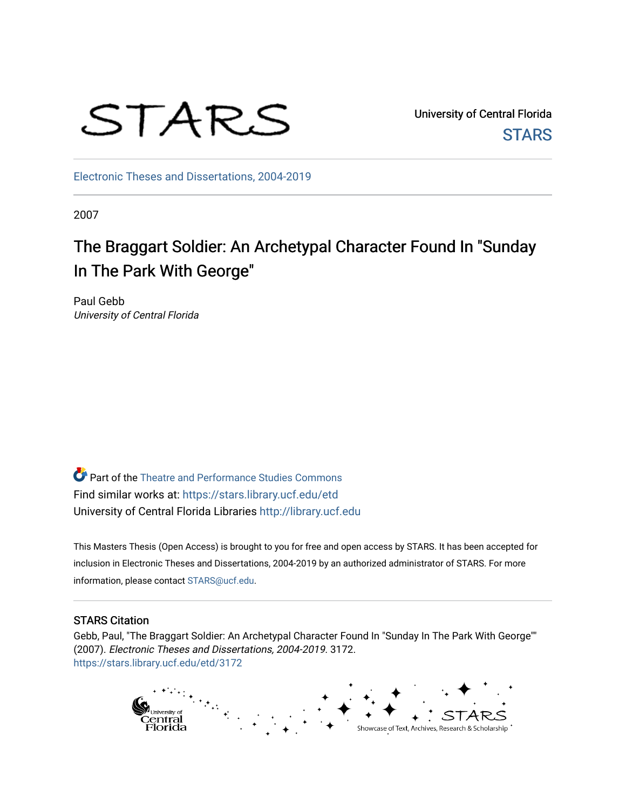

University of Central Florida **STARS** 

[Electronic Theses and Dissertations, 2004-2019](https://stars.library.ucf.edu/etd) 

2007

# The Braggart Soldier: An Archetypal Character Found In "Sunday In The Park With George"

Paul Gebb University of Central Florida

**P** Part of the Theatre and Performance Studies Commons Find similar works at: <https://stars.library.ucf.edu/etd> University of Central Florida Libraries [http://library.ucf.edu](http://library.ucf.edu/) 

This Masters Thesis (Open Access) is brought to you for free and open access by STARS. It has been accepted for inclusion in Electronic Theses and Dissertations, 2004-2019 by an authorized administrator of STARS. For more information, please contact [STARS@ucf.edu.](mailto:STARS@ucf.edu)

#### STARS Citation

Gebb, Paul, "The Braggart Soldier: An Archetypal Character Found In "Sunday In The Park With George"" (2007). Electronic Theses and Dissertations, 2004-2019. 3172. [https://stars.library.ucf.edu/etd/3172](https://stars.library.ucf.edu/etd/3172?utm_source=stars.library.ucf.edu%2Fetd%2F3172&utm_medium=PDF&utm_campaign=PDFCoverPages) 

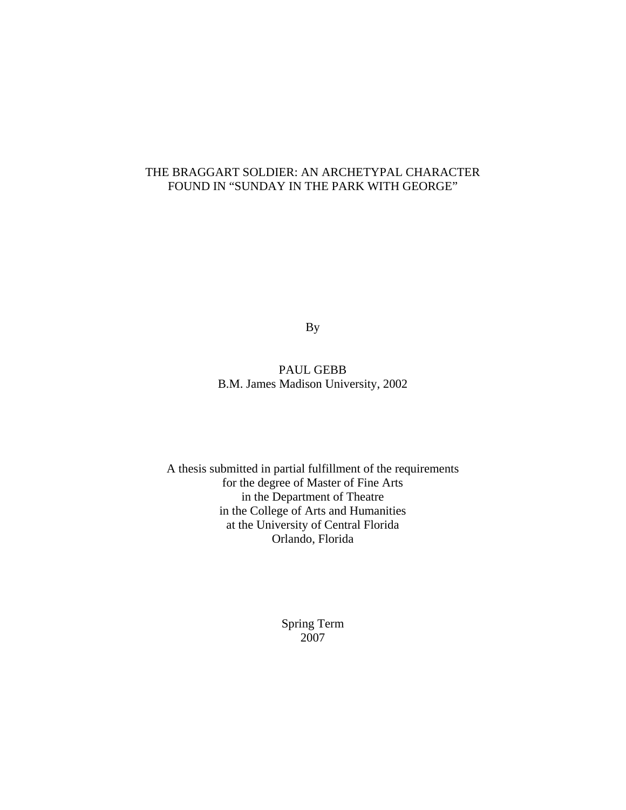#### THE BRAGGART SOLDIER: AN ARCHETYPAL CHARACTER FOUND IN "SUNDAY IN THE PARK WITH GEORGE"

By

## PAUL GEBB B.M. James Madison University, 2002

### A thesis submitted in partial fulfillment of the requirements for the degree of Master of Fine Arts in the Department of Theatre in the College of Arts and Humanities at the University of Central Florida Orlando, Florida

Spring Term 2007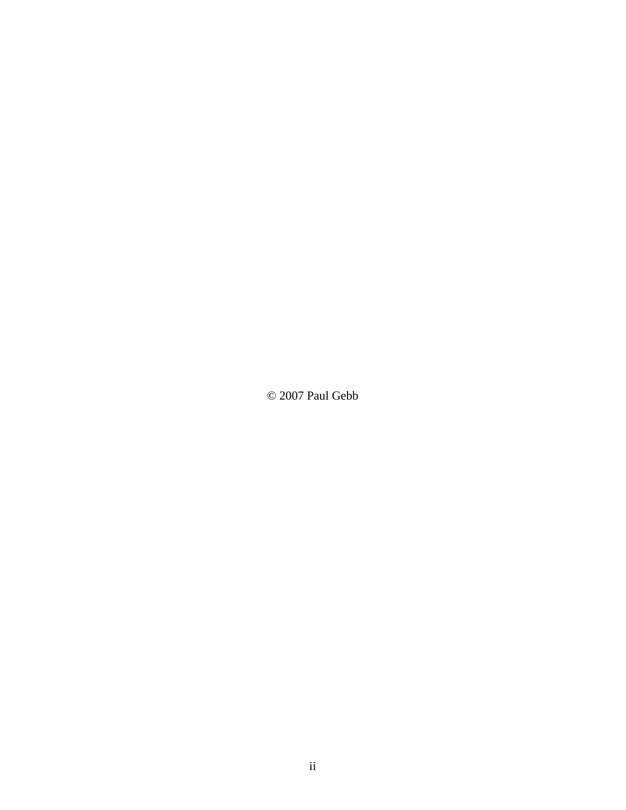© 2007 Paul Gebb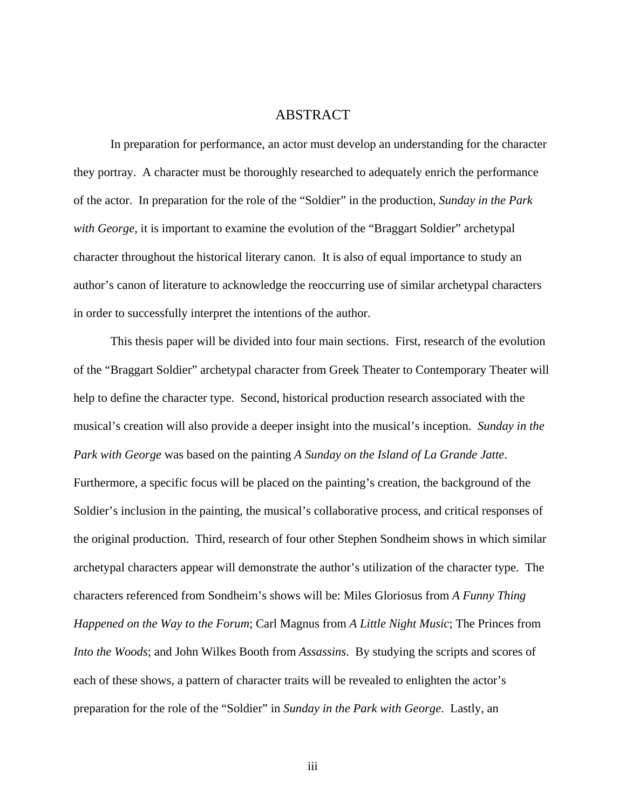### ABSTRACT

In preparation for performance, an actor must develop an understanding for the character they portray. A character must be thoroughly researched to adequately enrich the performance of the actor. In preparation for the role of the "Soldier" in the production, *Sunday in the Park with George*, it is important to examine the evolution of the "Braggart Soldier" archetypal character throughout the historical literary canon. It is also of equal importance to study an author's canon of literature to acknowledge the reoccurring use of similar archetypal characters in order to successfully interpret the intentions of the author.

This thesis paper will be divided into four main sections. First, research of the evolution of the "Braggart Soldier" archetypal character from Greek Theater to Contemporary Theater will help to define the character type. Second, historical production research associated with the musical's creation will also provide a deeper insight into the musical's inception. *Sunday in the Park with George* was based on the painting *A Sunday on the Island of La Grande Jatte*. Furthermore, a specific focus will be placed on the painting's creation, the background of the Soldier's inclusion in the painting, the musical's collaborative process, and critical responses of the original production. Third, research of four other Stephen Sondheim shows in which similar archetypal characters appear will demonstrate the author's utilization of the character type. The characters referenced from Sondheim's shows will be: Miles Gloriosus from *A Funny Thing Happened on the Way to the Forum*; Carl Magnus from *A Little Night Music*; The Princes from *Into the Woods*; and John Wilkes Booth from *Assassins*. By studying the scripts and scores of each of these shows, a pattern of character traits will be revealed to enlighten the actor's preparation for the role of the "Soldier" in *Sunday in the Park with George*. Lastly, an

iii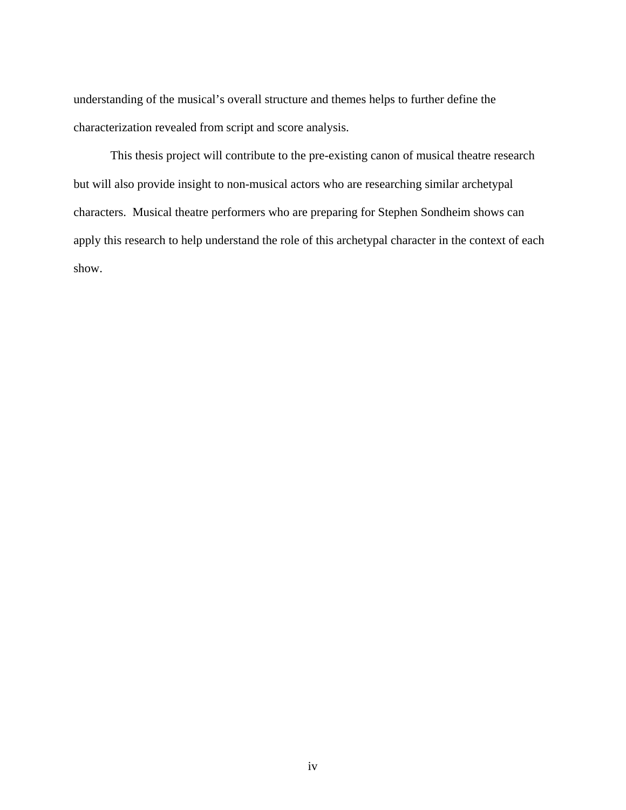understanding of the musical's overall structure and themes helps to further define the characterization revealed from script and score analysis.

This thesis project will contribute to the pre-existing canon of musical theatre research but will also provide insight to non-musical actors who are researching similar archetypal characters. Musical theatre performers who are preparing for Stephen Sondheim shows can apply this research to help understand the role of this archetypal character in the context of each show.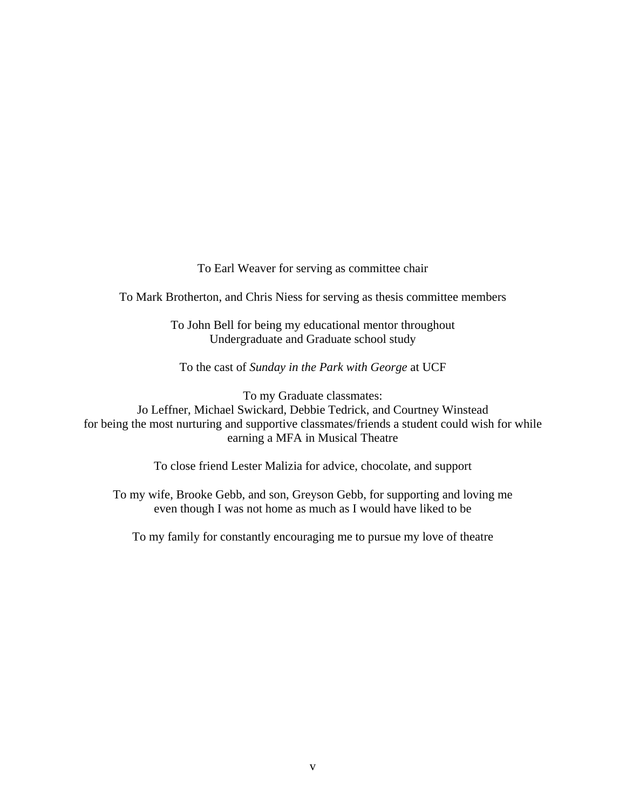To Earl Weaver for serving as committee chair

To Mark Brotherton, and Chris Niess for serving as thesis committee members

To John Bell for being my educational mentor throughout Undergraduate and Graduate school study

To the cast of *Sunday in the Park with George* at UCF

To my Graduate classmates: Jo Leffner, Michael Swickard, Debbie Tedrick, and Courtney Winstead for being the most nurturing and supportive classmates/friends a student could wish for while earning a MFA in Musical Theatre

To close friend Lester Malizia for advice, chocolate, and support

To my wife, Brooke Gebb, and son, Greyson Gebb, for supporting and loving me even though I was not home as much as I would have liked to be

To my family for constantly encouraging me to pursue my love of theatre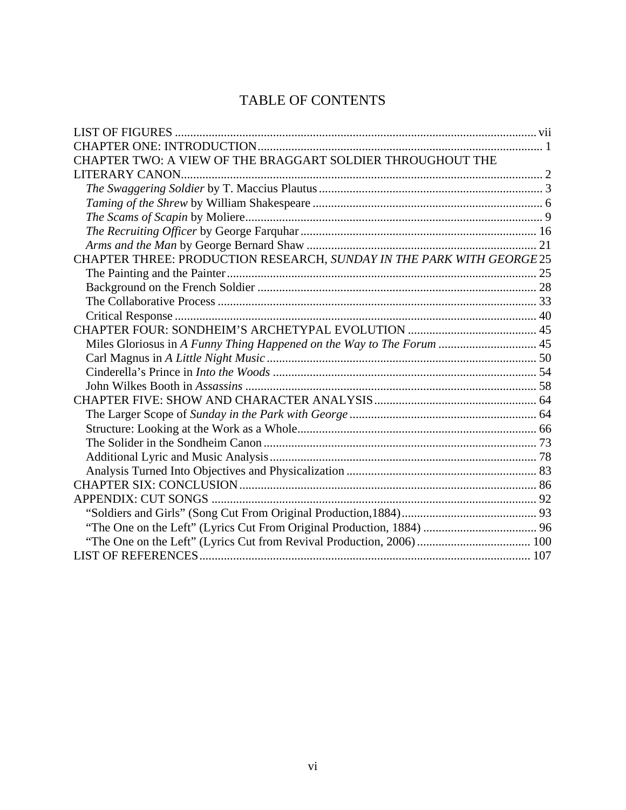## TABLE OF CONTENTS

| CHAPTER TWO: A VIEW OF THE BRAGGART SOLDIER THROUGHOUT THE            |  |
|-----------------------------------------------------------------------|--|
| LITERARY CANON                                                        |  |
|                                                                       |  |
|                                                                       |  |
|                                                                       |  |
|                                                                       |  |
|                                                                       |  |
| CHAPTER THREE: PRODUCTION RESEARCH, SUNDAY IN THE PARK WITH GEORGE 25 |  |
|                                                                       |  |
|                                                                       |  |
|                                                                       |  |
|                                                                       |  |
|                                                                       |  |
| Miles Gloriosus in A Funny Thing Happened on the Way to The Forum  45 |  |
|                                                                       |  |
|                                                                       |  |
|                                                                       |  |
|                                                                       |  |
|                                                                       |  |
|                                                                       |  |
|                                                                       |  |
|                                                                       |  |
|                                                                       |  |
|                                                                       |  |
|                                                                       |  |
|                                                                       |  |
|                                                                       |  |
|                                                                       |  |
|                                                                       |  |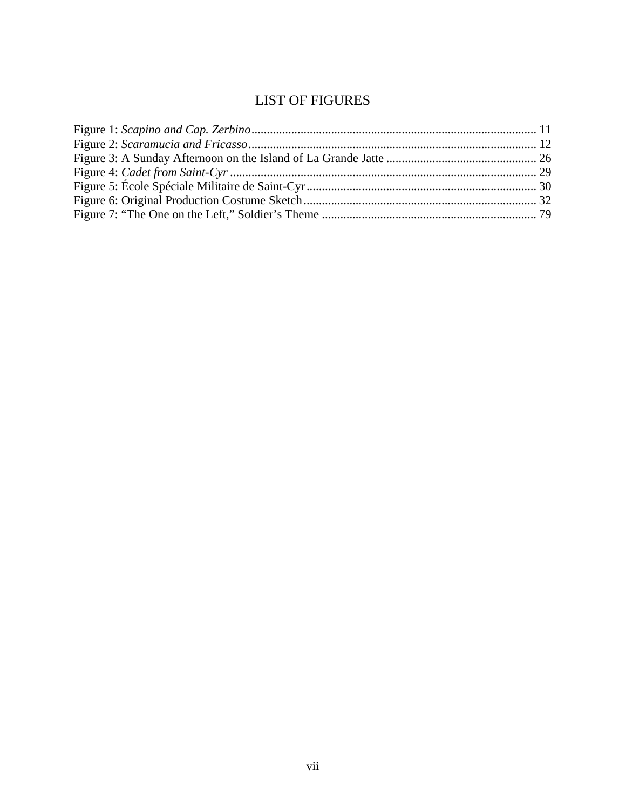## <span id="page-7-0"></span>LIST OF FIGURES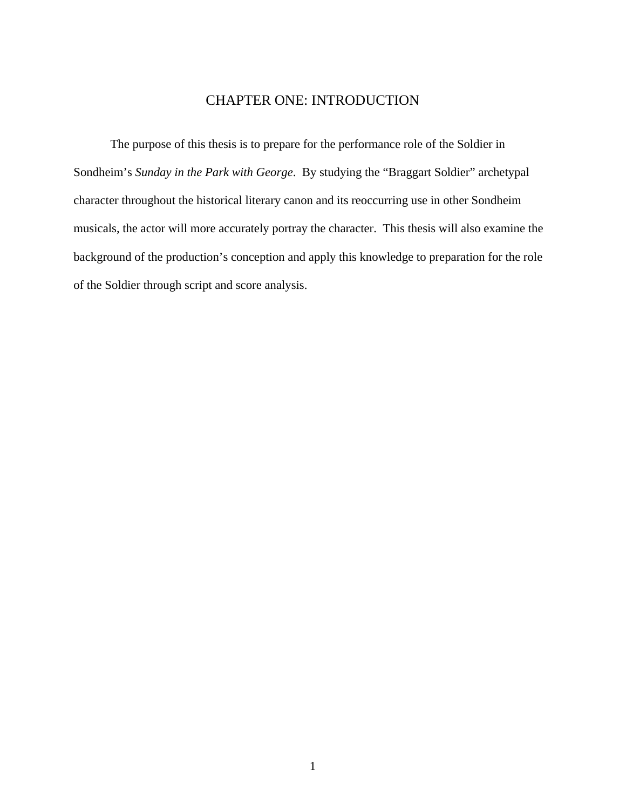## <span id="page-8-0"></span>CHAPTER ONE: INTRODUCTION

 The purpose of this thesis is to prepare for the performance role of the Soldier in Sondheim's *Sunday in the Park with George*. By studying the "Braggart Soldier" archetypal character throughout the historical literary canon and its reoccurring use in other Sondheim musicals, the actor will more accurately portray the character. This thesis will also examine the background of the production's conception and apply this knowledge to preparation for the role of the Soldier through script and score analysis.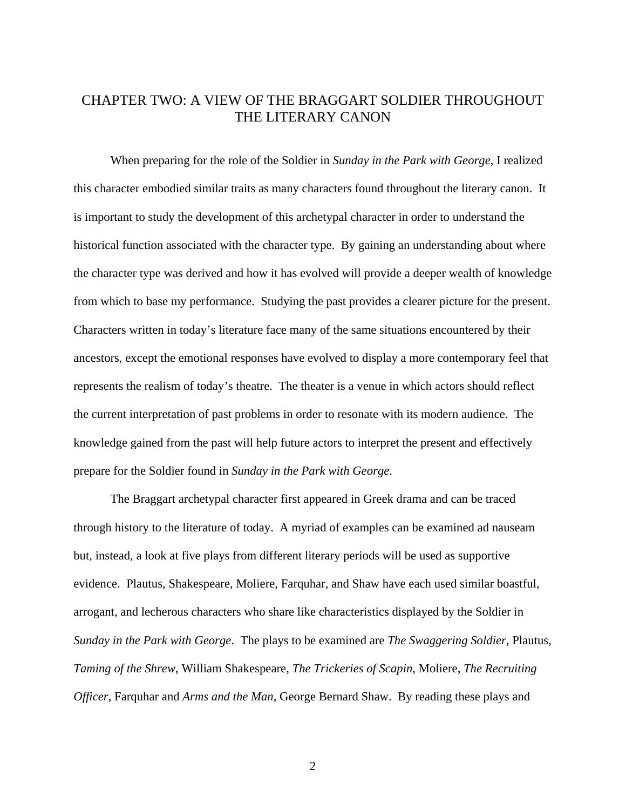## <span id="page-9-0"></span>CHAPTER TWO: A VIEW OF THE BRAGGART SOLDIER THROUGHOUT THE LITERARY CANON

 When preparing for the role of the Soldier in *Sunday in the Park with George*, I realized this character embodied similar traits as many characters found throughout the literary canon. It is important to study the development of this archetypal character in order to understand the historical function associated with the character type. By gaining an understanding about where the character type was derived and how it has evolved will provide a deeper wealth of knowledge from which to base my performance. Studying the past provides a clearer picture for the present. Characters written in today's literature face many of the same situations encountered by their ancestors, except the emotional responses have evolved to display a more contemporary feel that represents the realism of today's theatre. The theater is a venue in which actors should reflect the current interpretation of past problems in order to resonate with its modern audience. The knowledge gained from the past will help future actors to interpret the present and effectively prepare for the Soldier found in *Sunday in the Park with George*.

The Braggart archetypal character first appeared in Greek drama and can be traced through history to the literature of today. A myriad of examples can be examined ad nauseam but, instead, a look at five plays from different literary periods will be used as supportive evidence. Plautus, Shakespeare, Moliere, Farquhar, and Shaw have each used similar boastful, arrogant, and lecherous characters who share like characteristics displayed by the Soldier in *Sunday in the Park with George*. The plays to be examined are *The Swaggering Soldier*, Plautus, *Taming of the Shrew*, William Shakespeare, *The Trickeries of Scapin*, Moliere, *The Recruiting Officer*, Farquhar and *Arms and the Man*, George Bernard Shaw. By reading these plays and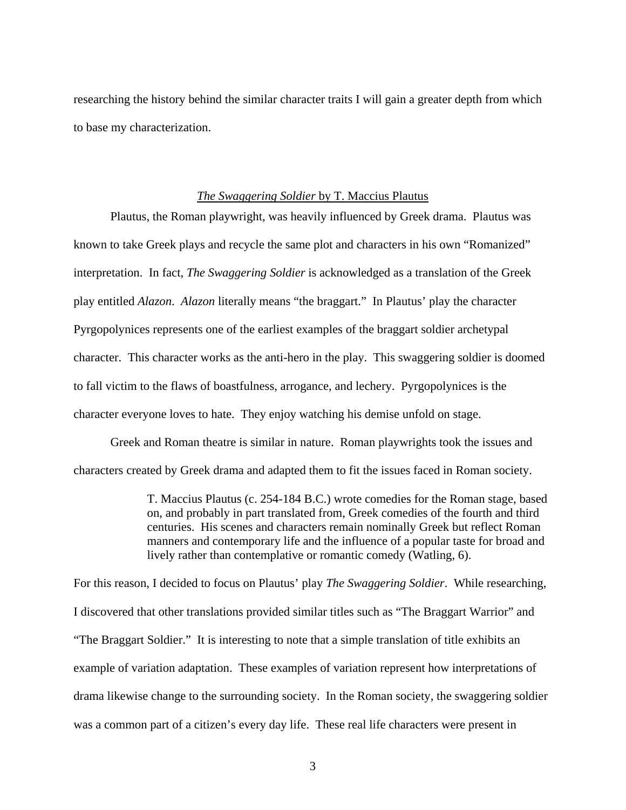researching the history behind the similar character traits I will gain a greater depth from which to base my characterization.

#### <span id="page-10-0"></span>*The Swaggering Soldier* by T. Maccius Plautus

 Plautus, the Roman playwright, was heavily influenced by Greek drama. Plautus was known to take Greek plays and recycle the same plot and characters in his own "Romanized" interpretation. In fact, *The Swaggering Soldier* is acknowledged as a translation of the Greek play entitled *Alazon*. *Alazon* literally means "the braggart." In Plautus' play the character Pyrgopolynices represents one of the earliest examples of the braggart soldier archetypal character. This character works as the anti-hero in the play. This swaggering soldier is doomed to fall victim to the flaws of boastfulness, arrogance, and lechery. Pyrgopolynices is the character everyone loves to hate. They enjoy watching his demise unfold on stage.

 Greek and Roman theatre is similar in nature. Roman playwrights took the issues and characters created by Greek drama and adapted them to fit the issues faced in Roman society.

> T. Maccius Plautus (c. 254-184 B.C.) wrote comedies for the Roman stage, based on, and probably in part translated from, Greek comedies of the fourth and third centuries. His scenes and characters remain nominally Greek but reflect Roman manners and contemporary life and the influence of a popular taste for broad and lively rather than contemplative or romantic comedy (Watling, 6).

For this reason, I decided to focus on Plautus' play *The Swaggering Soldier*. While researching, I discovered that other translations provided similar titles such as "The Braggart Warrior" and "The Braggart Soldier." It is interesting to note that a simple translation of title exhibits an example of variation adaptation. These examples of variation represent how interpretations of drama likewise change to the surrounding society. In the Roman society, the swaggering soldier was a common part of a citizen's every day life. These real life characters were present in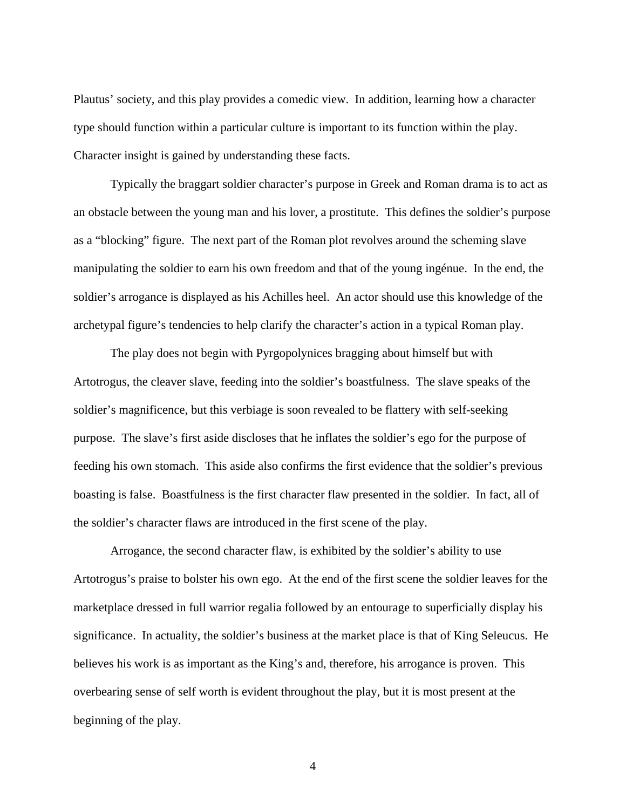Plautus' society, and this play provides a comedic view. In addition, learning how a character type should function within a particular culture is important to its function within the play. Character insight is gained by understanding these facts.

 Typically the braggart soldier character's purpose in Greek and Roman drama is to act as an obstacle between the young man and his lover, a prostitute. This defines the soldier's purpose as a "blocking" figure. The next part of the Roman plot revolves around the scheming slave manipulating the soldier to earn his own freedom and that of the young ingénue. In the end, the soldier's arrogance is displayed as his Achilles heel. An actor should use this knowledge of the archetypal figure's tendencies to help clarify the character's action in a typical Roman play.

 The play does not begin with Pyrgopolynices bragging about himself but with Artotrogus, the cleaver slave, feeding into the soldier's boastfulness. The slave speaks of the soldier's magnificence, but this verbiage is soon revealed to be flattery with self-seeking purpose. The slave's first aside discloses that he inflates the soldier's ego for the purpose of feeding his own stomach. This aside also confirms the first evidence that the soldier's previous boasting is false. Boastfulness is the first character flaw presented in the soldier. In fact, all of the soldier's character flaws are introduced in the first scene of the play.

Arrogance, the second character flaw, is exhibited by the soldier's ability to use Artotrogus's praise to bolster his own ego. At the end of the first scene the soldier leaves for the marketplace dressed in full warrior regalia followed by an entourage to superficially display his significance. In actuality, the soldier's business at the market place is that of King Seleucus. He believes his work is as important as the King's and, therefore, his arrogance is proven. This overbearing sense of self worth is evident throughout the play, but it is most present at the beginning of the play.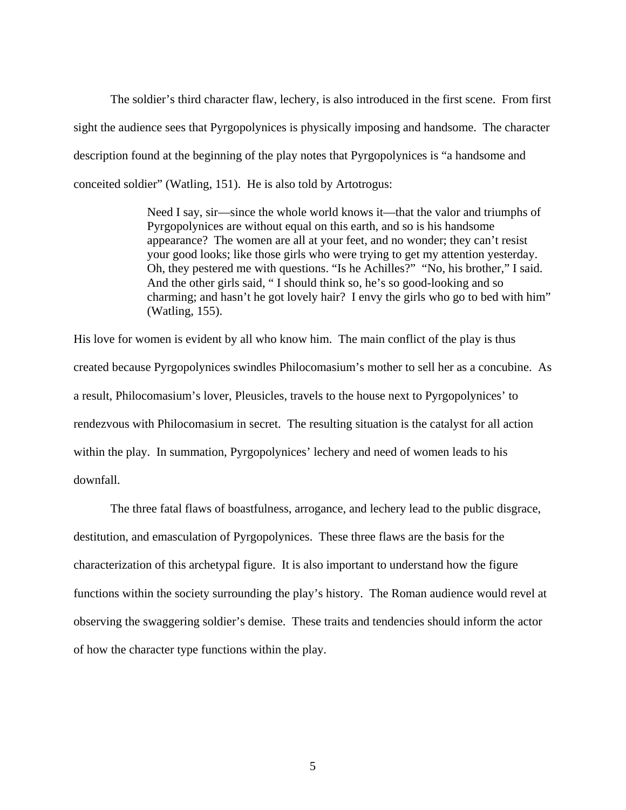The soldier's third character flaw, lechery, is also introduced in the first scene. From first sight the audience sees that Pyrgopolynices is physically imposing and handsome. The character description found at the beginning of the play notes that Pyrgopolynices is "a handsome and conceited soldier" (Watling, 151). He is also told by Artotrogus:

> Need I say, sir—since the whole world knows it—that the valor and triumphs of Pyrgopolynices are without equal on this earth, and so is his handsome appearance? The women are all at your feet, and no wonder; they can't resist your good looks; like those girls who were trying to get my attention yesterday. Oh, they pestered me with questions. "Is he Achilles?" "No, his brother," I said. And the other girls said, " I should think so, he's so good-looking and so charming; and hasn't he got lovely hair? I envy the girls who go to bed with him" (Watling, 155).

His love for women is evident by all who know him. The main conflict of the play is thus created because Pyrgopolynices swindles Philocomasium's mother to sell her as a concubine. As a result, Philocomasium's lover, Pleusicles, travels to the house next to Pyrgopolynices' to rendezvous with Philocomasium in secret. The resulting situation is the catalyst for all action within the play. In summation, Pyrgopolynices' lechery and need of women leads to his downfall.

 The three fatal flaws of boastfulness, arrogance, and lechery lead to the public disgrace, destitution, and emasculation of Pyrgopolynices. These three flaws are the basis for the characterization of this archetypal figure. It is also important to understand how the figure functions within the society surrounding the play's history. The Roman audience would revel at observing the swaggering soldier's demise. These traits and tendencies should inform the actor of how the character type functions within the play.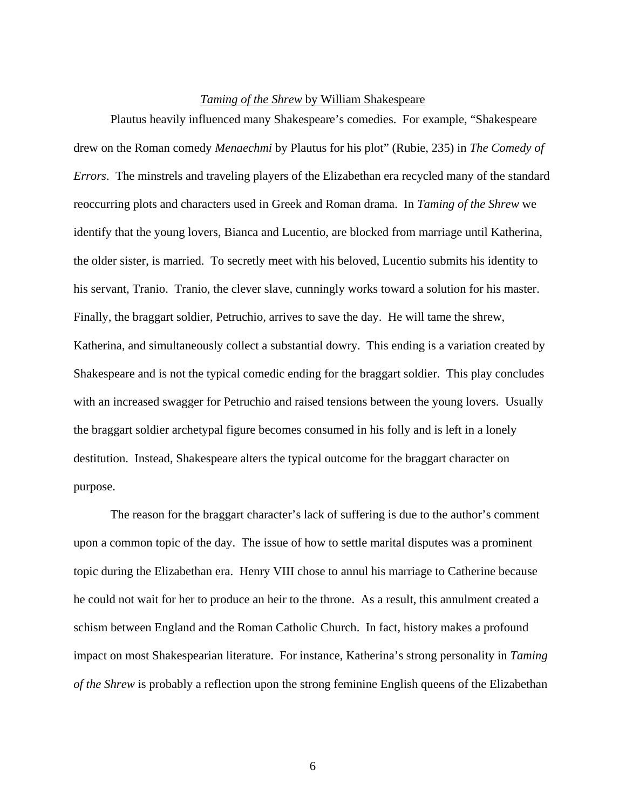#### <span id="page-13-0"></span>*Taming of the Shrew* by William Shakespeare

 Plautus heavily influenced many Shakespeare's comedies. For example, "Shakespeare drew on the Roman comedy *Menaechmi* by Plautus for his plot" (Rubie, 235) in *The Comedy of Errors*. The minstrels and traveling players of the Elizabethan era recycled many of the standard reoccurring plots and characters used in Greek and Roman drama. In *Taming of the Shrew* we identify that the young lovers, Bianca and Lucentio, are blocked from marriage until Katherina, the older sister, is married. To secretly meet with his beloved, Lucentio submits his identity to his servant, Tranio. Tranio, the clever slave, cunningly works toward a solution for his master. Finally, the braggart soldier, Petruchio, arrives to save the day. He will tame the shrew, Katherina, and simultaneously collect a substantial dowry. This ending is a variation created by Shakespeare and is not the typical comedic ending for the braggart soldier. This play concludes with an increased swagger for Petruchio and raised tensions between the young lovers. Usually the braggart soldier archetypal figure becomes consumed in his folly and is left in a lonely destitution. Instead, Shakespeare alters the typical outcome for the braggart character on purpose.

 The reason for the braggart character's lack of suffering is due to the author's comment upon a common topic of the day. The issue of how to settle marital disputes was a prominent topic during the Elizabethan era. Henry VIII chose to annul his marriage to Catherine because he could not wait for her to produce an heir to the throne. As a result, this annulment created a schism between England and the Roman Catholic Church. In fact, history makes a profound impact on most Shakespearian literature. For instance, Katherina's strong personality in *Taming of the Shrew* is probably a reflection upon the strong feminine English queens of the Elizabethan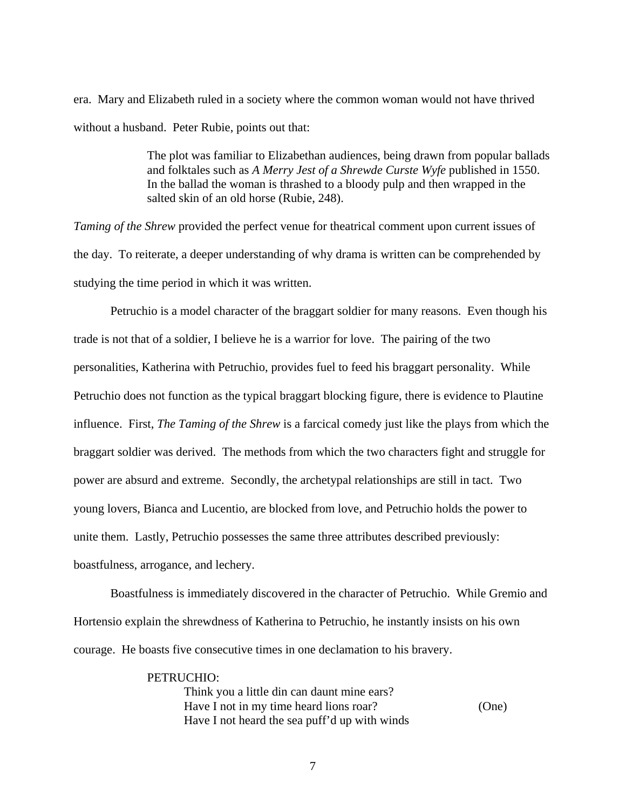era. Mary and Elizabeth ruled in a society where the common woman would not have thrived without a husband. Peter Rubie, points out that:

> The plot was familiar to Elizabethan audiences, being drawn from popular ballads and folktales such as *A Merry Jest of a Shrewde Curste Wyfe* published in 1550. In the ballad the woman is thrashed to a bloody pulp and then wrapped in the salted skin of an old horse (Rubie, 248).

*Taming of the Shrew* provided the perfect venue for theatrical comment upon current issues of the day. To reiterate, a deeper understanding of why drama is written can be comprehended by studying the time period in which it was written.

 Petruchio is a model character of the braggart soldier for many reasons. Even though his trade is not that of a soldier, I believe he is a warrior for love. The pairing of the two personalities, Katherina with Petruchio, provides fuel to feed his braggart personality. While Petruchio does not function as the typical braggart blocking figure, there is evidence to Plautine influence. First, *The Taming of the Shrew* is a farcical comedy just like the plays from which the braggart soldier was derived. The methods from which the two characters fight and struggle for power are absurd and extreme. Secondly, the archetypal relationships are still in tact. Two young lovers, Bianca and Lucentio, are blocked from love, and Petruchio holds the power to unite them. Lastly, Petruchio possesses the same three attributes described previously: boastfulness, arrogance, and lechery.

 Boastfulness is immediately discovered in the character of Petruchio. While Gremio and Hortensio explain the shrewdness of Katherina to Petruchio, he instantly insists on his own courage. He boasts five consecutive times in one declamation to his bravery.

> PETRUCHIO: Think you a little din can daunt mine ears? Have I not in my time heard lions roar? (One) Have I not heard the sea puff'd up with winds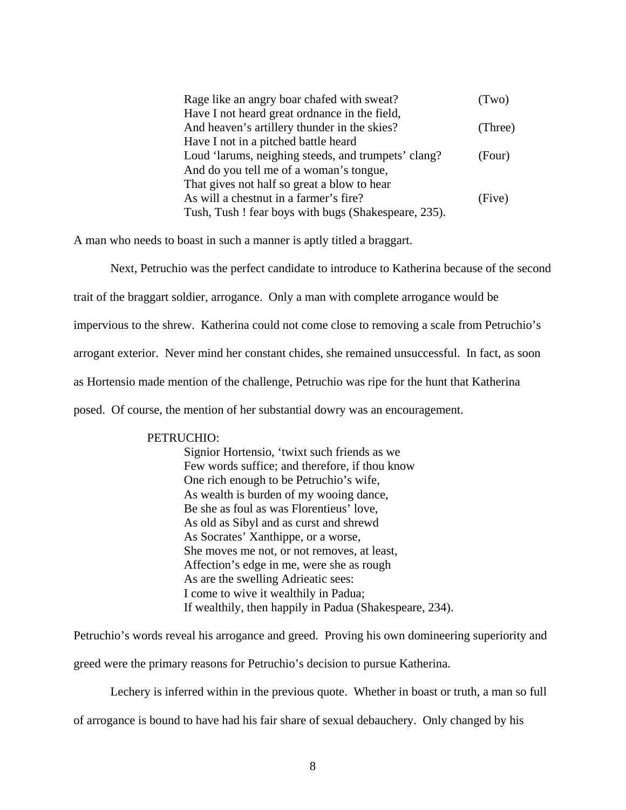| Rage like an angry boar chafed with sweat?           | (Two)   |
|------------------------------------------------------|---------|
| Have I not heard great ordnance in the field,        |         |
| And heaven's artillery thunder in the skies?         | (Three) |
| Have I not in a pitched battle heard                 |         |
| Loud 'larums, neighing steeds, and trumpets' clang?  | (Four)  |
| And do you tell me of a woman's tongue,              |         |
| That gives not half so great a blow to hear          |         |
| As will a chestnut in a farmer's fire?               | (Five)  |
| Tush, Tush ! fear boys with bugs (Shakespeare, 235). |         |

A man who needs to boast in such a manner is aptly titled a braggart.

Next, Petruchio was the perfect candidate to introduce to Katherina because of the second

trait of the braggart soldier, arrogance. Only a man with complete arrogance would be

impervious to the shrew. Katherina could not come close to removing a scale from Petruchio's

arrogant exterior. Never mind her constant chides, she remained unsuccessful. In fact, as soon

as Hortensio made mention of the challenge, Petruchio was ripe for the hunt that Katherina

posed. Of course, the mention of her substantial dowry was an encouragement.

#### PETRUCHIO:

Signior Hortensio, 'twixt such friends as we Few words suffice; and therefore, if thou know One rich enough to be Petruchio's wife, As wealth is burden of my wooing dance, Be she as foul as was Florentieus' love, As old as Sibyl and as curst and shrewd As Socrates' Xanthippe, or a worse, She moves me not, or not removes, at least, Affection's edge in me, were she as rough As are the swelling Adrieatic sees: I come to wive it wealthily in Padua; If wealthily, then happily in Padua (Shakespeare, 234).

Petruchio's words reveal his arrogance and greed. Proving his own domineering superiority and

greed were the primary reasons for Petruchio's decision to pursue Katherina.

Lechery is inferred within in the previous quote. Whether in boast or truth, a man so full

of arrogance is bound to have had his fair share of sexual debauchery. Only changed by his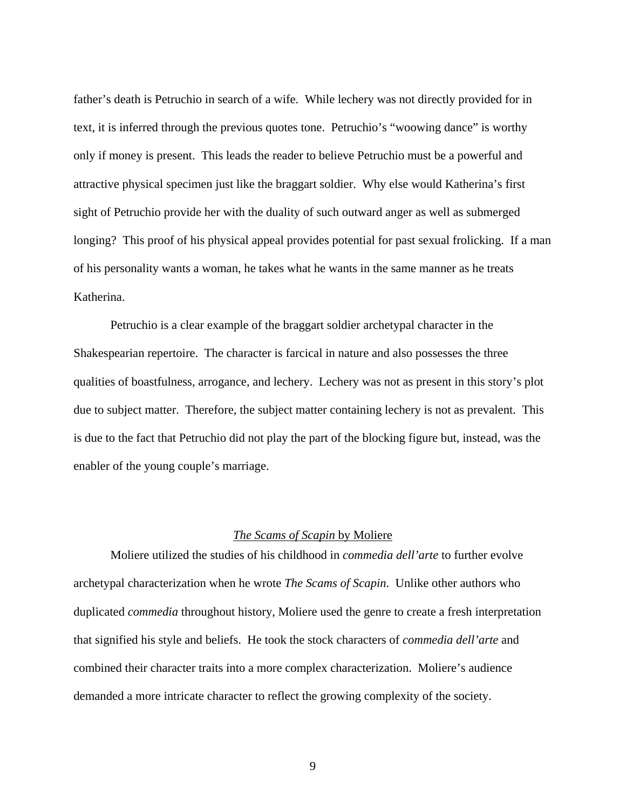father's death is Petruchio in search of a wife. While lechery was not directly provided for in text, it is inferred through the previous quotes tone. Petruchio's "woowing dance" is worthy only if money is present. This leads the reader to believe Petruchio must be a powerful and attractive physical specimen just like the braggart soldier. Why else would Katherina's first sight of Petruchio provide her with the duality of such outward anger as well as submerged longing? This proof of his physical appeal provides potential for past sexual frolicking. If a man of his personality wants a woman, he takes what he wants in the same manner as he treats Katherina.

 Petruchio is a clear example of the braggart soldier archetypal character in the Shakespearian repertoire. The character is farcical in nature and also possesses the three qualities of boastfulness, arrogance, and lechery. Lechery was not as present in this story's plot due to subject matter. Therefore, the subject matter containing lechery is not as prevalent. This is due to the fact that Petruchio did not play the part of the blocking figure but, instead, was the enabler of the young couple's marriage.

#### <span id="page-16-0"></span>*The Scams of Scapin* by Moliere

 Moliere utilized the studies of his childhood in *commedia dell'arte* to further evolve archetypal characterization when he wrote *The Scams of Scapin*. Unlike other authors who duplicated *commedia* throughout history, Moliere used the genre to create a fresh interpretation that signified his style and beliefs. He took the stock characters of *commedia dell'arte* and combined their character traits into a more complex characterization. Moliere's audience demanded a more intricate character to reflect the growing complexity of the society.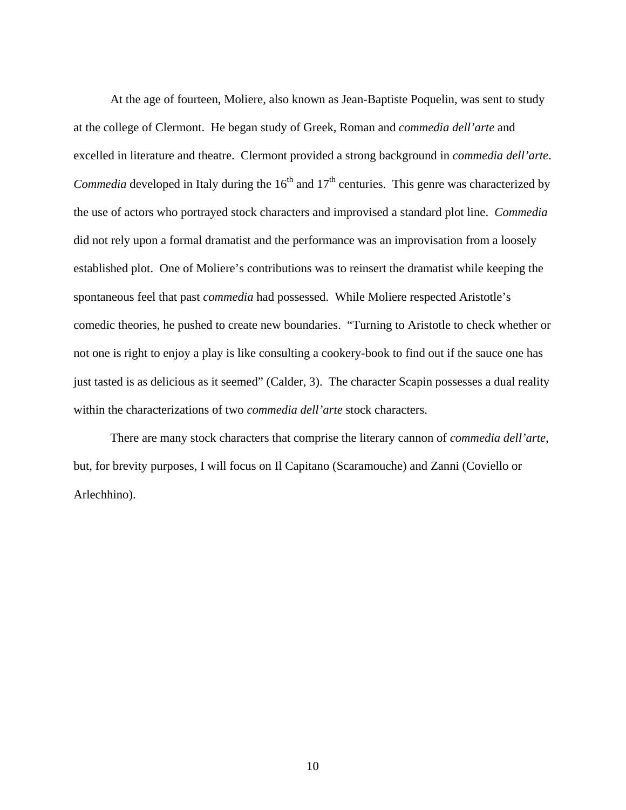At the age of fourteen, Moliere, also known as Jean-Baptiste Poquelin, was sent to study at the college of Clermont. He began study of Greek, Roman and *commedia dell'arte* and excelled in literature and theatre. Clermont provided a strong background in *commedia dell'arte*. *Commedia* developed in Italy during the  $16<sup>th</sup>$  and  $17<sup>th</sup>$  centuries. This genre was characterized by the use of actors who portrayed stock characters and improvised a standard plot line. *Commedia* did not rely upon a formal dramatist and the performance was an improvisation from a loosely established plot. One of Moliere's contributions was to reinsert the dramatist while keeping the spontaneous feel that past *commedia* had possessed. While Moliere respected Aristotle's comedic theories, he pushed to create new boundaries. "Turning to Aristotle to check whether or not one is right to enjoy a play is like consulting a cookery-book to find out if the sauce one has just tasted is as delicious as it seemed" (Calder, 3). The character Scapin possesses a dual reality within the characterizations of two *commedia dell'arte* stock characters.

 There are many stock characters that comprise the literary cannon of *commedia dell'arte*, but, for brevity purposes, I will focus on Il Capitano (Scaramouche) and Zanni (Coviello or Arlechhino).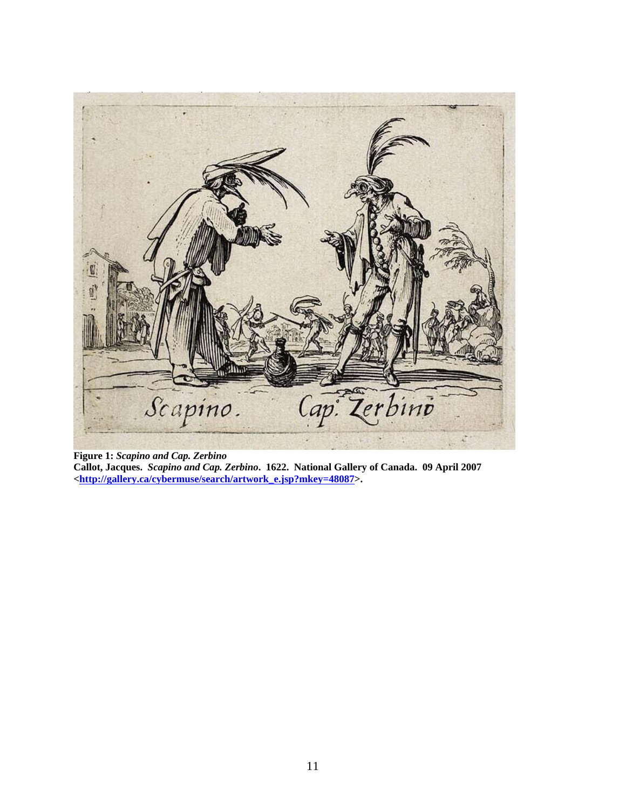<span id="page-18-0"></span>

**Figure 1:** *Scapino and Cap. Zerbino*  **Callot, Jacques.** *Scapino and Cap. Zerbino***. 1622. National Gallery of Canada. 09 April 2007 [<http://gallery.ca/cybermuse/search/artwork\\_e.jsp?mkey=48087>](http://gallery.ca/cybermuse/search/artwork_e.jsp?mkey=48087).**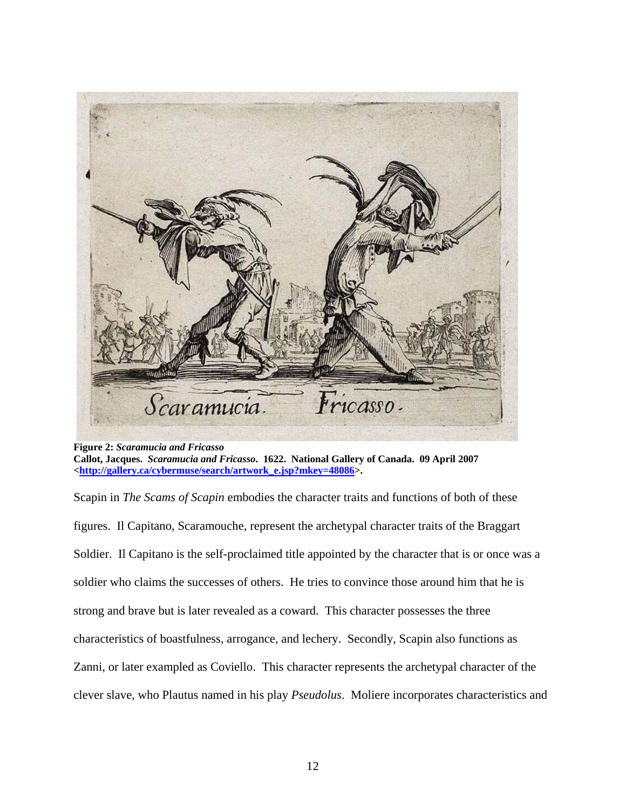<span id="page-19-0"></span>

**Figure 2:** *Scaramucia and Fricasso* **Callot, Jacques.** *Scaramucia and Fricasso***. 1622. National Gallery of Canada. 09 April 2007 [<http://gallery.ca/cybermuse/search/artwork\\_e.jsp?mkey=48086>](http://gallery.ca/cybermuse/search/artwork_e.jsp?mkey=48086).** 

Scapin in *The Scams of Scapin* embodies the character traits and functions of both of these figures. Il Capitano, Scaramouche, represent the archetypal character traits of the Braggart Soldier. Il Capitano is the self-proclaimed title appointed by the character that is or once was a soldier who claims the successes of others. He tries to convince those around him that he is strong and brave but is later revealed as a coward. This character possesses the three characteristics of boastfulness, arrogance, and lechery. Secondly, Scapin also functions as Zanni, or later exampled as Coviello. This character represents the archetypal character of the clever slave, who Plautus named in his play *Pseudolus*. Moliere incorporates characteristics and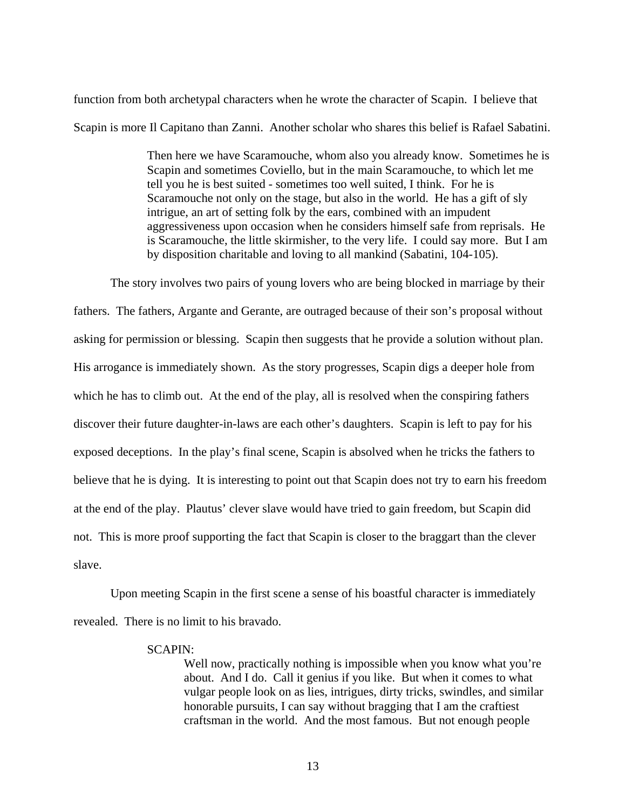function from both archetypal characters when he wrote the character of Scapin. I believe that Scapin is more Il Capitano than Zanni. Another scholar who shares this belief is Rafael Sabatini.

> Then here we have Scaramouche, whom also you already know. Sometimes he is Scapin and sometimes Coviello, but in the main Scaramouche, to which let me tell you he is best suited - sometimes too well suited, I think. For he is Scaramouche not only on the stage, but also in the world. He has a gift of sly intrigue, an art of setting folk by the ears, combined with an impudent aggressiveness upon occasion when he considers himself safe from reprisals. He is Scaramouche, the little skirmisher, to the very life. I could say more. But I am by disposition charitable and loving to all mankind (Sabatini, 104-105).

The story involves two pairs of young lovers who are being blocked in marriage by their fathers. The fathers, Argante and Gerante, are outraged because of their son's proposal without asking for permission or blessing. Scapin then suggests that he provide a solution without plan. His arrogance is immediately shown. As the story progresses, Scapin digs a deeper hole from which he has to climb out. At the end of the play, all is resolved when the conspiring fathers discover their future daughter-in-laws are each other's daughters. Scapin is left to pay for his exposed deceptions. In the play's final scene, Scapin is absolved when he tricks the fathers to believe that he is dying. It is interesting to point out that Scapin does not try to earn his freedom at the end of the play. Plautus' clever slave would have tried to gain freedom, but Scapin did not. This is more proof supporting the fact that Scapin is closer to the braggart than the clever slave.

Upon meeting Scapin in the first scene a sense of his boastful character is immediately revealed. There is no limit to his bravado.

#### SCAPIN:

Well now, practically nothing is impossible when you know what you're about. And I do. Call it genius if you like. But when it comes to what vulgar people look on as lies, intrigues, dirty tricks, swindles, and similar honorable pursuits, I can say without bragging that I am the craftiest craftsman in the world. And the most famous. But not enough people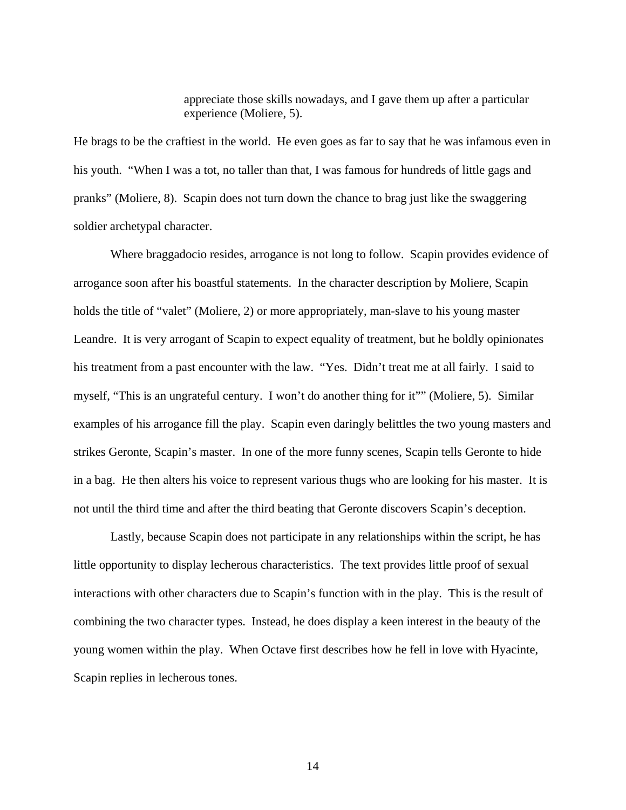appreciate those skills nowadays, and I gave them up after a particular experience (Moliere, 5).

He brags to be the craftiest in the world. He even goes as far to say that he was infamous even in his youth. "When I was a tot, no taller than that, I was famous for hundreds of little gags and pranks" (Moliere, 8). Scapin does not turn down the chance to brag just like the swaggering soldier archetypal character.

 Where braggadocio resides, arrogance is not long to follow. Scapin provides evidence of arrogance soon after his boastful statements. In the character description by Moliere, Scapin holds the title of "valet" (Moliere, 2) or more appropriately, man-slave to his young master Leandre. It is very arrogant of Scapin to expect equality of treatment, but he boldly opinionates his treatment from a past encounter with the law. "Yes. Didn't treat me at all fairly. I said to myself, "This is an ungrateful century. I won't do another thing for it"" (Moliere, 5). Similar examples of his arrogance fill the play. Scapin even daringly belittles the two young masters and strikes Geronte, Scapin's master. In one of the more funny scenes, Scapin tells Geronte to hide in a bag. He then alters his voice to represent various thugs who are looking for his master. It is not until the third time and after the third beating that Geronte discovers Scapin's deception.

 Lastly, because Scapin does not participate in any relationships within the script, he has little opportunity to display lecherous characteristics. The text provides little proof of sexual interactions with other characters due to Scapin's function with in the play. This is the result of combining the two character types. Instead, he does display a keen interest in the beauty of the young women within the play. When Octave first describes how he fell in love with Hyacinte, Scapin replies in lecherous tones.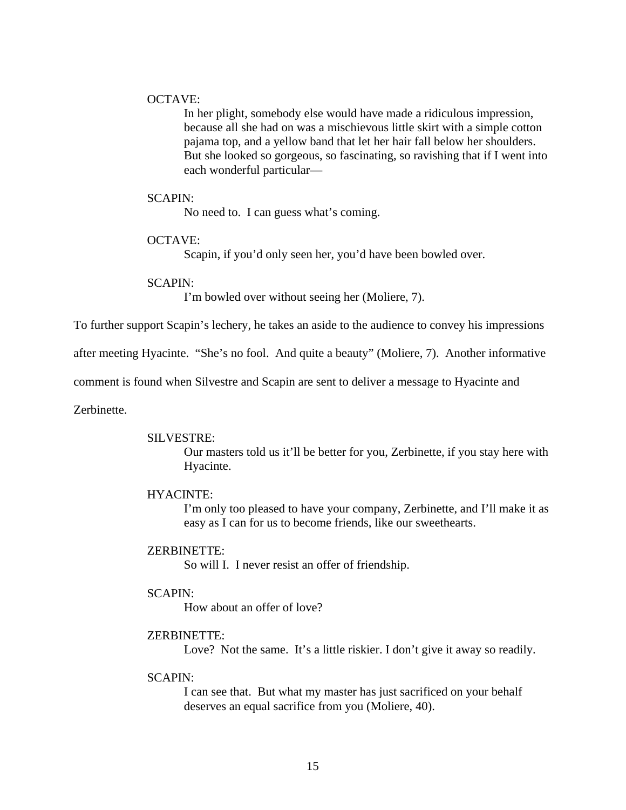#### OCTAVE:

In her plight, somebody else would have made a ridiculous impression, because all she had on was a mischievous little skirt with a simple cotton pajama top, and a yellow band that let her hair fall below her shoulders. But she looked so gorgeous, so fascinating, so ravishing that if I went into each wonderful particular—

#### SCAPIN:

No need to. I can guess what's coming.

#### OCTAVE:

Scapin, if you'd only seen her, you'd have been bowled over.

#### SCAPIN:

I'm bowled over without seeing her (Moliere, 7).

To further support Scapin's lechery, he takes an aside to the audience to convey his impressions

after meeting Hyacinte. "She's no fool. And quite a beauty" (Moliere, 7). Another informative

comment is found when Silvestre and Scapin are sent to deliver a message to Hyacinte and

Zerbinette.

#### SILVESTRE:

Our masters told us it'll be better for you, Zerbinette, if you stay here with Hyacinte.

#### HYACINTE:

I'm only too pleased to have your company, Zerbinette, and I'll make it as easy as I can for us to become friends, like our sweethearts.

#### ZERBINETTE:

So will I. I never resist an offer of friendship.

#### SCAPIN:

How about an offer of love?

#### ZERBINETTE:

Love? Not the same. It's a little riskier. I don't give it away so readily.

#### SCAPIN:

I can see that. But what my master has just sacrificed on your behalf deserves an equal sacrifice from you (Moliere, 40).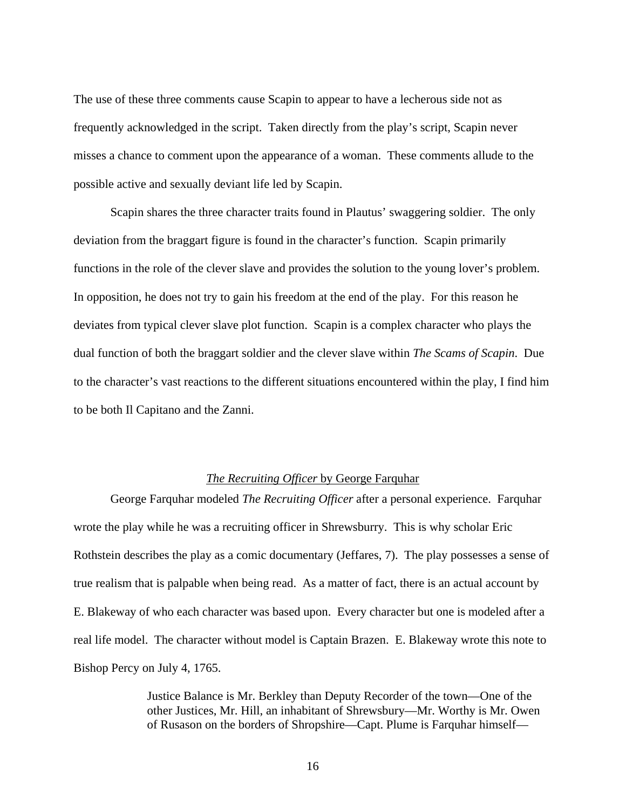The use of these three comments cause Scapin to appear to have a lecherous side not as frequently acknowledged in the script. Taken directly from the play's script, Scapin never misses a chance to comment upon the appearance of a woman. These comments allude to the possible active and sexually deviant life led by Scapin.

 Scapin shares the three character traits found in Plautus' swaggering soldier. The only deviation from the braggart figure is found in the character's function. Scapin primarily functions in the role of the clever slave and provides the solution to the young lover's problem. In opposition, he does not try to gain his freedom at the end of the play. For this reason he deviates from typical clever slave plot function. Scapin is a complex character who plays the dual function of both the braggart soldier and the clever slave within *The Scams of Scapin*. Due to the character's vast reactions to the different situations encountered within the play, I find him to be both Il Capitano and the Zanni.

#### <span id="page-23-0"></span>*The Recruiting Officer* by George Farquhar

 George Farquhar modeled *The Recruiting Officer* after a personal experience. Farquhar wrote the play while he was a recruiting officer in Shrewsburry. This is why scholar Eric Rothstein describes the play as a comic documentary (Jeffares, 7). The play possesses a sense of true realism that is palpable when being read. As a matter of fact, there is an actual account by E. Blakeway of who each character was based upon. Every character but one is modeled after a real life model. The character without model is Captain Brazen. E. Blakeway wrote this note to Bishop Percy on July 4, 1765.

> Justice Balance is Mr. Berkley than Deputy Recorder of the town—One of the other Justices, Mr. Hill, an inhabitant of Shrewsbury—Mr. Worthy is Mr. Owen of Rusason on the borders of Shropshire—Capt. Plume is Farquhar himself—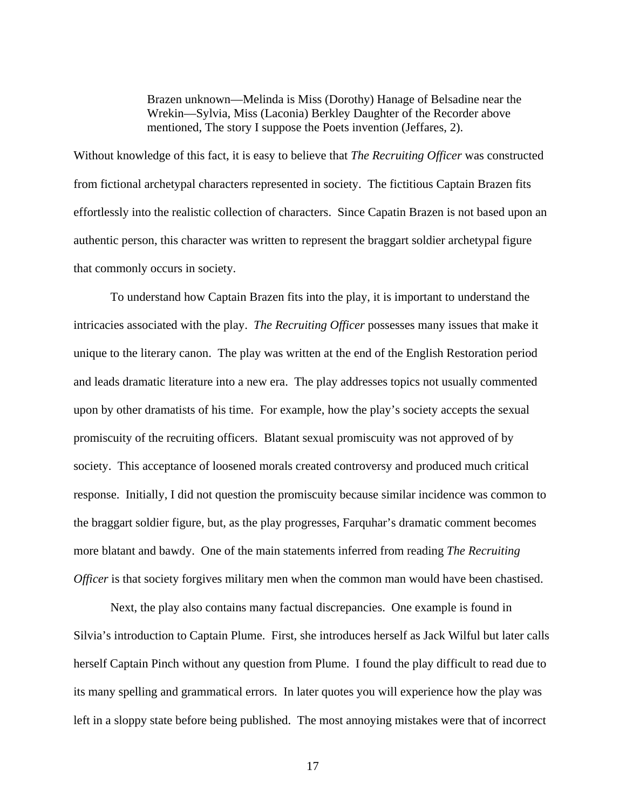Brazen unknown—Melinda is Miss (Dorothy) Hanage of Belsadine near the Wrekin—Sylvia, Miss (Laconia) Berkley Daughter of the Recorder above mentioned, The story I suppose the Poets invention (Jeffares, 2).

Without knowledge of this fact, it is easy to believe that *The Recruiting Officer* was constructed from fictional archetypal characters represented in society. The fictitious Captain Brazen fits effortlessly into the realistic collection of characters. Since Capatin Brazen is not based upon an authentic person, this character was written to represent the braggart soldier archetypal figure that commonly occurs in society.

 To understand how Captain Brazen fits into the play, it is important to understand the intricacies associated with the play. *The Recruiting Officer* possesses many issues that make it unique to the literary canon. The play was written at the end of the English Restoration period and leads dramatic literature into a new era. The play addresses topics not usually commented upon by other dramatists of his time. For example, how the play's society accepts the sexual promiscuity of the recruiting officers. Blatant sexual promiscuity was not approved of by society. This acceptance of loosened morals created controversy and produced much critical response. Initially, I did not question the promiscuity because similar incidence was common to the braggart soldier figure, but, as the play progresses, Farquhar's dramatic comment becomes more blatant and bawdy. One of the main statements inferred from reading *The Recruiting Officer* is that society forgives military men when the common man would have been chastised.

Next, the play also contains many factual discrepancies. One example is found in Silvia's introduction to Captain Plume. First, she introduces herself as Jack Wilful but later calls herself Captain Pinch without any question from Plume. I found the play difficult to read due to its many spelling and grammatical errors. In later quotes you will experience how the play was left in a sloppy state before being published. The most annoying mistakes were that of incorrect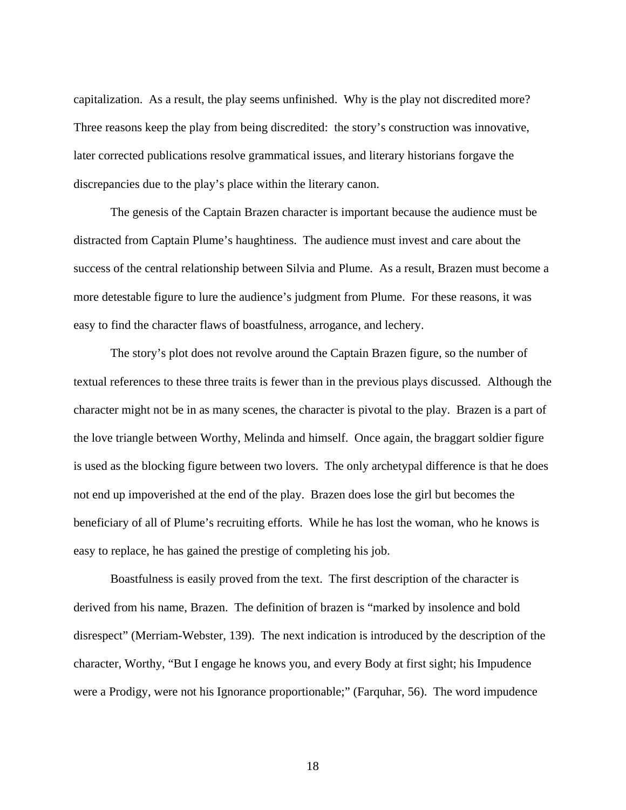capitalization. As a result, the play seems unfinished. Why is the play not discredited more? Three reasons keep the play from being discredited: the story's construction was innovative, later corrected publications resolve grammatical issues, and literary historians forgave the discrepancies due to the play's place within the literary canon.

 The genesis of the Captain Brazen character is important because the audience must be distracted from Captain Plume's haughtiness. The audience must invest and care about the success of the central relationship between Silvia and Plume. As a result, Brazen must become a more detestable figure to lure the audience's judgment from Plume. For these reasons, it was easy to find the character flaws of boastfulness, arrogance, and lechery.

The story's plot does not revolve around the Captain Brazen figure, so the number of textual references to these three traits is fewer than in the previous plays discussed. Although the character might not be in as many scenes, the character is pivotal to the play. Brazen is a part of the love triangle between Worthy, Melinda and himself. Once again, the braggart soldier figure is used as the blocking figure between two lovers. The only archetypal difference is that he does not end up impoverished at the end of the play. Brazen does lose the girl but becomes the beneficiary of all of Plume's recruiting efforts. While he has lost the woman, who he knows is easy to replace, he has gained the prestige of completing his job.

Boastfulness is easily proved from the text. The first description of the character is derived from his name, Brazen. The definition of brazen is "marked by insolence and bold disrespect" (Merriam-Webster, 139). The next indication is introduced by the description of the character, Worthy, "But I engage he knows you, and every Body at first sight; his Impudence were a Prodigy, were not his Ignorance proportionable;" (Farquhar, 56). The word impudence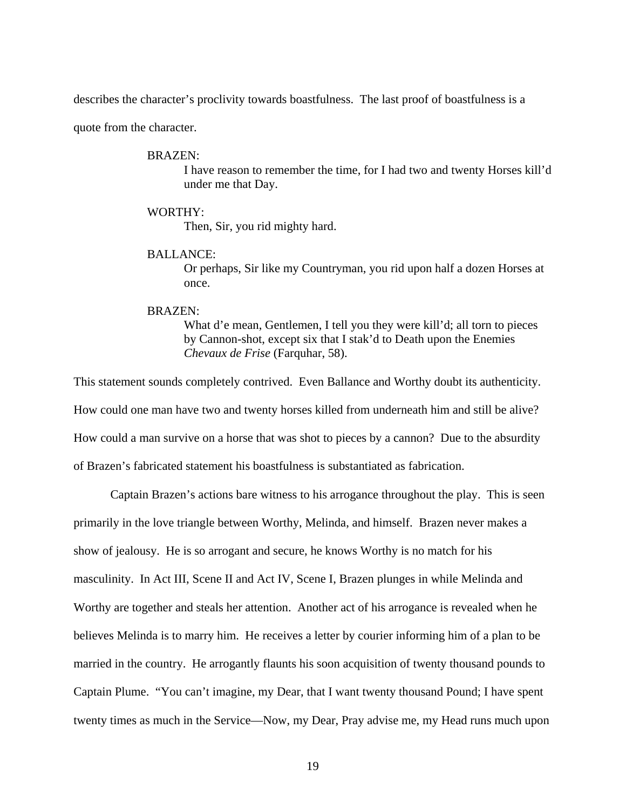describes the character's proclivity towards boastfulness. The last proof of boastfulness is a

quote from the character.

#### BRAZEN:

I have reason to remember the time, for I had two and twenty Horses kill'd under me that Day.

#### WORTHY:

Then, Sir, you rid mighty hard.

#### BALLANCE:

Or perhaps, Sir like my Countryman, you rid upon half a dozen Horses at once.

#### BRAZEN:

What d'e mean, Gentlemen, I tell you they were kill'd; all torn to pieces by Cannon-shot, except six that I stak'd to Death upon the Enemies *Chevaux de Frise* (Farquhar, 58).

This statement sounds completely contrived. Even Ballance and Worthy doubt its authenticity. How could one man have two and twenty horses killed from underneath him and still be alive? How could a man survive on a horse that was shot to pieces by a cannon? Due to the absurdity of Brazen's fabricated statement his boastfulness is substantiated as fabrication.

 Captain Brazen's actions bare witness to his arrogance throughout the play. This is seen primarily in the love triangle between Worthy, Melinda, and himself. Brazen never makes a show of jealousy. He is so arrogant and secure, he knows Worthy is no match for his masculinity. In Act III, Scene II and Act IV, Scene I, Brazen plunges in while Melinda and Worthy are together and steals her attention. Another act of his arrogance is revealed when he believes Melinda is to marry him. He receives a letter by courier informing him of a plan to be married in the country. He arrogantly flaunts his soon acquisition of twenty thousand pounds to Captain Plume. "You can't imagine, my Dear, that I want twenty thousand Pound; I have spent twenty times as much in the Service—Now, my Dear, Pray advise me, my Head runs much upon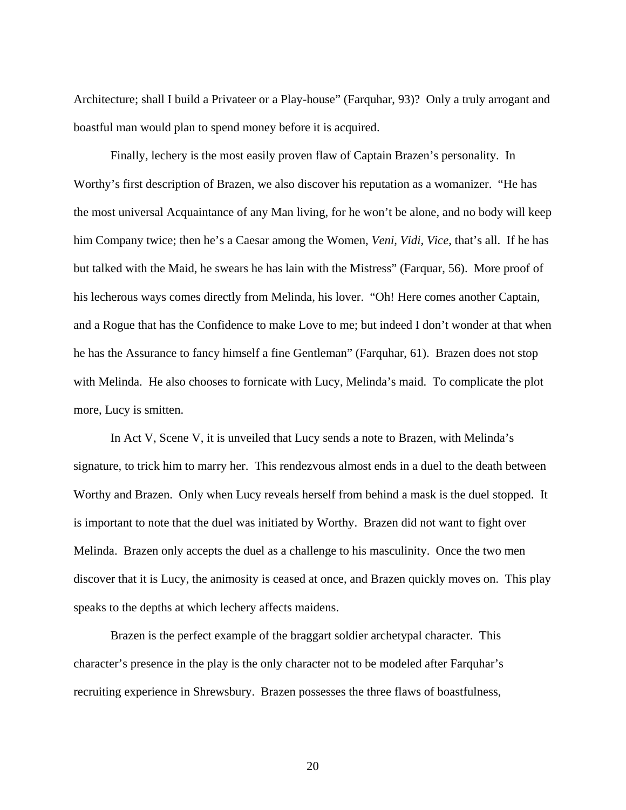Architecture; shall I build a Privateer or a Play-house" (Farquhar, 93)? Only a truly arrogant and boastful man would plan to spend money before it is acquired.

 Finally, lechery is the most easily proven flaw of Captain Brazen's personality. In Worthy's first description of Brazen, we also discover his reputation as a womanizer. "He has the most universal Acquaintance of any Man living, for he won't be alone, and no body will keep him Company twice; then he's a Caesar among the Women, *Veni, Vidi, Vice*, that's all. If he has but talked with the Maid, he swears he has lain with the Mistress" (Farquar, 56). More proof of his lecherous ways comes directly from Melinda, his lover. "Oh! Here comes another Captain, and a Rogue that has the Confidence to make Love to me; but indeed I don't wonder at that when he has the Assurance to fancy himself a fine Gentleman" (Farquhar, 61). Brazen does not stop with Melinda. He also chooses to fornicate with Lucy, Melinda's maid. To complicate the plot more, Lucy is smitten.

In Act V, Scene V, it is unveiled that Lucy sends a note to Brazen, with Melinda's signature, to trick him to marry her. This rendezvous almost ends in a duel to the death between Worthy and Brazen. Only when Lucy reveals herself from behind a mask is the duel stopped. It is important to note that the duel was initiated by Worthy. Brazen did not want to fight over Melinda. Brazen only accepts the duel as a challenge to his masculinity. Once the two men discover that it is Lucy, the animosity is ceased at once, and Brazen quickly moves on. This play speaks to the depths at which lechery affects maidens.

 Brazen is the perfect example of the braggart soldier archetypal character. This character's presence in the play is the only character not to be modeled after Farquhar's recruiting experience in Shrewsbury. Brazen possesses the three flaws of boastfulness,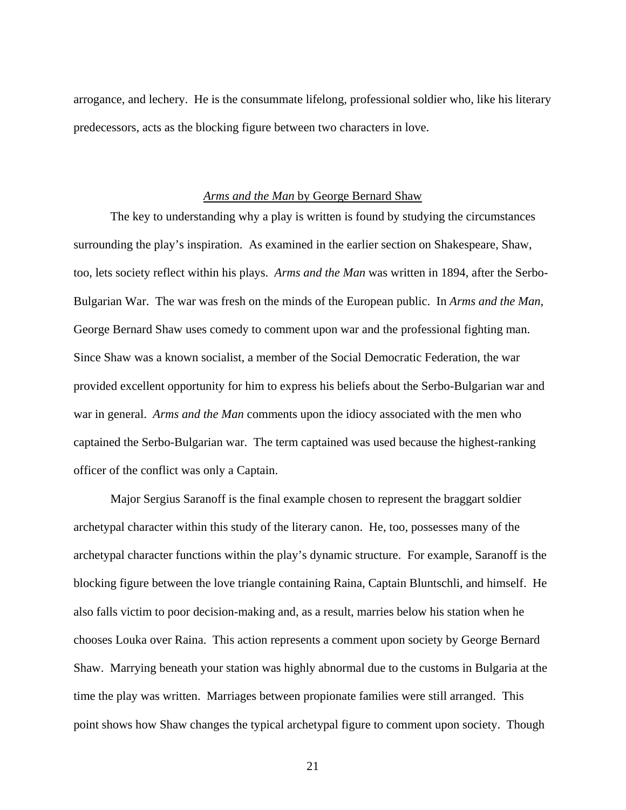arrogance, and lechery. He is the consummate lifelong, professional soldier who, like his literary predecessors, acts as the blocking figure between two characters in love.

#### <span id="page-28-0"></span>*Arms and the Man* by George Bernard Shaw

 The key to understanding why a play is written is found by studying the circumstances surrounding the play's inspiration. As examined in the earlier section on Shakespeare, Shaw, too, lets society reflect within his plays. *Arms and the Man* was written in 1894, after the Serbo-Bulgarian War. The war was fresh on the minds of the European public. In *Arms and the Man*, George Bernard Shaw uses comedy to comment upon war and the professional fighting man. Since Shaw was a known socialist, a member of the Social Democratic Federation, the war provided excellent opportunity for him to express his beliefs about the Serbo-Bulgarian war and war in general. *Arms and the Man* comments upon the idiocy associated with the men who captained the Serbo-Bulgarian war. The term captained was used because the highest-ranking officer of the conflict was only a Captain.

Major Sergius Saranoff is the final example chosen to represent the braggart soldier archetypal character within this study of the literary canon. He, too, possesses many of the archetypal character functions within the play's dynamic structure. For example, Saranoff is the blocking figure between the love triangle containing Raina, Captain Bluntschli, and himself. He also falls victim to poor decision-making and, as a result, marries below his station when he chooses Louka over Raina. This action represents a comment upon society by George Bernard Shaw. Marrying beneath your station was highly abnormal due to the customs in Bulgaria at the time the play was written. Marriages between propionate families were still arranged. This point shows how Shaw changes the typical archetypal figure to comment upon society. Though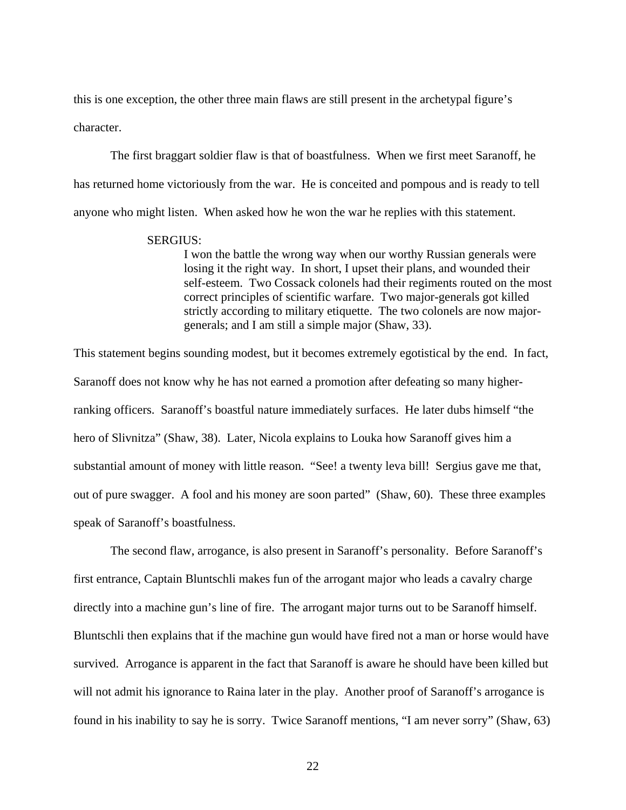this is one exception, the other three main flaws are still present in the archetypal figure's character.

The first braggart soldier flaw is that of boastfulness. When we first meet Saranoff, he has returned home victoriously from the war. He is conceited and pompous and is ready to tell anyone who might listen. When asked how he won the war he replies with this statement.

#### SERGIUS:

I won the battle the wrong way when our worthy Russian generals were losing it the right way. In short, I upset their plans, and wounded their self-esteem. Two Cossack colonels had their regiments routed on the most correct principles of scientific warfare. Two major-generals got killed strictly according to military etiquette. The two colonels are now majorgenerals; and I am still a simple major (Shaw, 33).

This statement begins sounding modest, but it becomes extremely egotistical by the end. In fact, Saranoff does not know why he has not earned a promotion after defeating so many higherranking officers. Saranoff's boastful nature immediately surfaces. He later dubs himself "the hero of Slivnitza" (Shaw, 38). Later, Nicola explains to Louka how Saranoff gives him a substantial amount of money with little reason. "See! a twenty leva bill! Sergius gave me that, out of pure swagger. A fool and his money are soon parted" (Shaw, 60). These three examples speak of Saranoff's boastfulness.

 The second flaw, arrogance, is also present in Saranoff's personality. Before Saranoff's first entrance, Captain Bluntschli makes fun of the arrogant major who leads a cavalry charge directly into a machine gun's line of fire. The arrogant major turns out to be Saranoff himself. Bluntschli then explains that if the machine gun would have fired not a man or horse would have survived. Arrogance is apparent in the fact that Saranoff is aware he should have been killed but will not admit his ignorance to Raina later in the play. Another proof of Saranoff's arrogance is found in his inability to say he is sorry. Twice Saranoff mentions, "I am never sorry" (Shaw, 63)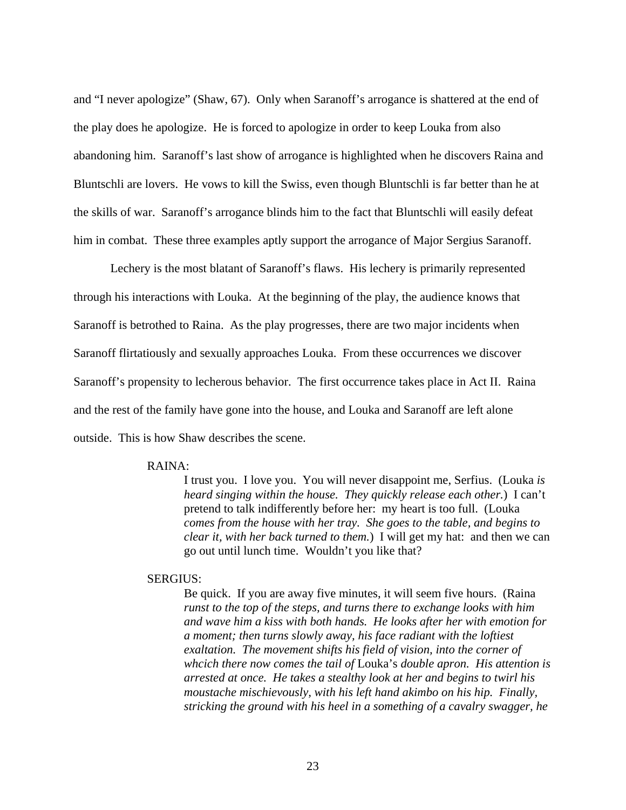and "I never apologize" (Shaw, 67). Only when Saranoff's arrogance is shattered at the end of the play does he apologize. He is forced to apologize in order to keep Louka from also abandoning him. Saranoff's last show of arrogance is highlighted when he discovers Raina and Bluntschli are lovers. He vows to kill the Swiss, even though Bluntschli is far better than he at the skills of war. Saranoff's arrogance blinds him to the fact that Bluntschli will easily defeat him in combat. These three examples aptly support the arrogance of Major Sergius Saranoff.

 Lechery is the most blatant of Saranoff's flaws. His lechery is primarily represented through his interactions with Louka. At the beginning of the play, the audience knows that Saranoff is betrothed to Raina. As the play progresses, there are two major incidents when Saranoff flirtatiously and sexually approaches Louka. From these occurrences we discover Saranoff's propensity to lecherous behavior. The first occurrence takes place in Act II. Raina and the rest of the family have gone into the house, and Louka and Saranoff are left alone outside. This is how Shaw describes the scene.

#### RAINA:

I trust you. I love you. You will never disappoint me, Serfius. (Louka *is heard singing within the house. They quickly release each other.*) I can't pretend to talk indifferently before her: my heart is too full. (Louka *comes from the house with her tray. She goes to the table, and begins to clear it, with her back turned to them.*) I will get my hat: and then we can go out until lunch time. Wouldn't you like that?

#### SERGIUS:

Be quick. If you are away five minutes, it will seem five hours. (Raina *runst to the top of the steps, and turns there to exchange looks with him and wave him a kiss with both hands. He looks after her with emotion for a moment; then turns slowly away, his face radiant with the loftiest exaltation. The movement shifts his field of vision, into the corner of whcich there now comes the tail of* Louka's *double apron. His attention is arrested at once. He takes a stealthy look at her and begins to twirl his moustache mischievously, with his left hand akimbo on his hip. Finally, stricking the ground with his heel in a something of a cavalry swagger, he*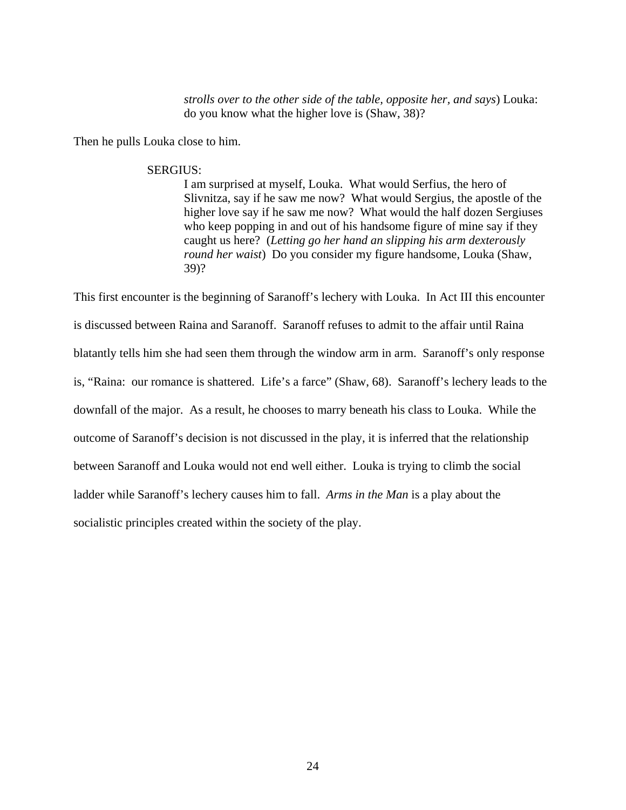*strolls over to the other side of the table, opposite her, and says*) Louka: do you know what the higher love is (Shaw, 38)?

Then he pulls Louka close to him.

#### SERGIUS:

I am surprised at myself, Louka. What would Serfius, the hero of Slivnitza, say if he saw me now? What would Sergius, the apostle of the higher love say if he saw me now? What would the half dozen Sergiuses who keep popping in and out of his handsome figure of mine say if they caught us here? (*Letting go her hand an slipping his arm dexterously round her waist*) Do you consider my figure handsome, Louka (Shaw, 39)?

This first encounter is the beginning of Saranoff's lechery with Louka. In Act III this encounter is discussed between Raina and Saranoff. Saranoff refuses to admit to the affair until Raina blatantly tells him she had seen them through the window arm in arm. Saranoff's only response is, "Raina: our romance is shattered. Life's a farce" (Shaw, 68). Saranoff's lechery leads to the downfall of the major. As a result, he chooses to marry beneath his class to Louka. While the outcome of Saranoff's decision is not discussed in the play, it is inferred that the relationship between Saranoff and Louka would not end well either. Louka is trying to climb the social ladder while Saranoff's lechery causes him to fall. *Arms in the Man* is a play about the socialistic principles created within the society of the play.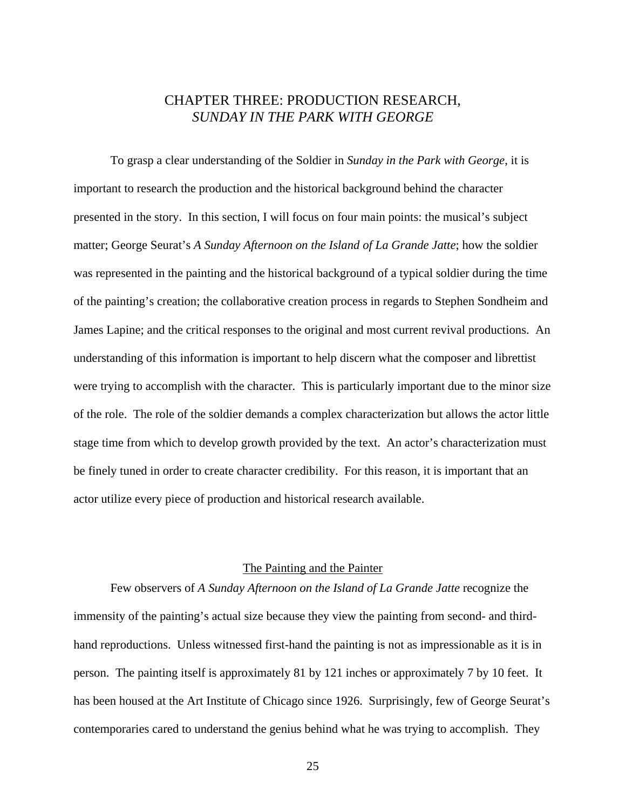## <span id="page-32-0"></span>CHAPTER THREE: PRODUCTION RESEARCH, *SUNDAY IN THE PARK WITH GEORGE*

To grasp a clear understanding of the Soldier in *Sunday in the Park with George*, it is important to research the production and the historical background behind the character presented in the story. In this section, I will focus on four main points: the musical's subject matter; George Seurat's *A Sunday Afternoon on the Island of La Grande Jatte*; how the soldier was represented in the painting and the historical background of a typical soldier during the time of the painting's creation; the collaborative creation process in regards to Stephen Sondheim and James Lapine; and the critical responses to the original and most current revival productions. An understanding of this information is important to help discern what the composer and librettist were trying to accomplish with the character. This is particularly important due to the minor size of the role. The role of the soldier demands a complex characterization but allows the actor little stage time from which to develop growth provided by the text. An actor's characterization must be finely tuned in order to create character credibility. For this reason, it is important that an actor utilize every piece of production and historical research available.

#### <span id="page-32-1"></span>The Painting and the Painter

 Few observers of *A Sunday Afternoon on the Island of La Grande Jatte* recognize the immensity of the painting's actual size because they view the painting from second- and thirdhand reproductions. Unless witnessed first-hand the painting is not as impressionable as it is in person. The painting itself is approximately 81 by 121 inches or approximately 7 by 10 feet. It has been housed at the Art Institute of Chicago since 1926. Surprisingly, few of George Seurat's contemporaries cared to understand the genius behind what he was trying to accomplish. They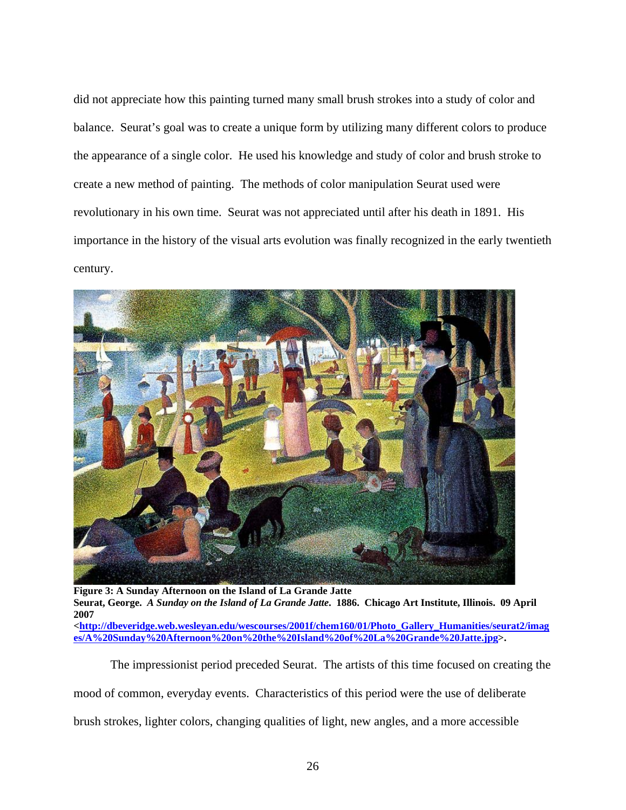did not appreciate how this painting turned many small brush strokes into a study of color and balance. Seurat's goal was to create a unique form by utilizing many different colors to produce the appearance of a single color. He used his knowledge and study of color and brush stroke to create a new method of painting. The methods of color manipulation Seurat used were revolutionary in his own time. Seurat was not appreciated until after his death in 1891. His importance in the history of the visual arts evolution was finally recognized in the early twentieth century.

<span id="page-33-0"></span>

**Figure 3: A Sunday Afternoon on the Island of La Grande Jatte Seurat, George.** *A Sunday on the Island of La Grande Jatte***. 1886. Chicago Art Institute, Illinois. 09 April 2007 [<http://dbeveridge.web.wesleyan.edu/wescourses/2001f/chem160/01/Photo\\_Gallery\\_Humanities/seurat2/imag](http://dbeveridge.web.wesleyan.edu/wescourses/2001f/chem160/01/Photo_Gallery_Humanities/seurat2/images/A Sunday Afternoon on the Island of La Grande Jatte.jpg)**

**[es/A%20Sunday%20Afternoon%20on%20the%20Island%20of%20La%20Grande%20Jatte.jpg>](http://dbeveridge.web.wesleyan.edu/wescourses/2001f/chem160/01/Photo_Gallery_Humanities/seurat2/images/A Sunday Afternoon on the Island of La Grande Jatte.jpg).** 

The impressionist period preceded Seurat. The artists of this time focused on creating the

mood of common, everyday events. Characteristics of this period were the use of deliberate

brush strokes, lighter colors, changing qualities of light, new angles, and a more accessible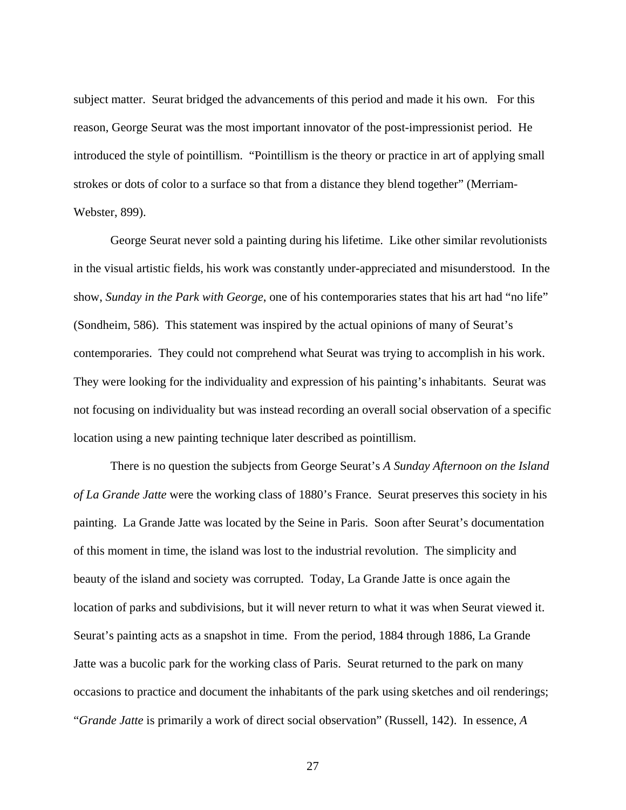subject matter. Seurat bridged the advancements of this period and made it his own. For this reason, George Seurat was the most important innovator of the post-impressionist period. He introduced the style of pointillism. "Pointillism is the theory or practice in art of applying small strokes or dots of color to a surface so that from a distance they blend together" (Merriam-Webster, 899).

 George Seurat never sold a painting during his lifetime. Like other similar revolutionists in the visual artistic fields, his work was constantly under-appreciated and misunderstood. In the show, *Sunday in the Park with George*, one of his contemporaries states that his art had "no life" (Sondheim, 586). This statement was inspired by the actual opinions of many of Seurat's contemporaries. They could not comprehend what Seurat was trying to accomplish in his work. They were looking for the individuality and expression of his painting's inhabitants. Seurat was not focusing on individuality but was instead recording an overall social observation of a specific location using a new painting technique later described as pointillism.

There is no question the subjects from George Seurat's *A Sunday Afternoon on the Island of La Grande Jatte* were the working class of 1880's France. Seurat preserves this society in his painting. La Grande Jatte was located by the Seine in Paris. Soon after Seurat's documentation of this moment in time, the island was lost to the industrial revolution. The simplicity and beauty of the island and society was corrupted. Today, La Grande Jatte is once again the location of parks and subdivisions, but it will never return to what it was when Seurat viewed it. Seurat's painting acts as a snapshot in time. From the period, 1884 through 1886, La Grande Jatte was a bucolic park for the working class of Paris. Seurat returned to the park on many occasions to practice and document the inhabitants of the park using sketches and oil renderings; "*Grande Jatte* is primarily a work of direct social observation" (Russell, 142). In essence, *A*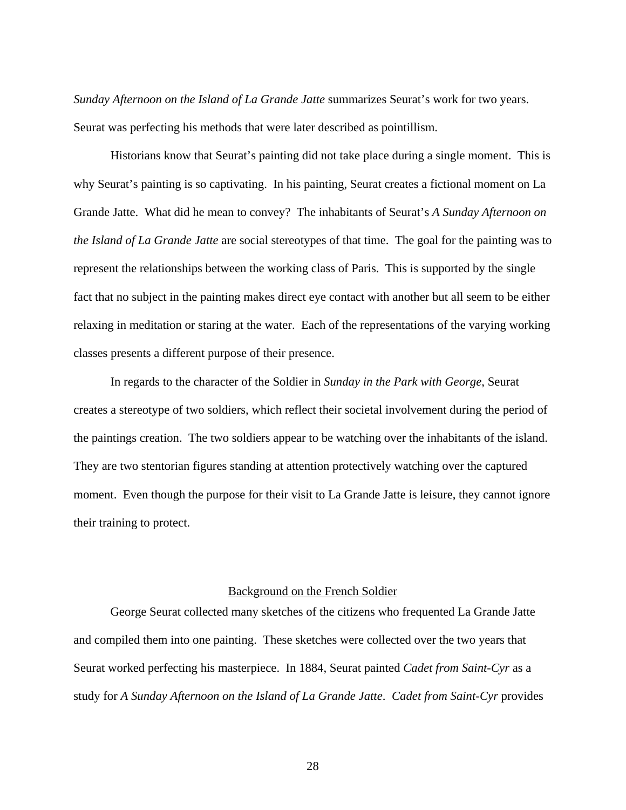*Sunday Afternoon on the Island of La Grande Jatte* summarizes Seurat's work for two years. Seurat was perfecting his methods that were later described as pointillism.

Historians know that Seurat's painting did not take place during a single moment. This is why Seurat's painting is so captivating. In his painting, Seurat creates a fictional moment on La Grande Jatte. What did he mean to convey? The inhabitants of Seurat's *A Sunday Afternoon on the Island of La Grande Jatte* are social stereotypes of that time. The goal for the painting was to represent the relationships between the working class of Paris. This is supported by the single fact that no subject in the painting makes direct eye contact with another but all seem to be either relaxing in meditation or staring at the water. Each of the representations of the varying working classes presents a different purpose of their presence.

In regards to the character of the Soldier in *Sunday in the Park with George*, Seurat creates a stereotype of two soldiers, which reflect their societal involvement during the period of the paintings creation. The two soldiers appear to be watching over the inhabitants of the island. They are two stentorian figures standing at attention protectively watching over the captured moment. Even though the purpose for their visit to La Grande Jatte is leisure, they cannot ignore their training to protect.

#### <span id="page-35-0"></span>Background on the French Soldier

George Seurat collected many sketches of the citizens who frequented La Grande Jatte and compiled them into one painting. These sketches were collected over the two years that Seurat worked perfecting his masterpiece. In 1884, Seurat painted *Cadet from Saint-Cyr* as a study for *A Sunday Afternoon on the Island of La Grande Jatte*. *Cadet from Saint-Cyr* provides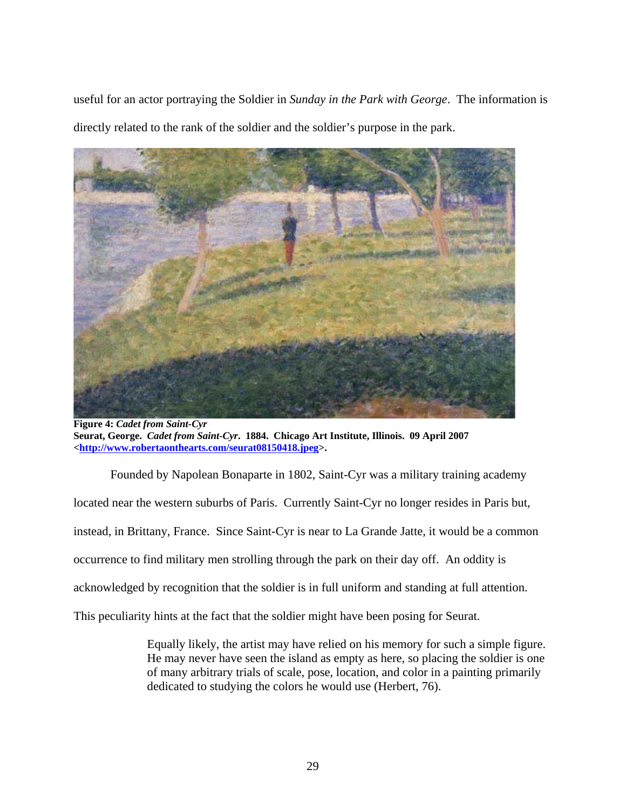useful for an actor portraying the Soldier in *Sunday in the Park with George*. The information is directly related to the rank of the soldier and the soldier's purpose in the park.



**Figure 4:** *Cadet from Saint-Cyr*  **Seurat, George.** *Cadet from Saint-Cyr***. 1884. Chicago Art Institute, Illinois. 09 April 2007 [<http://www.robertaonthearts.com/seurat08150418.jpeg>](http://www.robertaonthearts.com/seurat08150418.jpeg).** 

 Founded by Napolean Bonaparte in 1802, Saint-Cyr was a military training academy located near the western suburbs of Paris. Currently Saint-Cyr no longer resides in Paris but, instead, in Brittany, France. Since Saint-Cyr is near to La Grande Jatte, it would be a common occurrence to find military men strolling through the park on their day off. An oddity is acknowledged by recognition that the soldier is in full uniform and standing at full attention. This peculiarity hints at the fact that the soldier might have been posing for Seurat.

> Equally likely, the artist may have relied on his memory for such a simple figure. He may never have seen the island as empty as here, so placing the soldier is one of many arbitrary trials of scale, pose, location, and color in a painting primarily dedicated to studying the colors he would use (Herbert, 76).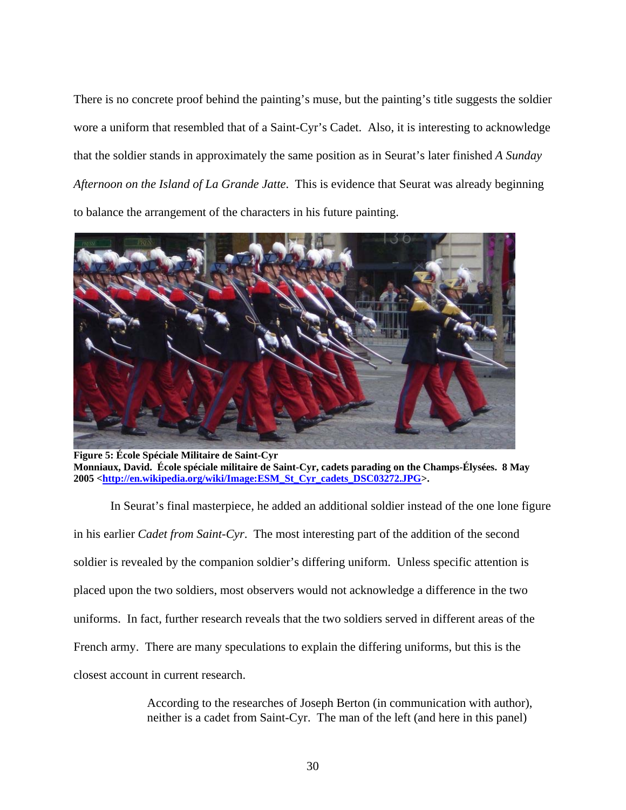There is no concrete proof behind the painting's muse, but the painting's title suggests the soldier wore a uniform that resembled that of a Saint-Cyr's Cadet. Also, it is interesting to acknowledge that the soldier stands in approximately the same position as in Seurat's later finished *A Sunday Afternoon on the Island of La Grande Jatte*. This is evidence that Seurat was already beginning to balance the arrangement of the characters in his future painting.



**Figure 5: École Spéciale Militaire de Saint-Cyr Monniaux, David. École spéciale militaire de Saint-Cyr, cadets parading on the Champs-Élysées. 8 May 2005 <[http://en.wikipedia.org/wiki/Image:ESM\\_St\\_Cyr\\_cadets\\_DSC03272.JPG>](http://en.wikipedia.org/wiki/Image:ESM_St_Cyr_cadets_DSC03272.JPG).**

 In Seurat's final masterpiece, he added an additional soldier instead of the one lone figure in his earlier *Cadet from Saint-Cyr*. The most interesting part of the addition of the second soldier is revealed by the companion soldier's differing uniform. Unless specific attention is placed upon the two soldiers, most observers would not acknowledge a difference in the two uniforms. In fact, further research reveals that the two soldiers served in different areas of the French army. There are many speculations to explain the differing uniforms, but this is the closest account in current research.

> According to the researches of Joseph Berton (in communication with author), neither is a cadet from Saint-Cyr. The man of the left (and here in this panel)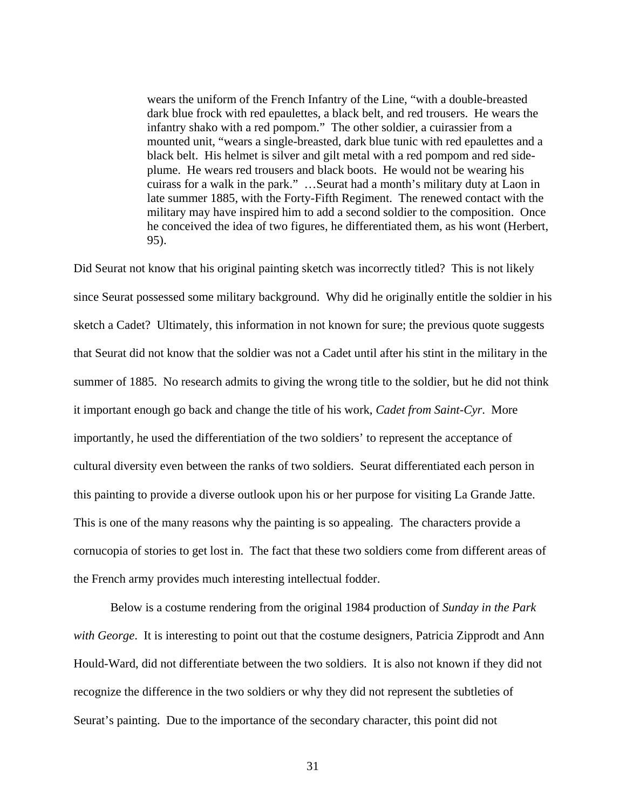wears the uniform of the French Infantry of the Line, "with a double-breasted dark blue frock with red epaulettes, a black belt, and red trousers. He wears the infantry shako with a red pompom." The other soldier, a cuirassier from a mounted unit, "wears a single-breasted, dark blue tunic with red epaulettes and a black belt. His helmet is silver and gilt metal with a red pompom and red sideplume. He wears red trousers and black boots. He would not be wearing his cuirass for a walk in the park." …Seurat had a month's military duty at Laon in late summer 1885, with the Forty-Fifth Regiment. The renewed contact with the military may have inspired him to add a second soldier to the composition. Once he conceived the idea of two figures, he differentiated them, as his wont (Herbert, 95).

Did Seurat not know that his original painting sketch was incorrectly titled? This is not likely since Seurat possessed some military background. Why did he originally entitle the soldier in his sketch a Cadet? Ultimately, this information in not known for sure; the previous quote suggests that Seurat did not know that the soldier was not a Cadet until after his stint in the military in the summer of 1885. No research admits to giving the wrong title to the soldier, but he did not think it important enough go back and change the title of his work, *Cadet from Saint-Cyr*. More importantly, he used the differentiation of the two soldiers' to represent the acceptance of cultural diversity even between the ranks of two soldiers. Seurat differentiated each person in this painting to provide a diverse outlook upon his or her purpose for visiting La Grande Jatte. This is one of the many reasons why the painting is so appealing. The characters provide a cornucopia of stories to get lost in. The fact that these two soldiers come from different areas of the French army provides much interesting intellectual fodder.

 Below is a costume rendering from the original 1984 production of *Sunday in the Park with George*. It is interesting to point out that the costume designers, Patricia Zipprodt and Ann Hould-Ward, did not differentiate between the two soldiers. It is also not known if they did not recognize the difference in the two soldiers or why they did not represent the subtleties of Seurat's painting. Due to the importance of the secondary character, this point did not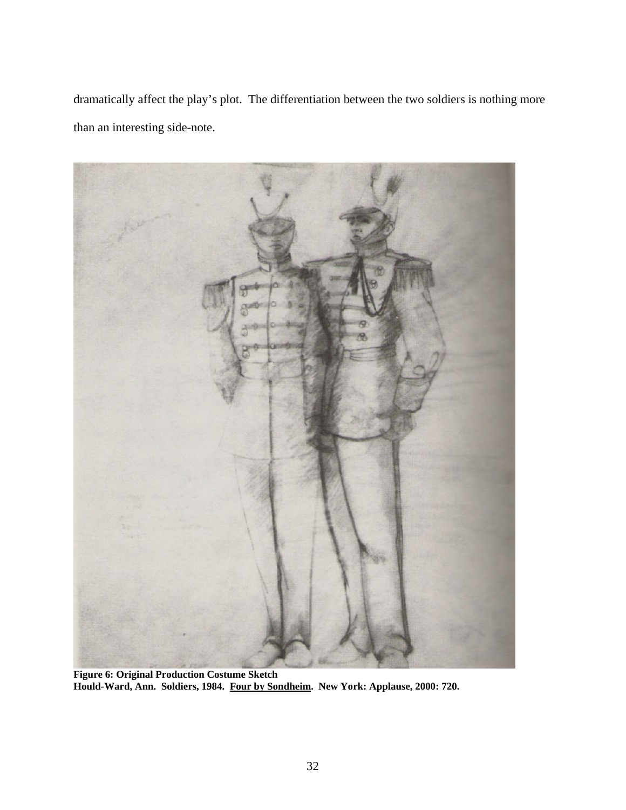dramatically affect the play's plot. The differentiation between the two soldiers is nothing more than an interesting side-note.



**Figure 6: Original Production Costume Sketch Hould-Ward, Ann. Soldiers, 1984. Four by Sondheim. New York: Applause, 2000: 720.**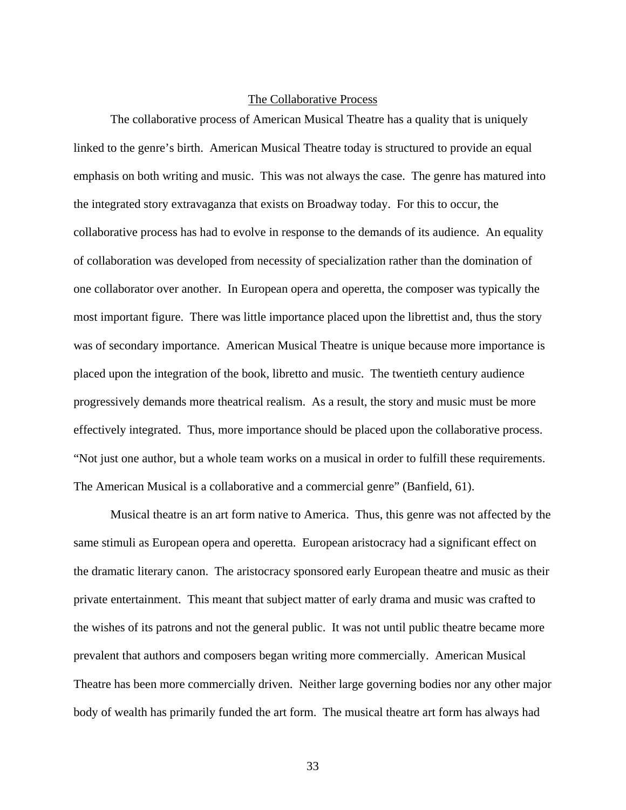### The Collaborative Process

 The collaborative process of American Musical Theatre has a quality that is uniquely linked to the genre's birth. American Musical Theatre today is structured to provide an equal emphasis on both writing and music. This was not always the case. The genre has matured into the integrated story extravaganza that exists on Broadway today. For this to occur, the collaborative process has had to evolve in response to the demands of its audience. An equality of collaboration was developed from necessity of specialization rather than the domination of one collaborator over another. In European opera and operetta, the composer was typically the most important figure. There was little importance placed upon the librettist and, thus the story was of secondary importance. American Musical Theatre is unique because more importance is placed upon the integration of the book, libretto and music. The twentieth century audience progressively demands more theatrical realism. As a result, the story and music must be more effectively integrated. Thus, more importance should be placed upon the collaborative process. "Not just one author, but a whole team works on a musical in order to fulfill these requirements. The American Musical is a collaborative and a commercial genre" (Banfield, 61).

Musical theatre is an art form native to America. Thus, this genre was not affected by the same stimuli as European opera and operetta. European aristocracy had a significant effect on the dramatic literary canon. The aristocracy sponsored early European theatre and music as their private entertainment. This meant that subject matter of early drama and music was crafted to the wishes of its patrons and not the general public. It was not until public theatre became more prevalent that authors and composers began writing more commercially. American Musical Theatre has been more commercially driven. Neither large governing bodies nor any other major body of wealth has primarily funded the art form. The musical theatre art form has always had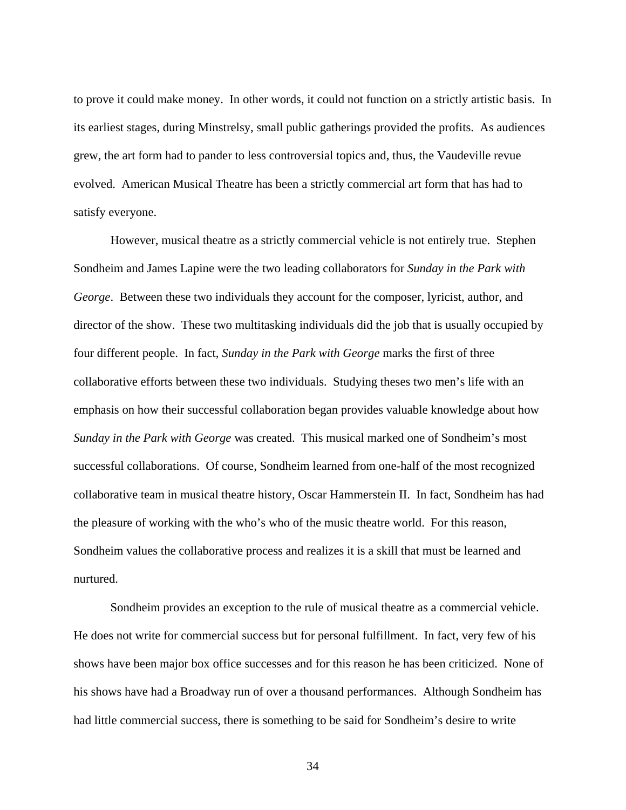to prove it could make money. In other words, it could not function on a strictly artistic basis. In its earliest stages, during Minstrelsy, small public gatherings provided the profits. As audiences grew, the art form had to pander to less controversial topics and, thus, the Vaudeville revue evolved. American Musical Theatre has been a strictly commercial art form that has had to satisfy everyone.

 However, musical theatre as a strictly commercial vehicle is not entirely true. Stephen Sondheim and James Lapine were the two leading collaborators for *Sunday in the Park with George*. Between these two individuals they account for the composer, lyricist, author, and director of the show. These two multitasking individuals did the job that is usually occupied by four different people. In fact, *Sunday in the Park with George* marks the first of three collaborative efforts between these two individuals. Studying theses two men's life with an emphasis on how their successful collaboration began provides valuable knowledge about how *Sunday in the Park with George* was created. This musical marked one of Sondheim's most successful collaborations. Of course, Sondheim learned from one-half of the most recognized collaborative team in musical theatre history, Oscar Hammerstein II. In fact, Sondheim has had the pleasure of working with the who's who of the music theatre world. For this reason, Sondheim values the collaborative process and realizes it is a skill that must be learned and nurtured.

Sondheim provides an exception to the rule of musical theatre as a commercial vehicle. He does not write for commercial success but for personal fulfillment. In fact, very few of his shows have been major box office successes and for this reason he has been criticized. None of his shows have had a Broadway run of over a thousand performances. Although Sondheim has had little commercial success, there is something to be said for Sondheim's desire to write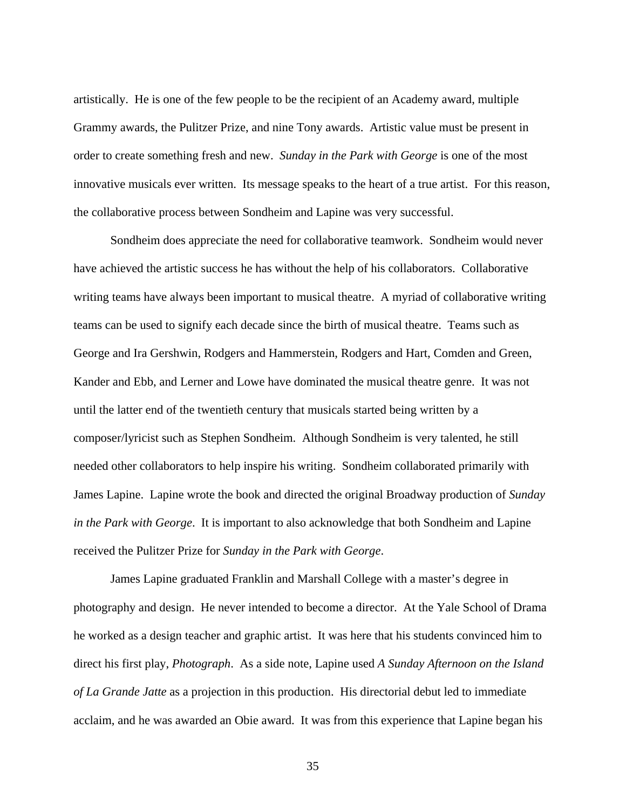artistically. He is one of the few people to be the recipient of an Academy award, multiple Grammy awards, the Pulitzer Prize, and nine Tony awards. Artistic value must be present in order to create something fresh and new. *Sunday in the Park with George* is one of the most innovative musicals ever written. Its message speaks to the heart of a true artist. For this reason, the collaborative process between Sondheim and Lapine was very successful.

Sondheim does appreciate the need for collaborative teamwork. Sondheim would never have achieved the artistic success he has without the help of his collaborators. Collaborative writing teams have always been important to musical theatre. A myriad of collaborative writing teams can be used to signify each decade since the birth of musical theatre. Teams such as George and Ira Gershwin, Rodgers and Hammerstein, Rodgers and Hart, Comden and Green, Kander and Ebb, and Lerner and Lowe have dominated the musical theatre genre. It was not until the latter end of the twentieth century that musicals started being written by a composer/lyricist such as Stephen Sondheim. Although Sondheim is very talented, he still needed other collaborators to help inspire his writing. Sondheim collaborated primarily with James Lapine. Lapine wrote the book and directed the original Broadway production of *Sunday in the Park with George*. It is important to also acknowledge that both Sondheim and Lapine received the Pulitzer Prize for *Sunday in the Park with George*.

James Lapine graduated Franklin and Marshall College with a master's degree in photography and design. He never intended to become a director. At the Yale School of Drama he worked as a design teacher and graphic artist. It was here that his students convinced him to direct his first play, *Photograph*. As a side note, Lapine used *A Sunday Afternoon on the Island of La Grande Jatte* as a projection in this production. His directorial debut led to immediate acclaim, and he was awarded an Obie award. It was from this experience that Lapine began his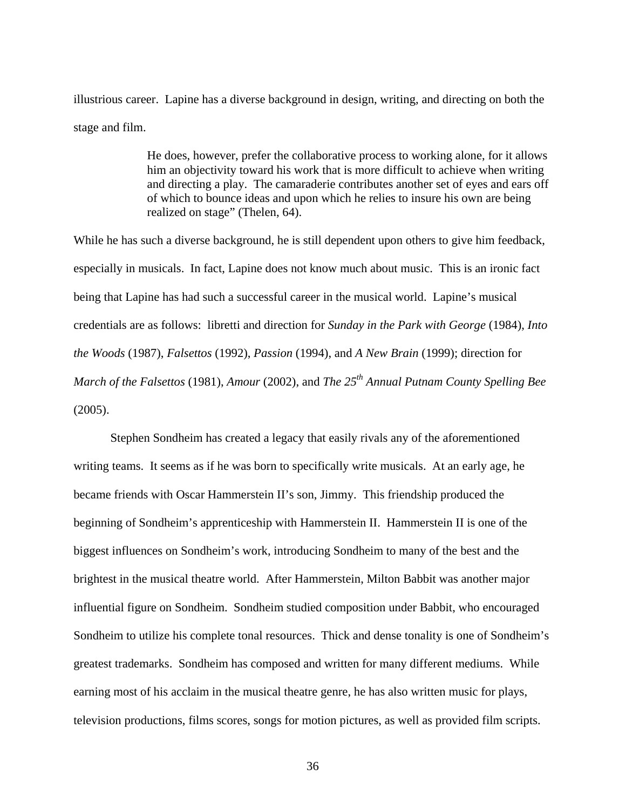illustrious career. Lapine has a diverse background in design, writing, and directing on both the stage and film.

> He does, however, prefer the collaborative process to working alone, for it allows him an objectivity toward his work that is more difficult to achieve when writing and directing a play. The camaraderie contributes another set of eyes and ears off of which to bounce ideas and upon which he relies to insure his own are being realized on stage" (Thelen, 64).

While he has such a diverse background, he is still dependent upon others to give him feedback, especially in musicals. In fact, Lapine does not know much about music. This is an ironic fact being that Lapine has had such a successful career in the musical world. Lapine's musical credentials are as follows: libretti and direction for *Sunday in the Park with George* (1984), *Into the Woods* (1987), *Falsettos* (1992), *Passion* (1994), and *A New Brain* (1999); direction for *March of the Falsettos* (1981), *Amour* (2002), and *The 25th Annual Putnam County Spelling Bee* (2005).

Stephen Sondheim has created a legacy that easily rivals any of the aforementioned writing teams. It seems as if he was born to specifically write musicals. At an early age, he became friends with Oscar Hammerstein II's son, Jimmy. This friendship produced the beginning of Sondheim's apprenticeship with Hammerstein II. Hammerstein II is one of the biggest influences on Sondheim's work, introducing Sondheim to many of the best and the brightest in the musical theatre world. After Hammerstein, Milton Babbit was another major influential figure on Sondheim. Sondheim studied composition under Babbit, who encouraged Sondheim to utilize his complete tonal resources. Thick and dense tonality is one of Sondheim's greatest trademarks. Sondheim has composed and written for many different mediums. While earning most of his acclaim in the musical theatre genre, he has also written music for plays, television productions, films scores, songs for motion pictures, as well as provided film scripts.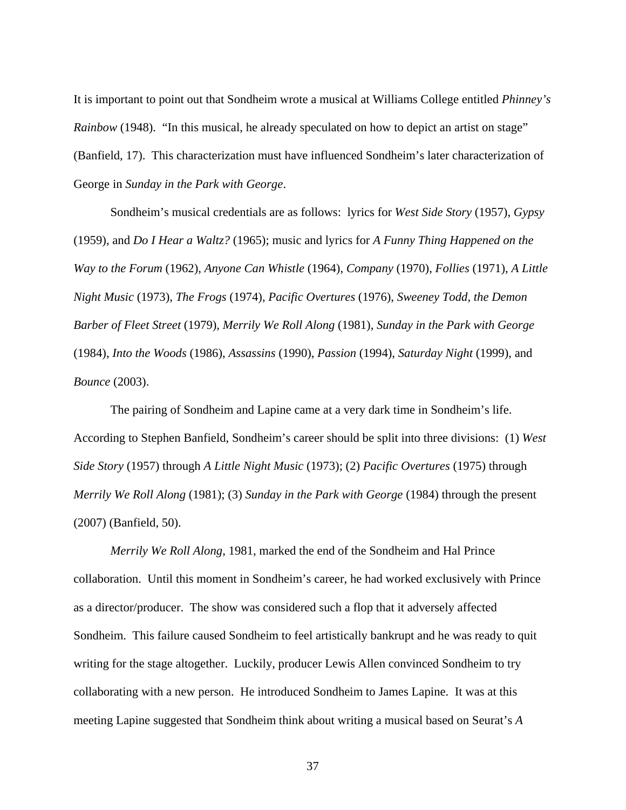It is important to point out that Sondheim wrote a musical at Williams College entitled *Phinney's Rainbow* (1948). "In this musical, he already speculated on how to depict an artist on stage" (Banfield, 17). This characterization must have influenced Sondheim's later characterization of George in *Sunday in the Park with George*.

Sondheim's musical credentials are as follows: lyrics for *West Side Story* (1957), *Gypsy* (1959), and *Do I Hear a Waltz?* (1965); music and lyrics for *A Funny Thing Happened on the Way to the Forum* (1962), *Anyone Can Whistle* (1964), *Company* (1970), *Follies* (1971), *A Little Night Music* (1973), *The Frogs* (1974), *Pacific Overtures* (1976), *Sweeney Todd, the Demon Barber of Fleet Street* (1979), *Merrily We Roll Along* (1981), *Sunday in the Park with George* (1984), *Into the Woods* (1986), *Assassins* (1990), *Passion* (1994), *Saturday Night* (1999), and *Bounce* (2003).

The pairing of Sondheim and Lapine came at a very dark time in Sondheim's life. According to Stephen Banfield, Sondheim's career should be split into three divisions: (1) *West Side Story* (1957) through *A Little Night Music* (1973); (2) *Pacific Overtures* (1975) through *Merrily We Roll Along* (1981); (3) *Sunday in the Park with George* (1984) through the present (2007) (Banfield, 50).

*Merrily We Roll Along*, 1981, marked the end of the Sondheim and Hal Prince collaboration. Until this moment in Sondheim's career, he had worked exclusively with Prince as a director/producer. The show was considered such a flop that it adversely affected Sondheim. This failure caused Sondheim to feel artistically bankrupt and he was ready to quit writing for the stage altogether. Luckily, producer Lewis Allen convinced Sondheim to try collaborating with a new person. He introduced Sondheim to James Lapine. It was at this meeting Lapine suggested that Sondheim think about writing a musical based on Seurat's *A*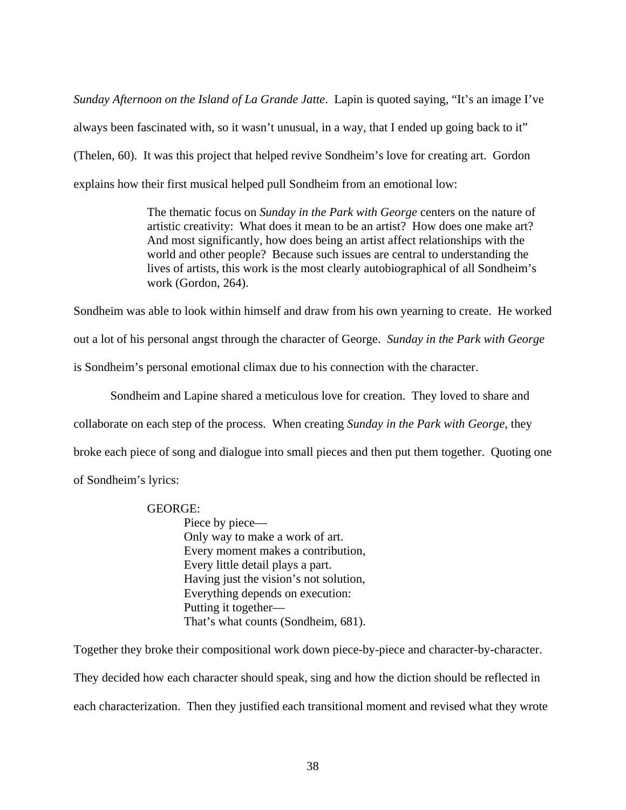*Sunday Afternoon on the Island of La Grande Jatte*. Lapin is quoted saying, "It's an image I've always been fascinated with, so it wasn't unusual, in a way, that I ended up going back to it" (Thelen, 60). It was this project that helped revive Sondheim's love for creating art. Gordon explains how their first musical helped pull Sondheim from an emotional low:

> The thematic focus on *Sunday in the Park with George* centers on the nature of artistic creativity: What does it mean to be an artist? How does one make art? And most significantly, how does being an artist affect relationships with the world and other people? Because such issues are central to understanding the lives of artists, this work is the most clearly autobiographical of all Sondheim's work (Gordon, 264).

Sondheim was able to look within himself and draw from his own yearning to create. He worked out a lot of his personal angst through the character of George. *Sunday in the Park with George* is Sondheim's personal emotional climax due to his connection with the character.

Sondheim and Lapine shared a meticulous love for creation. They loved to share and collaborate on each step of the process. When creating *Sunday in the Park with George*, they broke each piece of song and dialogue into small pieces and then put them together. Quoting one of Sondheim's lyrics:

# GEORGE:

Piece by piece— Only way to make a work of art. Every moment makes a contribution, Every little detail plays a part. Having just the vision's not solution, Everything depends on execution: Putting it together— That's what counts (Sondheim, 681).

Together they broke their compositional work down piece-by-piece and character-by-character. They decided how each character should speak, sing and how the diction should be reflected in each characterization. Then they justified each transitional moment and revised what they wrote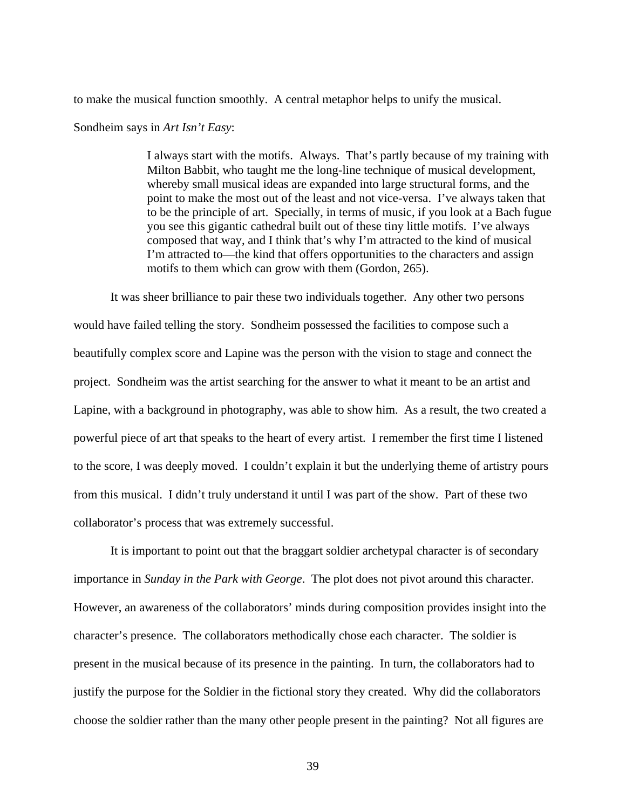to make the musical function smoothly. A central metaphor helps to unify the musical.

#### Sondheim says in *Art Isn't Easy*:

I always start with the motifs. Always. That's partly because of my training with Milton Babbit, who taught me the long-line technique of musical development, whereby small musical ideas are expanded into large structural forms, and the point to make the most out of the least and not vice-versa. I've always taken that to be the principle of art. Specially, in terms of music, if you look at a Bach fugue you see this gigantic cathedral built out of these tiny little motifs. I've always composed that way, and I think that's why I'm attracted to the kind of musical I'm attracted to—the kind that offers opportunities to the characters and assign motifs to them which can grow with them (Gordon, 265).

It was sheer brilliance to pair these two individuals together. Any other two persons would have failed telling the story. Sondheim possessed the facilities to compose such a beautifully complex score and Lapine was the person with the vision to stage and connect the project. Sondheim was the artist searching for the answer to what it meant to be an artist and Lapine, with a background in photography, was able to show him. As a result, the two created a powerful piece of art that speaks to the heart of every artist. I remember the first time I listened to the score, I was deeply moved. I couldn't explain it but the underlying theme of artistry pours from this musical. I didn't truly understand it until I was part of the show. Part of these two collaborator's process that was extremely successful.

It is important to point out that the braggart soldier archetypal character is of secondary importance in *Sunday in the Park with George*. The plot does not pivot around this character. However, an awareness of the collaborators' minds during composition provides insight into the character's presence. The collaborators methodically chose each character. The soldier is present in the musical because of its presence in the painting. In turn, the collaborators had to justify the purpose for the Soldier in the fictional story they created. Why did the collaborators choose the soldier rather than the many other people present in the painting? Not all figures are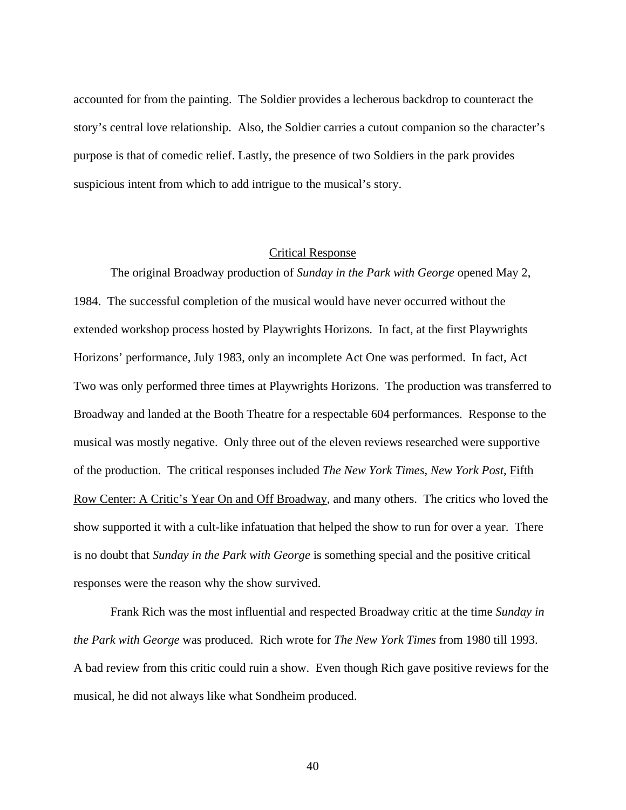accounted for from the painting. The Soldier provides a lecherous backdrop to counteract the story's central love relationship. Also, the Soldier carries a cutout companion so the character's purpose is that of comedic relief. Lastly, the presence of two Soldiers in the park provides suspicious intent from which to add intrigue to the musical's story.

## Critical Response

 The original Broadway production of *Sunday in the Park with George* opened May 2, 1984. The successful completion of the musical would have never occurred without the extended workshop process hosted by Playwrights Horizons. In fact, at the first Playwrights Horizons' performance, July 1983, only an incomplete Act One was performed. In fact, Act Two was only performed three times at Playwrights Horizons. The production was transferred to Broadway and landed at the Booth Theatre for a respectable 604 performances. Response to the musical was mostly negative. Only three out of the eleven reviews researched were supportive of the production. The critical responses included *The New York Times*, *New York Post*, Fifth Row Center: A Critic's Year On and Off Broadway, and many others. The critics who loved the show supported it with a cult-like infatuation that helped the show to run for over a year. There is no doubt that *Sunday in the Park with George* is something special and the positive critical responses were the reason why the show survived.

 Frank Rich was the most influential and respected Broadway critic at the time *Sunday in the Park with George* was produced. Rich wrote for *The New York Times* from 1980 till 1993. A bad review from this critic could ruin a show. Even though Rich gave positive reviews for the musical, he did not always like what Sondheim produced.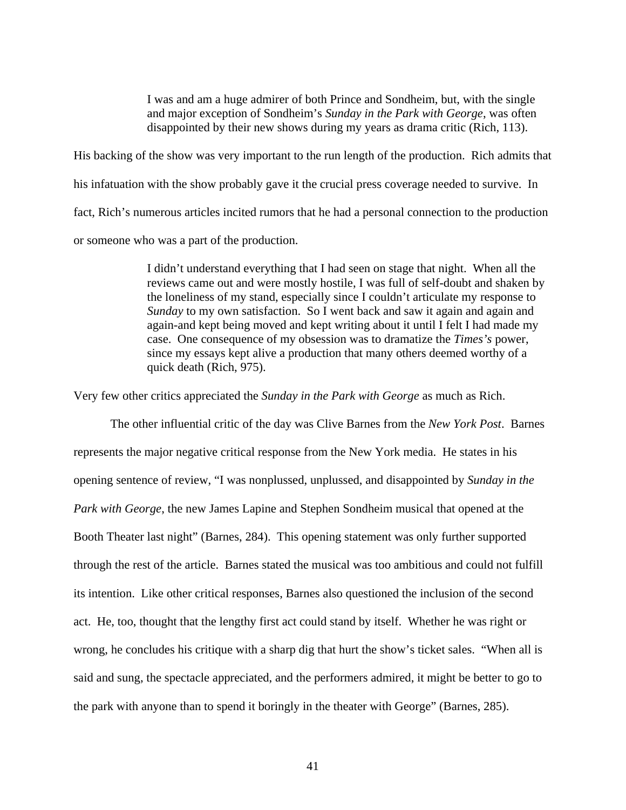I was and am a huge admirer of both Prince and Sondheim, but, with the single and major exception of Sondheim's *Sunday in the Park with George*, was often disappointed by their new shows during my years as drama critic (Rich, 113).

His backing of the show was very important to the run length of the production. Rich admits that his infatuation with the show probably gave it the crucial press coverage needed to survive. In fact, Rich's numerous articles incited rumors that he had a personal connection to the production or someone who was a part of the production.

> I didn't understand everything that I had seen on stage that night. When all the reviews came out and were mostly hostile, I was full of self-doubt and shaken by the loneliness of my stand, especially since I couldn't articulate my response to *Sunday* to my own satisfaction. So I went back and saw it again and again and again-and kept being moved and kept writing about it until I felt I had made my case. One consequence of my obsession was to dramatize the *Times's* power, since my essays kept alive a production that many others deemed worthy of a quick death (Rich, 975).

Very few other critics appreciated the *Sunday in the Park with George* as much as Rich.

 The other influential critic of the day was Clive Barnes from the *New York Post*. Barnes represents the major negative critical response from the New York media. He states in his opening sentence of review, "I was nonplussed, unplussed, and disappointed by *Sunday in the Park with George*, the new James Lapine and Stephen Sondheim musical that opened at the Booth Theater last night" (Barnes, 284). This opening statement was only further supported through the rest of the article. Barnes stated the musical was too ambitious and could not fulfill its intention. Like other critical responses, Barnes also questioned the inclusion of the second act. He, too, thought that the lengthy first act could stand by itself. Whether he was right or wrong, he concludes his critique with a sharp dig that hurt the show's ticket sales. "When all is said and sung, the spectacle appreciated, and the performers admired, it might be better to go to the park with anyone than to spend it boringly in the theater with George" (Barnes, 285).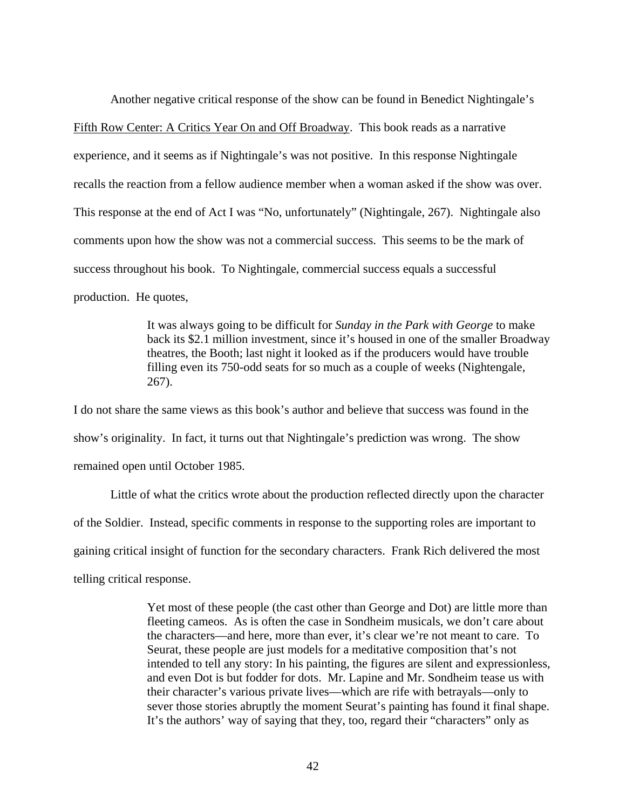Another negative critical response of the show can be found in Benedict Nightingale's Fifth Row Center: A Critics Year On and Off Broadway. This book reads as a narrative experience, and it seems as if Nightingale's was not positive. In this response Nightingale recalls the reaction from a fellow audience member when a woman asked if the show was over. This response at the end of Act I was "No, unfortunately" (Nightingale, 267). Nightingale also comments upon how the show was not a commercial success. This seems to be the mark of success throughout his book. To Nightingale, commercial success equals a successful production. He quotes,

> It was always going to be difficult for *Sunday in the Park with George* to make back its \$2.1 million investment, since it's housed in one of the smaller Broadway theatres, the Booth; last night it looked as if the producers would have trouble filling even its 750-odd seats for so much as a couple of weeks (Nightengale, 267).

I do not share the same views as this book's author and believe that success was found in the show's originality. In fact, it turns out that Nightingale's prediction was wrong. The show remained open until October 1985.

 Little of what the critics wrote about the production reflected directly upon the character of the Soldier. Instead, specific comments in response to the supporting roles are important to gaining critical insight of function for the secondary characters. Frank Rich delivered the most telling critical response.

> Yet most of these people (the cast other than George and Dot) are little more than fleeting cameos. As is often the case in Sondheim musicals, we don't care about the characters—and here, more than ever, it's clear we're not meant to care. To Seurat, these people are just models for a meditative composition that's not intended to tell any story: In his painting, the figures are silent and expressionless, and even Dot is but fodder for dots. Mr. Lapine and Mr. Sondheim tease us with their character's various private lives—which are rife with betrayals—only to sever those stories abruptly the moment Seurat's painting has found it final shape. It's the authors' way of saying that they, too, regard their "characters" only as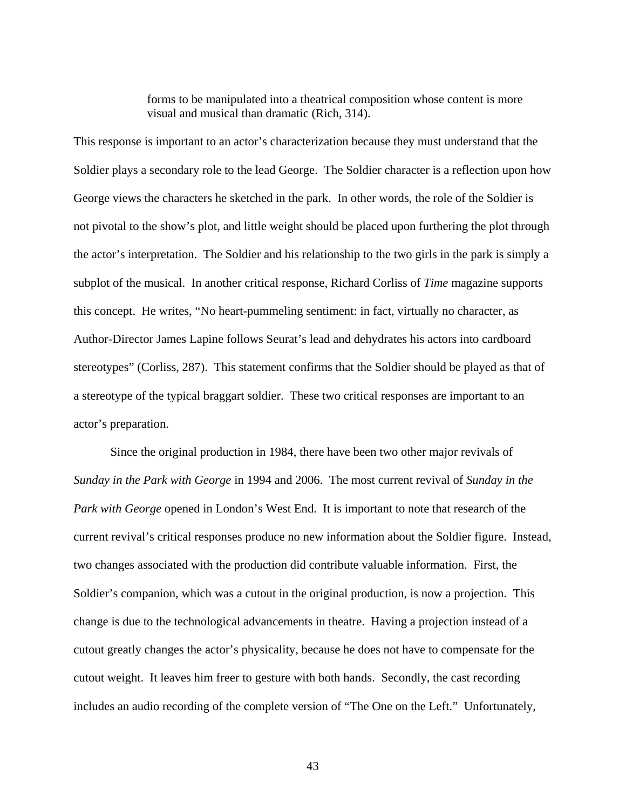forms to be manipulated into a theatrical composition whose content is more visual and musical than dramatic (Rich, 314).

This response is important to an actor's characterization because they must understand that the Soldier plays a secondary role to the lead George. The Soldier character is a reflection upon how George views the characters he sketched in the park. In other words, the role of the Soldier is not pivotal to the show's plot, and little weight should be placed upon furthering the plot through the actor's interpretation. The Soldier and his relationship to the two girls in the park is simply a subplot of the musical. In another critical response, Richard Corliss of *Time* magazine supports this concept. He writes, "No heart-pummeling sentiment: in fact, virtually no character, as Author-Director James Lapine follows Seurat's lead and dehydrates his actors into cardboard stereotypes" (Corliss, 287). This statement confirms that the Soldier should be played as that of a stereotype of the typical braggart soldier. These two critical responses are important to an actor's preparation.

 Since the original production in 1984, there have been two other major revivals of *Sunday in the Park with George* in 1994 and 2006. The most current revival of *Sunday in the Park with George* opened in London's West End. It is important to note that research of the current revival's critical responses produce no new information about the Soldier figure. Instead, two changes associated with the production did contribute valuable information. First, the Soldier's companion, which was a cutout in the original production, is now a projection. This change is due to the technological advancements in theatre. Having a projection instead of a cutout greatly changes the actor's physicality, because he does not have to compensate for the cutout weight. It leaves him freer to gesture with both hands. Secondly, the cast recording includes an audio recording of the complete version of "The One on the Left." Unfortunately,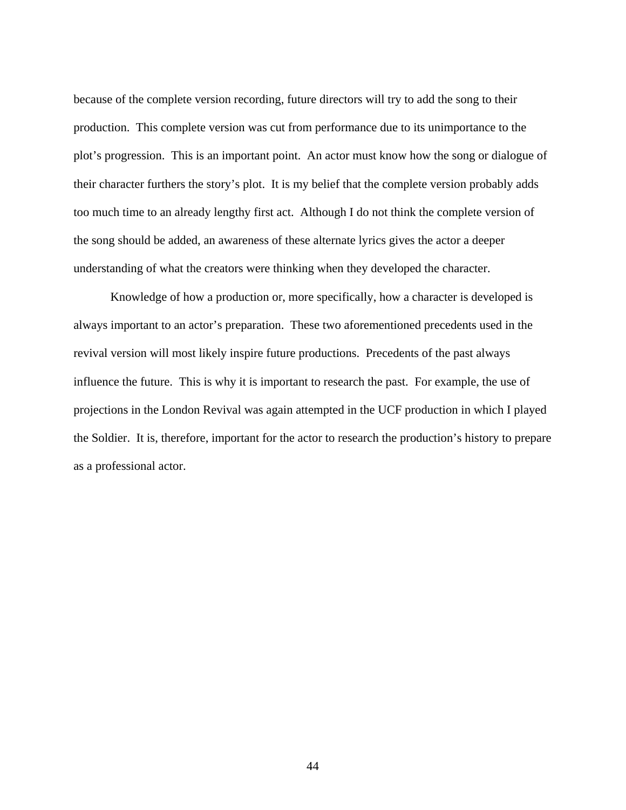because of the complete version recording, future directors will try to add the song to their production. This complete version was cut from performance due to its unimportance to the plot's progression. This is an important point. An actor must know how the song or dialogue of their character furthers the story's plot. It is my belief that the complete version probably adds too much time to an already lengthy first act. Although I do not think the complete version of the song should be added, an awareness of these alternate lyrics gives the actor a deeper understanding of what the creators were thinking when they developed the character.

Knowledge of how a production or, more specifically, how a character is developed is always important to an actor's preparation. These two aforementioned precedents used in the revival version will most likely inspire future productions. Precedents of the past always influence the future. This is why it is important to research the past. For example, the use of projections in the London Revival was again attempted in the UCF production in which I played the Soldier. It is, therefore, important for the actor to research the production's history to prepare as a professional actor.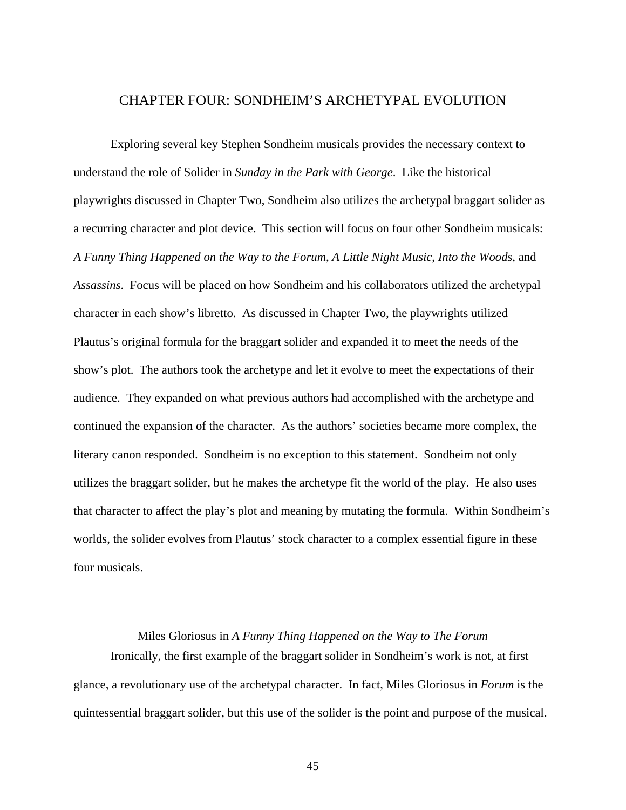## CHAPTER FOUR: SONDHEIM'S ARCHETYPAL EVOLUTION

 Exploring several key Stephen Sondheim musicals provides the necessary context to understand the role of Solider in *Sunday in the Park with George*. Like the historical playwrights discussed in Chapter Two, Sondheim also utilizes the archetypal braggart solider as a recurring character and plot device. This section will focus on four other Sondheim musicals: *A Funny Thing Happened on the Way to the Forum*, *A Little Night Music*, *Into the Woods*, and *Assassins*. Focus will be placed on how Sondheim and his collaborators utilized the archetypal character in each show's libretto. As discussed in Chapter Two, the playwrights utilized Plautus's original formula for the braggart solider and expanded it to meet the needs of the show's plot. The authors took the archetype and let it evolve to meet the expectations of their audience. They expanded on what previous authors had accomplished with the archetype and continued the expansion of the character. As the authors' societies became more complex, the literary canon responded. Sondheim is no exception to this statement. Sondheim not only utilizes the braggart solider, but he makes the archetype fit the world of the play. He also uses that character to affect the play's plot and meaning by mutating the formula. Within Sondheim's worlds, the solider evolves from Plautus' stock character to a complex essential figure in these four musicals.

# Miles Gloriosus in *A Funny Thing Happened on the Way to The Forum*

 Ironically, the first example of the braggart solider in Sondheim's work is not, at first glance, a revolutionary use of the archetypal character. In fact, Miles Gloriosus in *Forum* is the quintessential braggart solider, but this use of the solider is the point and purpose of the musical.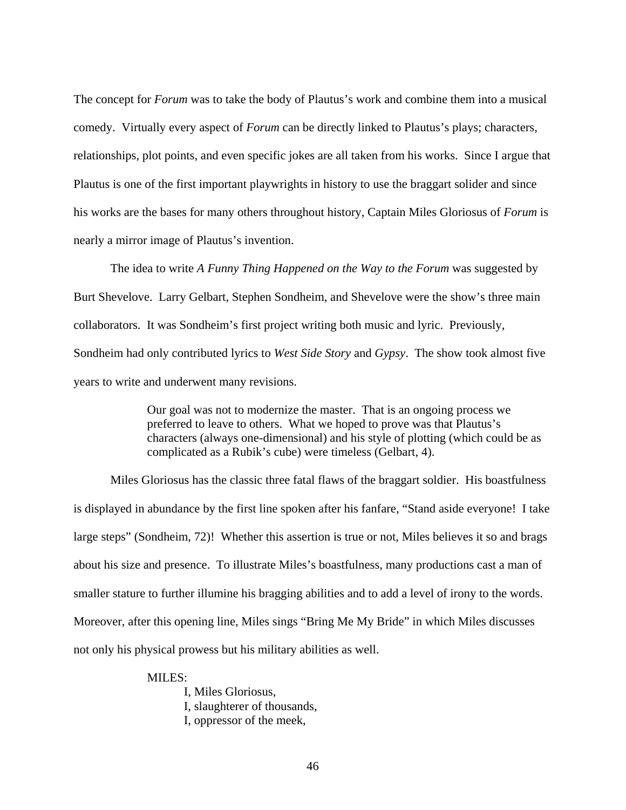The concept for *Forum* was to take the body of Plautus's work and combine them into a musical comedy. Virtually every aspect of *Forum* can be directly linked to Plautus's plays; characters, relationships, plot points, and even specific jokes are all taken from his works. Since I argue that Plautus is one of the first important playwrights in history to use the braggart solider and since his works are the bases for many others throughout history, Captain Miles Gloriosus of *Forum* is nearly a mirror image of Plautus's invention.

The idea to write *A Funny Thing Happened on the Way to the Forum* was suggested by Burt Shevelove. Larry Gelbart, Stephen Sondheim, and Shevelove were the show's three main collaborators. It was Sondheim's first project writing both music and lyric. Previously, Sondheim had only contributed lyrics to *West Side Story* and *Gypsy*. The show took almost five years to write and underwent many revisions.

> Our goal was not to modernize the master. That is an ongoing process we preferred to leave to others. What we hoped to prove was that Plautus's characters (always one-dimensional) and his style of plotting (which could be as complicated as a Rubik's cube) were timeless (Gelbart, 4).

 Miles Gloriosus has the classic three fatal flaws of the braggart soldier. His boastfulness is displayed in abundance by the first line spoken after his fanfare, "Stand aside everyone! I take large steps" (Sondheim, 72)! Whether this assertion is true or not, Miles believes it so and brags about his size and presence. To illustrate Miles's boastfulness, many productions cast a man of smaller stature to further illumine his bragging abilities and to add a level of irony to the words. Moreover, after this opening line, Miles sings "Bring Me My Bride" in which Miles discusses not only his physical prowess but his military abilities as well.

#### MILES:

I, Miles Gloriosus, I, slaughterer of thousands, I, oppressor of the meek,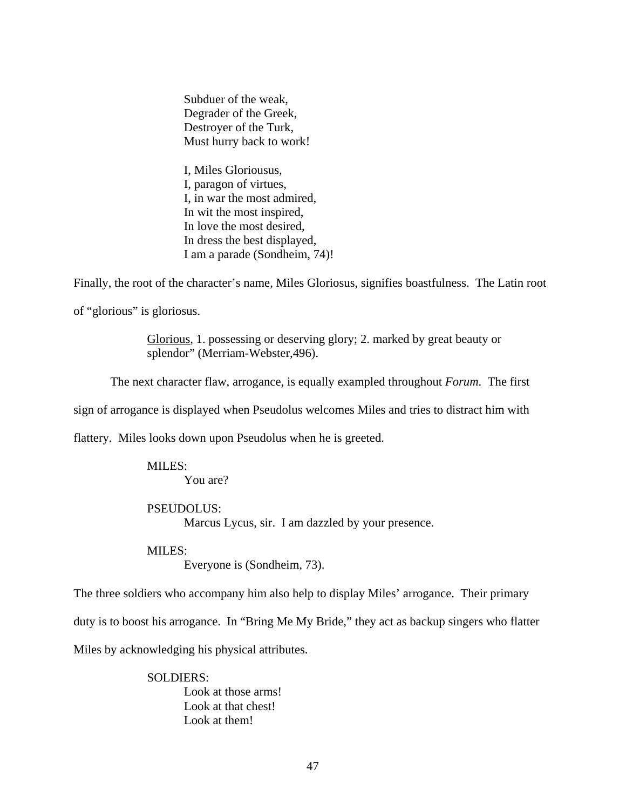Subduer of the weak, Degrader of the Greek, Destroyer of the Turk, Must hurry back to work!

 I, Miles Gloriousus, I, paragon of virtues, I, in war the most admired, In wit the most inspired, In love the most desired, In dress the best displayed, I am a parade (Sondheim, 74)!

Finally, the root of the character's name, Miles Gloriosus, signifies boastfulness. The Latin root of "glorious" is gloriosus.

> Glorious, 1. possessing or deserving glory; 2. marked by great beauty or splendor" (Merriam-Webster,496).

The next character flaw, arrogance, is equally exampled throughout *Forum*. The first

sign of arrogance is displayed when Pseudolus welcomes Miles and tries to distract him with

flattery. Miles looks down upon Pseudolus when he is greeted.

MILES:

You are?

PSEUDOLUS:

Marcus Lycus, sir. I am dazzled by your presence.

MILES:

Everyone is (Sondheim, 73).

The three soldiers who accompany him also help to display Miles' arrogance. Their primary

duty is to boost his arrogance. In "Bring Me My Bride," they act as backup singers who flatter

Miles by acknowledging his physical attributes.

 SOLDIERS: Look at those arms! Look at that chest! Look at them!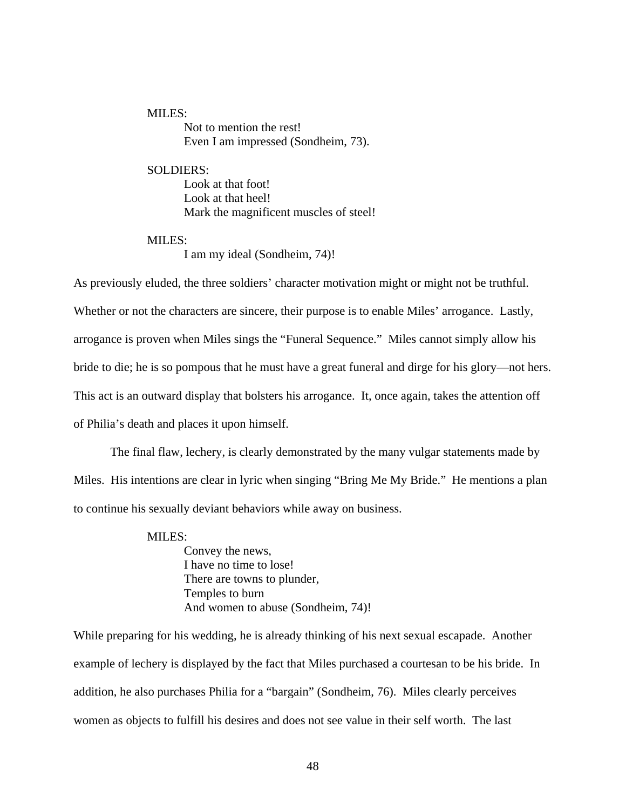## MILES:

 Not to mention the rest! Even I am impressed (Sondheim, 73).

### SOLDIERS:

 Look at that foot! Look at that heel! Mark the magnificent muscles of steel!

#### MILES:

I am my ideal (Sondheim, 74)!

As previously eluded, the three soldiers' character motivation might or might not be truthful. Whether or not the characters are sincere, their purpose is to enable Miles' arrogance. Lastly, arrogance is proven when Miles sings the "Funeral Sequence." Miles cannot simply allow his bride to die; he is so pompous that he must have a great funeral and dirge for his glory—not hers. This act is an outward display that bolsters his arrogance. It, once again, takes the attention off of Philia's death and places it upon himself.

The final flaw, lechery, is clearly demonstrated by the many vulgar statements made by Miles. His intentions are clear in lyric when singing "Bring Me My Bride." He mentions a plan to continue his sexually deviant behaviors while away on business.

#### MILES:

Convey the news, I have no time to lose! There are towns to plunder, Temples to burn And women to abuse (Sondheim, 74)!

While preparing for his wedding, he is already thinking of his next sexual escapade. Another example of lechery is displayed by the fact that Miles purchased a courtesan to be his bride. In addition, he also purchases Philia for a "bargain" (Sondheim, 76). Miles clearly perceives women as objects to fulfill his desires and does not see value in their self worth. The last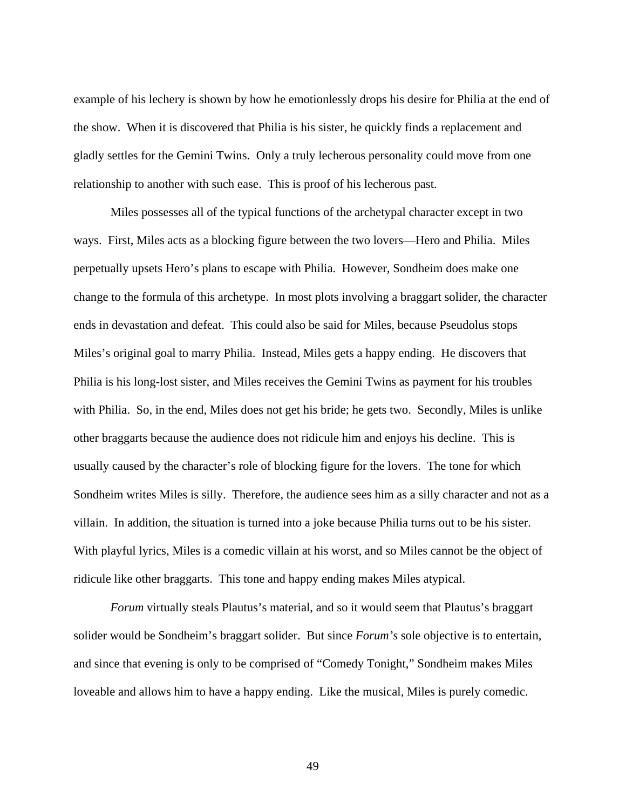example of his lechery is shown by how he emotionlessly drops his desire for Philia at the end of the show. When it is discovered that Philia is his sister, he quickly finds a replacement and gladly settles for the Gemini Twins. Only a truly lecherous personality could move from one relationship to another with such ease. This is proof of his lecherous past.

 Miles possesses all of the typical functions of the archetypal character except in two ways. First, Miles acts as a blocking figure between the two lovers—Hero and Philia. Miles perpetually upsets Hero's plans to escape with Philia. However, Sondheim does make one change to the formula of this archetype. In most plots involving a braggart solider, the character ends in devastation and defeat. This could also be said for Miles, because Pseudolus stops Miles's original goal to marry Philia. Instead, Miles gets a happy ending. He discovers that Philia is his long-lost sister, and Miles receives the Gemini Twins as payment for his troubles with Philia. So, in the end, Miles does not get his bride; he gets two. Secondly, Miles is unlike other braggarts because the audience does not ridicule him and enjoys his decline. This is usually caused by the character's role of blocking figure for the lovers. The tone for which Sondheim writes Miles is silly. Therefore, the audience sees him as a silly character and not as a villain. In addition, the situation is turned into a joke because Philia turns out to be his sister. With playful lyrics, Miles is a comedic villain at his worst, and so Miles cannot be the object of ridicule like other braggarts. This tone and happy ending makes Miles atypical.

*Forum* virtually steals Plautus's material, and so it would seem that Plautus's braggart solider would be Sondheim's braggart solider. But since *Forum's* sole objective is to entertain, and since that evening is only to be comprised of "Comedy Tonight," Sondheim makes Miles loveable and allows him to have a happy ending. Like the musical, Miles is purely comedic.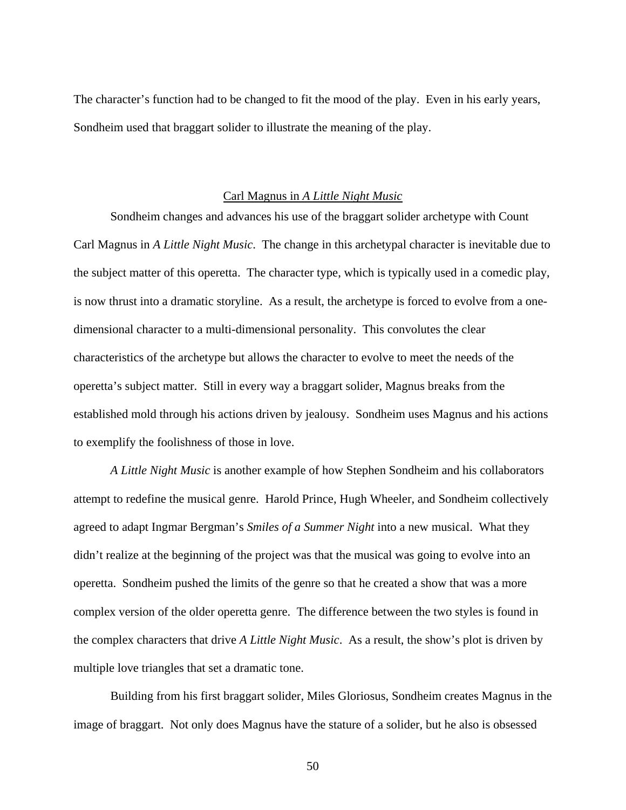The character's function had to be changed to fit the mood of the play. Even in his early years, Sondheim used that braggart solider to illustrate the meaning of the play.

## Carl Magnus in *A Little Night Music*

 Sondheim changes and advances his use of the braggart solider archetype with Count Carl Magnus in *A Little Night Music*. The change in this archetypal character is inevitable due to the subject matter of this operetta. The character type, which is typically used in a comedic play, is now thrust into a dramatic storyline. As a result, the archetype is forced to evolve from a onedimensional character to a multi-dimensional personality. This convolutes the clear characteristics of the archetype but allows the character to evolve to meet the needs of the operetta's subject matter. Still in every way a braggart solider, Magnus breaks from the established mold through his actions driven by jealousy. Sondheim uses Magnus and his actions to exemplify the foolishness of those in love.

*A Little Night Music* is another example of how Stephen Sondheim and his collaborators attempt to redefine the musical genre. Harold Prince, Hugh Wheeler, and Sondheim collectively agreed to adapt Ingmar Bergman's *Smiles of a Summer Night* into a new musical. What they didn't realize at the beginning of the project was that the musical was going to evolve into an operetta. Sondheim pushed the limits of the genre so that he created a show that was a more complex version of the older operetta genre. The difference between the two styles is found in the complex characters that drive *A Little Night Music*. As a result, the show's plot is driven by multiple love triangles that set a dramatic tone.

Building from his first braggart solider, Miles Gloriosus, Sondheim creates Magnus in the image of braggart. Not only does Magnus have the stature of a solider, but he also is obsessed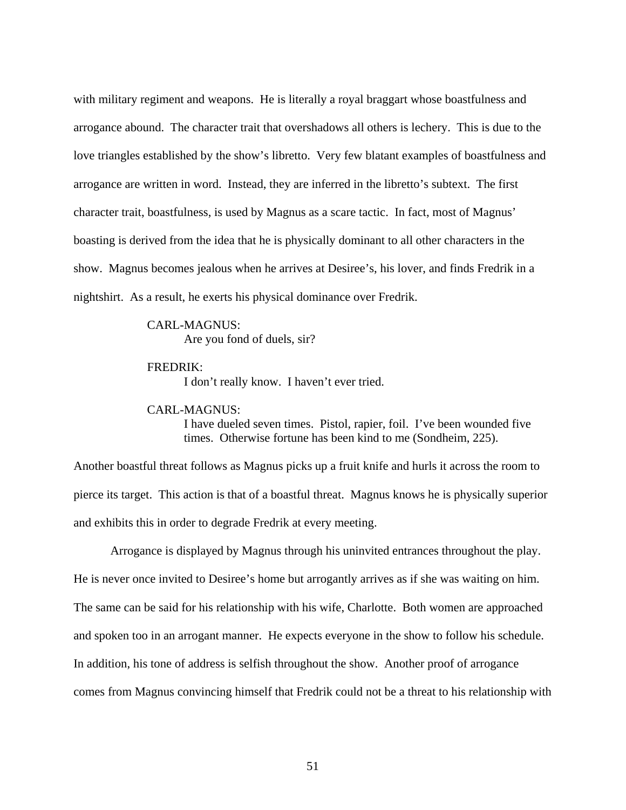with military regiment and weapons. He is literally a royal braggart whose boastfulness and arrogance abound. The character trait that overshadows all others is lechery. This is due to the love triangles established by the show's libretto. Very few blatant examples of boastfulness and arrogance are written in word. Instead, they are inferred in the libretto's subtext. The first character trait, boastfulness, is used by Magnus as a scare tactic. In fact, most of Magnus' boasting is derived from the idea that he is physically dominant to all other characters in the show. Magnus becomes jealous when he arrives at Desiree's, his lover, and finds Fredrik in a nightshirt. As a result, he exerts his physical dominance over Fredrik.

# CARL-MAGNUS: Are you fond of duels, sir?

#### FREDRIK:

I don't really know. I haven't ever tried.

CARL-MAGNUS:

I have dueled seven times. Pistol, rapier, foil. I've been wounded five times. Otherwise fortune has been kind to me (Sondheim, 225).

Another boastful threat follows as Magnus picks up a fruit knife and hurls it across the room to pierce its target. This action is that of a boastful threat. Magnus knows he is physically superior and exhibits this in order to degrade Fredrik at every meeting.

Arrogance is displayed by Magnus through his uninvited entrances throughout the play.

He is never once invited to Desiree's home but arrogantly arrives as if she was waiting on him.

The same can be said for his relationship with his wife, Charlotte. Both women are approached

and spoken too in an arrogant manner. He expects everyone in the show to follow his schedule.

In addition, his tone of address is selfish throughout the show. Another proof of arrogance

comes from Magnus convincing himself that Fredrik could not be a threat to his relationship with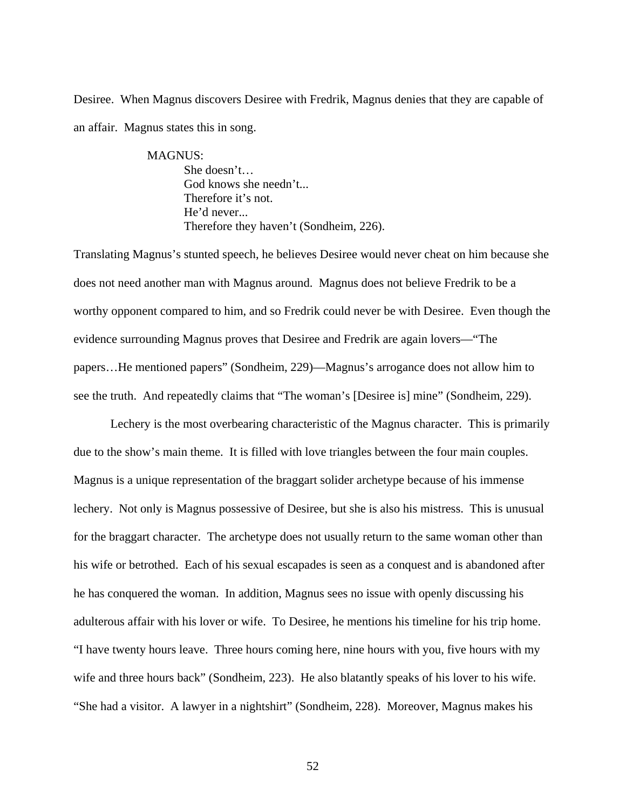Desiree. When Magnus discovers Desiree with Fredrik, Magnus denies that they are capable of an affair. Magnus states this in song.

MAGNUS:

She doesn't… God knows she needn't... Therefore it's not. He'd never... Therefore they haven't (Sondheim, 226).

Translating Magnus's stunted speech, he believes Desiree would never cheat on him because she does not need another man with Magnus around. Magnus does not believe Fredrik to be a worthy opponent compared to him, and so Fredrik could never be with Desiree. Even though the evidence surrounding Magnus proves that Desiree and Fredrik are again lovers—"The papers…He mentioned papers" (Sondheim, 229)—Magnus's arrogance does not allow him to see the truth. And repeatedly claims that "The woman's [Desiree is] mine" (Sondheim, 229).

 Lechery is the most overbearing characteristic of the Magnus character. This is primarily due to the show's main theme. It is filled with love triangles between the four main couples. Magnus is a unique representation of the braggart solider archetype because of his immense lechery. Not only is Magnus possessive of Desiree, but she is also his mistress. This is unusual for the braggart character. The archetype does not usually return to the same woman other than his wife or betrothed. Each of his sexual escapades is seen as a conquest and is abandoned after he has conquered the woman. In addition, Magnus sees no issue with openly discussing his adulterous affair with his lover or wife. To Desiree, he mentions his timeline for his trip home. "I have twenty hours leave. Three hours coming here, nine hours with you, five hours with my wife and three hours back" (Sondheim, 223). He also blatantly speaks of his lover to his wife. "She had a visitor. A lawyer in a nightshirt" (Sondheim, 228). Moreover, Magnus makes his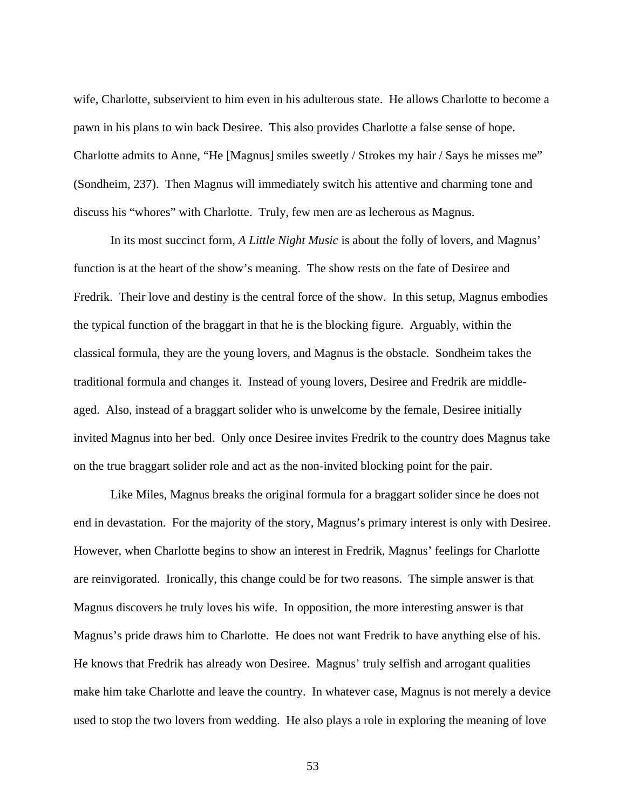wife, Charlotte, subservient to him even in his adulterous state. He allows Charlotte to become a pawn in his plans to win back Desiree. This also provides Charlotte a false sense of hope. Charlotte admits to Anne, "He [Magnus] smiles sweetly / Strokes my hair / Says he misses me" (Sondheim, 237). Then Magnus will immediately switch his attentive and charming tone and discuss his "whores" with Charlotte. Truly, few men are as lecherous as Magnus.

 In its most succinct form, *A Little Night Music* is about the folly of lovers, and Magnus' function is at the heart of the show's meaning. The show rests on the fate of Desiree and Fredrik. Their love and destiny is the central force of the show. In this setup, Magnus embodies the typical function of the braggart in that he is the blocking figure. Arguably, within the classical formula, they are the young lovers, and Magnus is the obstacle. Sondheim takes the traditional formula and changes it. Instead of young lovers, Desiree and Fredrik are middleaged. Also, instead of a braggart solider who is unwelcome by the female, Desiree initially invited Magnus into her bed. Only once Desiree invites Fredrik to the country does Magnus take on the true braggart solider role and act as the non-invited blocking point for the pair.

 Like Miles, Magnus breaks the original formula for a braggart solider since he does not end in devastation. For the majority of the story, Magnus's primary interest is only with Desiree. However, when Charlotte begins to show an interest in Fredrik, Magnus' feelings for Charlotte are reinvigorated. Ironically, this change could be for two reasons. The simple answer is that Magnus discovers he truly loves his wife. In opposition, the more interesting answer is that Magnus's pride draws him to Charlotte. He does not want Fredrik to have anything else of his. He knows that Fredrik has already won Desiree. Magnus' truly selfish and arrogant qualities make him take Charlotte and leave the country. In whatever case, Magnus is not merely a device used to stop the two lovers from wedding. He also plays a role in exploring the meaning of love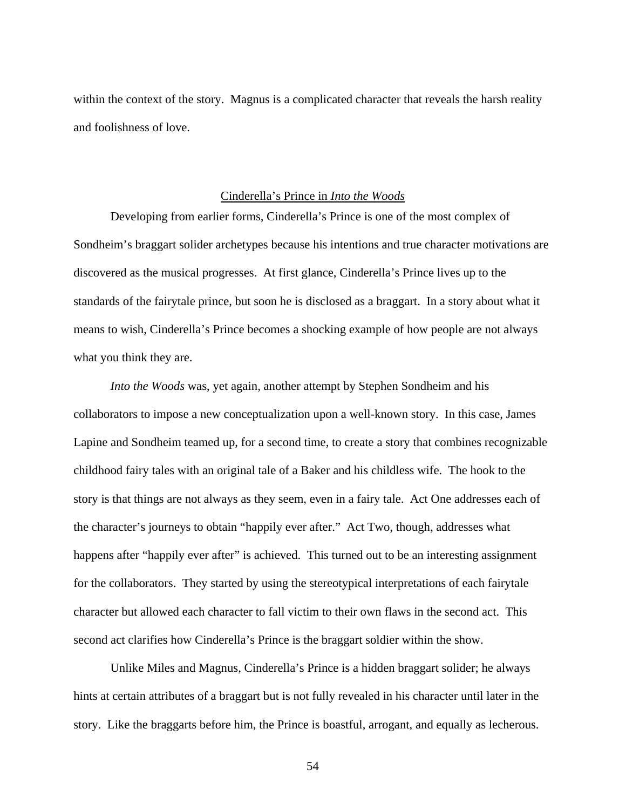within the context of the story. Magnus is a complicated character that reveals the harsh reality and foolishness of love.

## Cinderella's Prince in *Into the Woods*

 Developing from earlier forms, Cinderella's Prince is one of the most complex of Sondheim's braggart solider archetypes because his intentions and true character motivations are discovered as the musical progresses. At first glance, Cinderella's Prince lives up to the standards of the fairytale prince, but soon he is disclosed as a braggart. In a story about what it means to wish, Cinderella's Prince becomes a shocking example of how people are not always what you think they are.

*Into the Woods* was, yet again, another attempt by Stephen Sondheim and his collaborators to impose a new conceptualization upon a well-known story. In this case, James Lapine and Sondheim teamed up, for a second time, to create a story that combines recognizable childhood fairy tales with an original tale of a Baker and his childless wife. The hook to the story is that things are not always as they seem, even in a fairy tale. Act One addresses each of the character's journeys to obtain "happily ever after." Act Two, though, addresses what happens after "happily ever after" is achieved. This turned out to be an interesting assignment for the collaborators. They started by using the stereotypical interpretations of each fairytale character but allowed each character to fall victim to their own flaws in the second act. This second act clarifies how Cinderella's Prince is the braggart soldier within the show.

 Unlike Miles and Magnus, Cinderella's Prince is a hidden braggart solider; he always hints at certain attributes of a braggart but is not fully revealed in his character until later in the story. Like the braggarts before him, the Prince is boastful, arrogant, and equally as lecherous.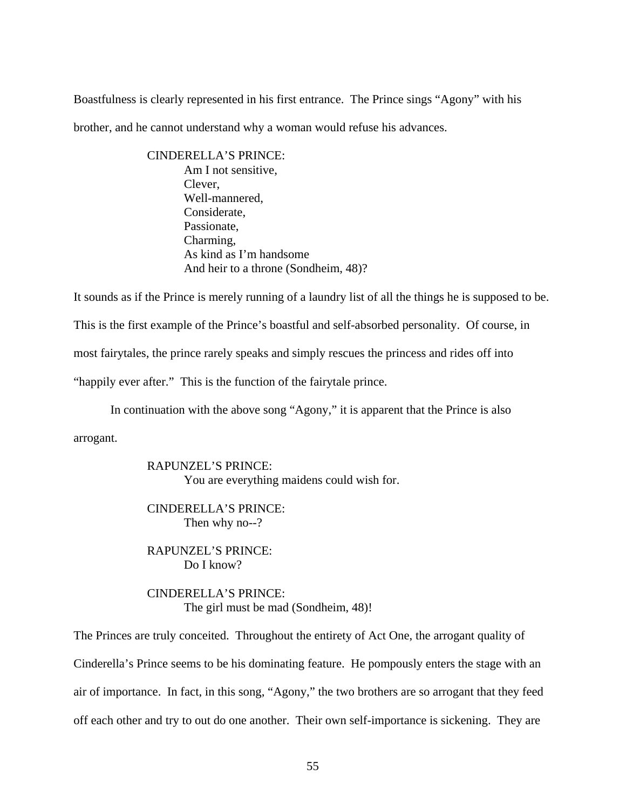Boastfulness is clearly represented in his first entrance. The Prince sings "Agony" with his brother, and he cannot understand why a woman would refuse his advances.

> CINDERELLA'S PRINCE: Am I not sensitive, Clever, Well-mannered, Considerate, Passionate, Charming, As kind as I'm handsome And heir to a throne (Sondheim, 48)?

It sounds as if the Prince is merely running of a laundry list of all the things he is supposed to be. This is the first example of the Prince's boastful and self-absorbed personality. Of course, in most fairytales, the prince rarely speaks and simply rescues the princess and rides off into "happily ever after." This is the function of the fairytale prince.

In continuation with the above song "Agony," it is apparent that the Prince is also arrogant.

> RAPUNZEL'S PRINCE: You are everything maidens could wish for.

 CINDERELLA'S PRINCE: Then why no--?

RAPUNZEL'S PRINCE: Do I know?

 CINDERELLA'S PRINCE: The girl must be mad (Sondheim, 48)!

The Princes are truly conceited. Throughout the entirety of Act One, the arrogant quality of Cinderella's Prince seems to be his dominating feature. He pompously enters the stage with an air of importance. In fact, in this song, "Agony," the two brothers are so arrogant that they feed off each other and try to out do one another. Their own self-importance is sickening. They are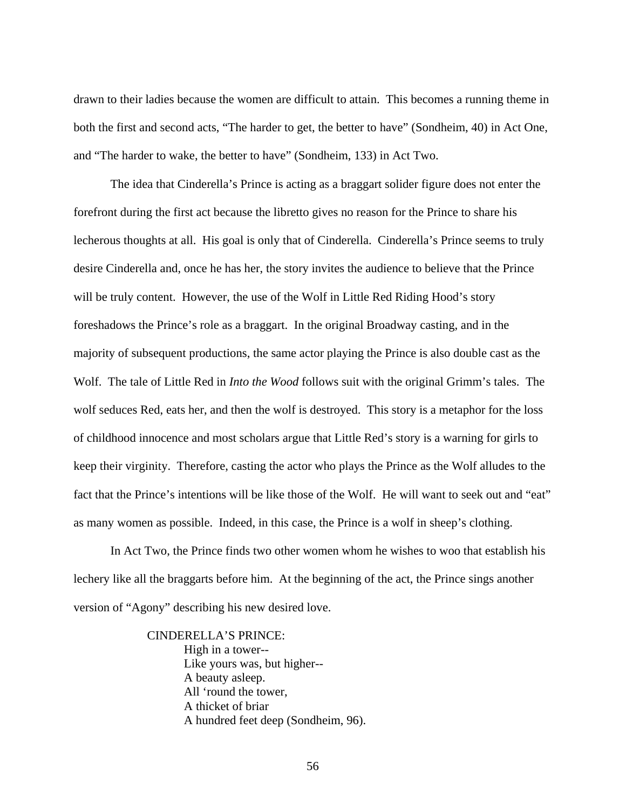drawn to their ladies because the women are difficult to attain. This becomes a running theme in both the first and second acts, "The harder to get, the better to have" (Sondheim, 40) in Act One, and "The harder to wake, the better to have" (Sondheim, 133) in Act Two.

The idea that Cinderella's Prince is acting as a braggart solider figure does not enter the forefront during the first act because the libretto gives no reason for the Prince to share his lecherous thoughts at all. His goal is only that of Cinderella. Cinderella's Prince seems to truly desire Cinderella and, once he has her, the story invites the audience to believe that the Prince will be truly content. However, the use of the Wolf in Little Red Riding Hood's story foreshadows the Prince's role as a braggart. In the original Broadway casting, and in the majority of subsequent productions, the same actor playing the Prince is also double cast as the Wolf. The tale of Little Red in *Into the Wood* follows suit with the original Grimm's tales. The wolf seduces Red, eats her, and then the wolf is destroyed. This story is a metaphor for the loss of childhood innocence and most scholars argue that Little Red's story is a warning for girls to keep their virginity. Therefore, casting the actor who plays the Prince as the Wolf alludes to the fact that the Prince's intentions will be like those of the Wolf. He will want to seek out and "eat" as many women as possible. Indeed, in this case, the Prince is a wolf in sheep's clothing.

 In Act Two, the Prince finds two other women whom he wishes to woo that establish his lechery like all the braggarts before him. At the beginning of the act, the Prince sings another version of "Agony" describing his new desired love.

## CINDERELLA'S PRINCE:

 High in a tower-- Like yours was, but higher-- A beauty asleep. All 'round the tower, A thicket of briar A hundred feet deep (Sondheim, 96).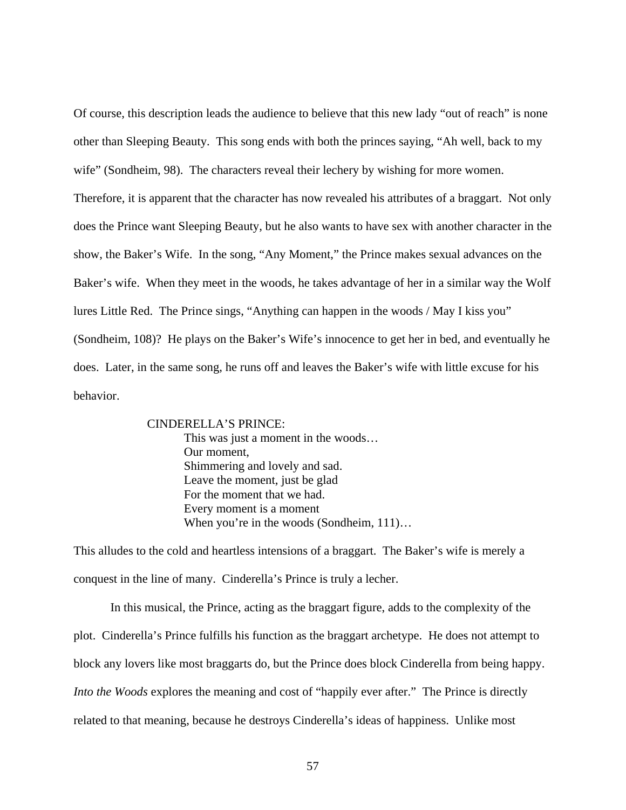Of course, this description leads the audience to believe that this new lady "out of reach" is none other than Sleeping Beauty. This song ends with both the princes saying, "Ah well, back to my wife" (Sondheim, 98). The characters reveal their lechery by wishing for more women. Therefore, it is apparent that the character has now revealed his attributes of a braggart. Not only does the Prince want Sleeping Beauty, but he also wants to have sex with another character in the show, the Baker's Wife. In the song, "Any Moment," the Prince makes sexual advances on the Baker's wife. When they meet in the woods, he takes advantage of her in a similar way the Wolf lures Little Red. The Prince sings, "Anything can happen in the woods / May I kiss you" (Sondheim, 108)? He plays on the Baker's Wife's innocence to get her in bed, and eventually he does. Later, in the same song, he runs off and leaves the Baker's wife with little excuse for his behavior.

> CINDERELLA'S PRINCE: This was just a moment in the woods… Our moment, Shimmering and lovely and sad. Leave the moment, just be glad For the moment that we had. Every moment is a moment When you're in the woods (Sondheim, 111)...

This alludes to the cold and heartless intensions of a braggart. The Baker's wife is merely a conquest in the line of many. Cinderella's Prince is truly a lecher.

 In this musical, the Prince, acting as the braggart figure, adds to the complexity of the plot. Cinderella's Prince fulfills his function as the braggart archetype. He does not attempt to block any lovers like most braggarts do, but the Prince does block Cinderella from being happy. *Into the Woods* explores the meaning and cost of "happily ever after." The Prince is directly related to that meaning, because he destroys Cinderella's ideas of happiness. Unlike most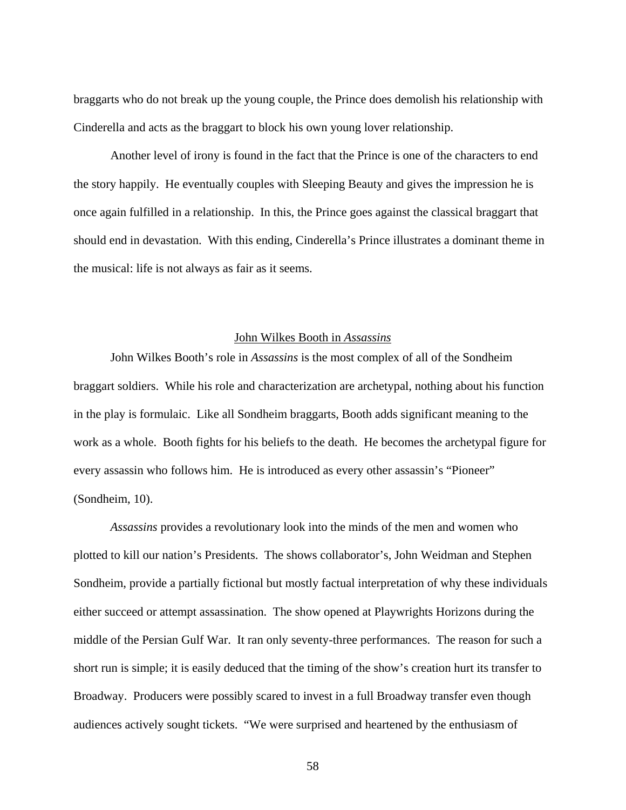braggarts who do not break up the young couple, the Prince does demolish his relationship with Cinderella and acts as the braggart to block his own young lover relationship.

Another level of irony is found in the fact that the Prince is one of the characters to end the story happily. He eventually couples with Sleeping Beauty and gives the impression he is once again fulfilled in a relationship. In this, the Prince goes against the classical braggart that should end in devastation. With this ending, Cinderella's Prince illustrates a dominant theme in the musical: life is not always as fair as it seems.

## John Wilkes Booth in *Assassins*

 John Wilkes Booth's role in *Assassins* is the most complex of all of the Sondheim braggart soldiers. While his role and characterization are archetypal, nothing about his function in the play is formulaic. Like all Sondheim braggarts, Booth adds significant meaning to the work as a whole. Booth fights for his beliefs to the death. He becomes the archetypal figure for every assassin who follows him. He is introduced as every other assassin's "Pioneer" (Sondheim, 10).

*Assassins* provides a revolutionary look into the minds of the men and women who plotted to kill our nation's Presidents. The shows collaborator's, John Weidman and Stephen Sondheim, provide a partially fictional but mostly factual interpretation of why these individuals either succeed or attempt assassination. The show opened at Playwrights Horizons during the middle of the Persian Gulf War. It ran only seventy-three performances. The reason for such a short run is simple; it is easily deduced that the timing of the show's creation hurt its transfer to Broadway. Producers were possibly scared to invest in a full Broadway transfer even though audiences actively sought tickets. "We were surprised and heartened by the enthusiasm of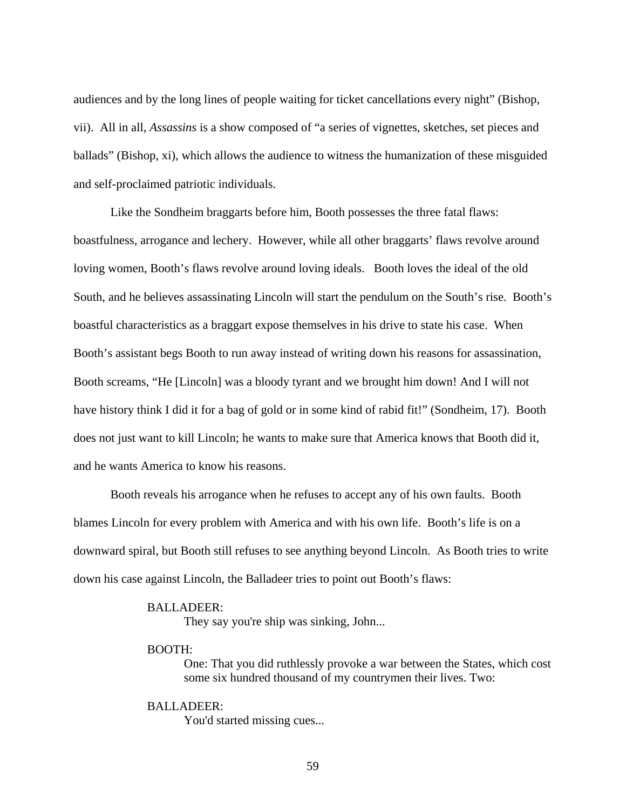audiences and by the long lines of people waiting for ticket cancellations every night" (Bishop, vii). All in all, *Assassins* is a show composed of "a series of vignettes, sketches, set pieces and ballads" (Bishop, xi), which allows the audience to witness the humanization of these misguided and self-proclaimed patriotic individuals.

 Like the Sondheim braggarts before him, Booth possesses the three fatal flaws: boastfulness, arrogance and lechery. However, while all other braggarts' flaws revolve around loving women, Booth's flaws revolve around loving ideals. Booth loves the ideal of the old South, and he believes assassinating Lincoln will start the pendulum on the South's rise. Booth's boastful characteristics as a braggart expose themselves in his drive to state his case. When Booth's assistant begs Booth to run away instead of writing down his reasons for assassination, Booth screams, "He [Lincoln] was a bloody tyrant and we brought him down! And I will not have history think I did it for a bag of gold or in some kind of rabid fit!" (Sondheim, 17). Booth does not just want to kill Lincoln; he wants to make sure that America knows that Booth did it, and he wants America to know his reasons.

 Booth reveals his arrogance when he refuses to accept any of his own faults. Booth blames Lincoln for every problem with America and with his own life. Booth's life is on a downward spiral, but Booth still refuses to see anything beyond Lincoln. As Booth tries to write down his case against Lincoln, the Balladeer tries to point out Booth's flaws:

### BALLADEER:

They say you're ship was sinking, John...

## BOOTH:

One: That you did ruthlessly provoke a war between the States, which cost some six hundred thousand of my countrymen their lives. Two:

### BALLADEER:

You'd started missing cues...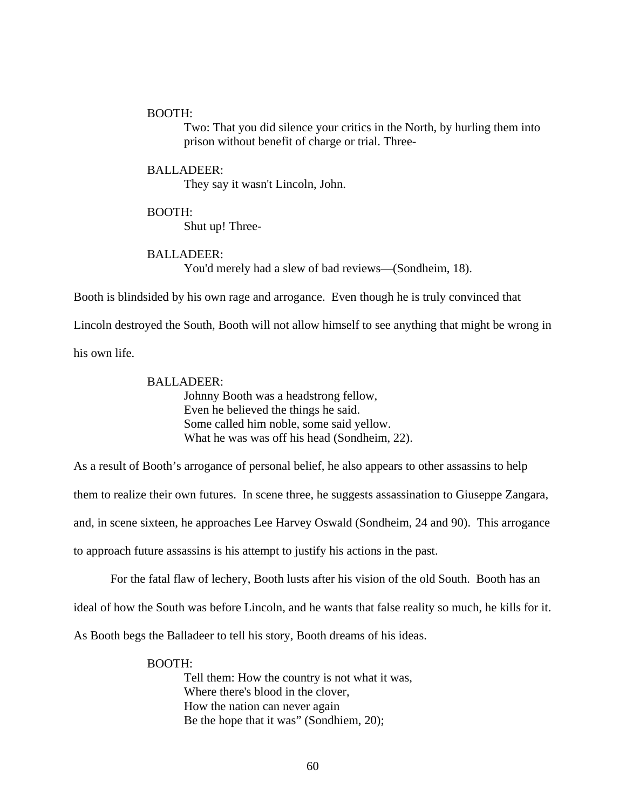## BOOTH:

Two: That you did silence your critics in the North, by hurling them into prison without benefit of charge or trial. Three-

#### BALLADEER:

They say it wasn't Lincoln, John.

#### BOOTH:

Shut up! Three-

### BALLADEER:

You'd merely had a slew of bad reviews—(Sondheim, 18).

Booth is blindsided by his own rage and arrogance. Even though he is truly convinced that

Lincoln destroyed the South, Booth will not allow himself to see anything that might be wrong in

his own life.

#### BALLADEER:

 Johnny Booth was a headstrong fellow, Even he believed the things he said. Some called him noble, some said yellow. What he was was off his head (Sondheim, 22).

As a result of Booth's arrogance of personal belief, he also appears to other assassins to help them to realize their own futures. In scene three, he suggests assassination to Giuseppe Zangara, and, in scene sixteen, he approaches Lee Harvey Oswald (Sondheim, 24 and 90). This arrogance to approach future assassins is his attempt to justify his actions in the past.

For the fatal flaw of lechery, Booth lusts after his vision of the old South. Booth has an

ideal of how the South was before Lincoln, and he wants that false reality so much, he kills for it.

As Booth begs the Balladeer to tell his story, Booth dreams of his ideas.

#### BOOTH:

Tell them: How the country is not what it was, Where there's blood in the clover, How the nation can never again Be the hope that it was" (Sondhiem, 20);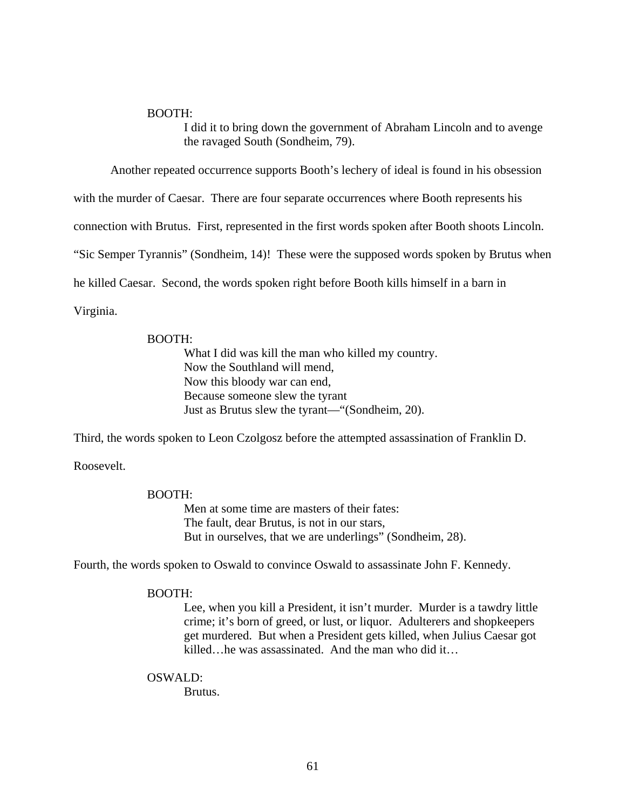#### BOOTH:

I did it to bring down the government of Abraham Lincoln and to avenge the ravaged South (Sondheim, 79).

Another repeated occurrence supports Booth's lechery of ideal is found in his obsession

with the murder of Caesar. There are four separate occurrences where Booth represents his

connection with Brutus. First, represented in the first words spoken after Booth shoots Lincoln.

"Sic Semper Tyrannis" (Sondheim, 14)! These were the supposed words spoken by Brutus when

he killed Caesar. Second, the words spoken right before Booth kills himself in a barn in

Virginia.

### BOOTH:

What I did was kill the man who killed my country. Now the Southland will mend, Now this bloody war can end, Because someone slew the tyrant Just as Brutus slew the tyrant—"(Sondheim, 20).

Third, the words spoken to Leon Czolgosz before the attempted assassination of Franklin D.

Roosevelt.

### BOOTH:

Men at some time are masters of their fates: The fault, dear Brutus, is not in our stars, But in ourselves, that we are underlings" (Sondheim, 28).

Fourth, the words spoken to Oswald to convince Oswald to assassinate John F. Kennedy.

### BOOTH:

Lee, when you kill a President, it isn't murder. Murder is a tawdry little crime; it's born of greed, or lust, or liquor. Adulterers and shopkeepers get murdered. But when a President gets killed, when Julius Caesar got killed…he was assassinated. And the man who did it…

## OSWALD:

Brutus.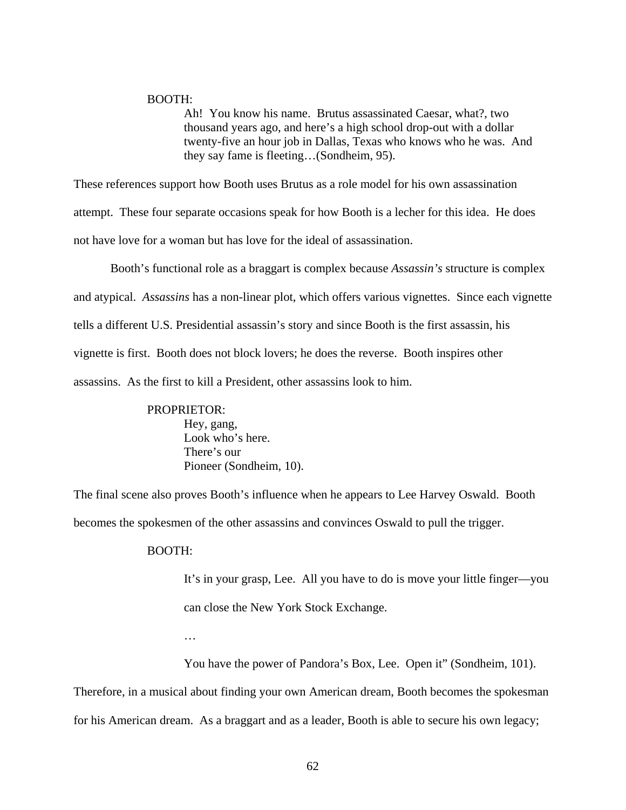#### BOOTH:

Ah! You know his name. Brutus assassinated Caesar, what?, two thousand years ago, and here's a high school drop-out with a dollar twenty-five an hour job in Dallas, Texas who knows who he was. And they say fame is fleeting…(Sondheim, 95).

These references support how Booth uses Brutus as a role model for his own assassination attempt. These four separate occasions speak for how Booth is a lecher for this idea. He does not have love for a woman but has love for the ideal of assassination.

Booth's functional role as a braggart is complex because *Assassin's* structure is complex and atypical. *Assassins* has a non-linear plot, which offers various vignettes. Since each vignette tells a different U.S. Presidential assassin's story and since Booth is the first assassin, his vignette is first. Booth does not block lovers; he does the reverse. Booth inspires other assassins. As the first to kill a President, other assassins look to him.

# PROPRIETOR: Hey, gang, Look who's here. There's our Pioneer (Sondheim, 10).

The final scene also proves Booth's influence when he appears to Lee Harvey Oswald. Booth becomes the spokesmen of the other assassins and convinces Oswald to pull the trigger.

## BOOTH:

…

It's in your grasp, Lee. All you have to do is move your little finger—you can close the New York Stock Exchange.

You have the power of Pandora's Box, Lee. Open it" (Sondheim, 101).

Therefore, in a musical about finding your own American dream, Booth becomes the spokesman for his American dream. As a braggart and as a leader, Booth is able to secure his own legacy;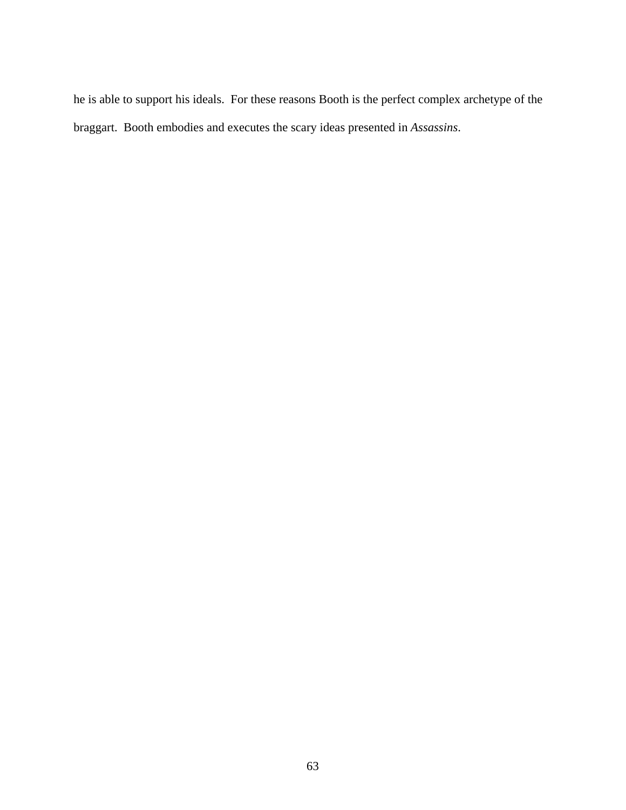he is able to support his ideals. For these reasons Booth is the perfect complex archetype of the braggart. Booth embodies and executes the scary ideas presented in *Assassins*.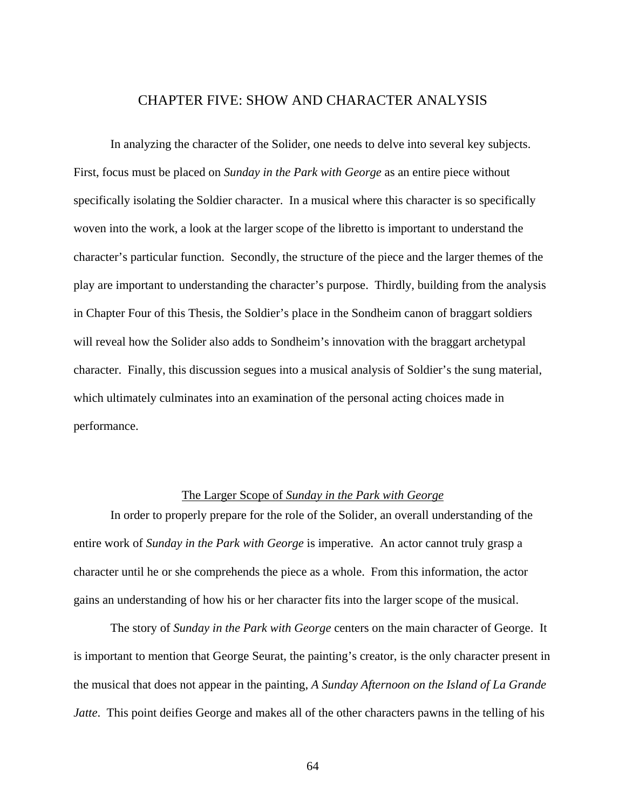## CHAPTER FIVE: SHOW AND CHARACTER ANALYSIS

In analyzing the character of the Solider, one needs to delve into several key subjects. First, focus must be placed on *Sunday in the Park with George* as an entire piece without specifically isolating the Soldier character. In a musical where this character is so specifically woven into the work, a look at the larger scope of the libretto is important to understand the character's particular function. Secondly, the structure of the piece and the larger themes of the play are important to understanding the character's purpose. Thirdly, building from the analysis in Chapter Four of this Thesis, the Soldier's place in the Sondheim canon of braggart soldiers will reveal how the Solider also adds to Sondheim's innovation with the braggart archetypal character. Finally, this discussion segues into a musical analysis of Soldier's the sung material, which ultimately culminates into an examination of the personal acting choices made in performance.

# The Larger Scope of *Sunday in the Park with George*

 In order to properly prepare for the role of the Solider, an overall understanding of the entire work of *Sunday in the Park with George* is imperative. An actor cannot truly grasp a character until he or she comprehends the piece as a whole. From this information, the actor gains an understanding of how his or her character fits into the larger scope of the musical.

 The story of *Sunday in the Park with George* centers on the main character of George. It is important to mention that George Seurat, the painting's creator, is the only character present in the musical that does not appear in the painting, *A Sunday Afternoon on the Island of La Grande Jatte*. This point deifies George and makes all of the other characters pawns in the telling of his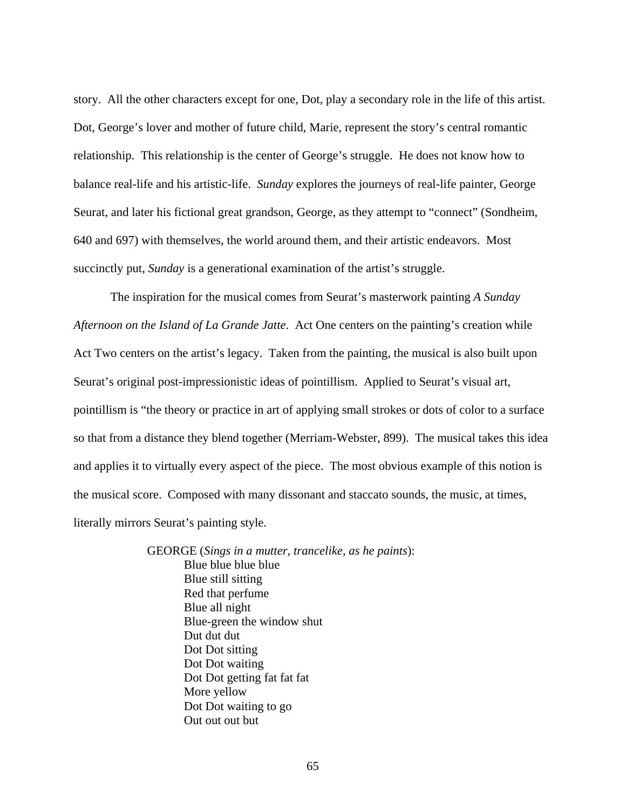story. All the other characters except for one, Dot, play a secondary role in the life of this artist. Dot, George's lover and mother of future child, Marie, represent the story's central romantic relationship. This relationship is the center of George's struggle. He does not know how to balance real-life and his artistic-life. *Sunday* explores the journeys of real-life painter, George Seurat, and later his fictional great grandson, George, as they attempt to "connect" (Sondheim, 640 and 697) with themselves, the world around them, and their artistic endeavors. Most succinctly put, *Sunday* is a generational examination of the artist's struggle.

 The inspiration for the musical comes from Seurat's masterwork painting *A Sunday Afternoon on the Island of La Grande Jatte*. Act One centers on the painting's creation while Act Two centers on the artist's legacy. Taken from the painting, the musical is also built upon Seurat's original post-impressionistic ideas of pointillism. Applied to Seurat's visual art, pointillism is "the theory or practice in art of applying small strokes or dots of color to a surface so that from a distance they blend together (Merriam-Webster, 899). The musical takes this idea and applies it to virtually every aspect of the piece. The most obvious example of this notion is the musical score. Composed with many dissonant and staccato sounds, the music, at times, literally mirrors Seurat's painting style.

> GEORGE (*Sings in a mutter, trancelike, as he paints*): Blue blue blue blue Blue still sitting Red that perfume Blue all night Blue-green the window shut Dut dut dut Dot Dot sitting Dot Dot waiting Dot Dot getting fat fat fat More yellow Dot Dot waiting to go Out out out but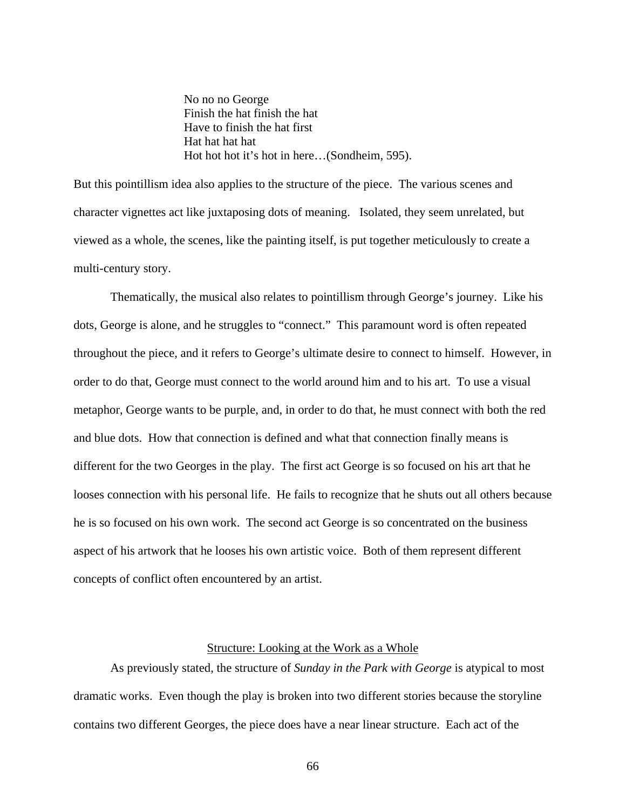No no no George Finish the hat finish the hat Have to finish the hat first Hat hat hat hat Hot hot hot it's hot in here…(Sondheim, 595).

But this pointillism idea also applies to the structure of the piece. The various scenes and character vignettes act like juxtaposing dots of meaning. Isolated, they seem unrelated, but viewed as a whole, the scenes, like the painting itself, is put together meticulously to create a multi-century story.

 Thematically, the musical also relates to pointillism through George's journey. Like his dots, George is alone, and he struggles to "connect." This paramount word is often repeated throughout the piece, and it refers to George's ultimate desire to connect to himself. However, in order to do that, George must connect to the world around him and to his art. To use a visual metaphor, George wants to be purple, and, in order to do that, he must connect with both the red and blue dots. How that connection is defined and what that connection finally means is different for the two Georges in the play. The first act George is so focused on his art that he looses connection with his personal life. He fails to recognize that he shuts out all others because he is so focused on his own work. The second act George is so concentrated on the business aspect of his artwork that he looses his own artistic voice. Both of them represent different concepts of conflict often encountered by an artist.

### Structure: Looking at the Work as a Whole

As previously stated, the structure of *Sunday in the Park with George* is atypical to most dramatic works. Even though the play is broken into two different stories because the storyline contains two different Georges, the piece does have a near linear structure. Each act of the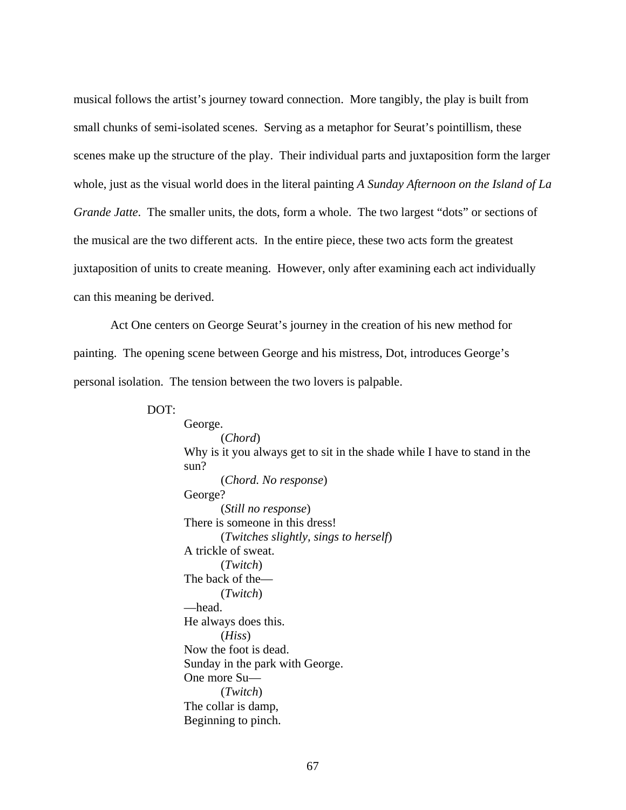musical follows the artist's journey toward connection. More tangibly, the play is built from small chunks of semi-isolated scenes. Serving as a metaphor for Seurat's pointillism, these scenes make up the structure of the play. Their individual parts and juxtaposition form the larger whole, just as the visual world does in the literal painting *A Sunday Afternoon on the Island of La Grande Jatte*. The smaller units, the dots, form a whole. The two largest "dots" or sections of the musical are the two different acts. In the entire piece, these two acts form the greatest juxtaposition of units to create meaning. However, only after examining each act individually can this meaning be derived.

 Act One centers on George Seurat's journey in the creation of his new method for painting. The opening scene between George and his mistress, Dot, introduces George's personal isolation. The tension between the two lovers is palpable.

DOT:

 George. (*Chord*) Why is it you always get to sit in the shade while I have to stand in the sun? (*Chord. No response*) George? (*Still no response*) There is someone in this dress! (*Twitches slightly, sings to herself*) A trickle of sweat. (*Twitch*) The back of the— (*Twitch*) —head. He always does this. (*Hiss*) Now the foot is dead. Sunday in the park with George. One more Su— (*Twitch*) The collar is damp, Beginning to pinch.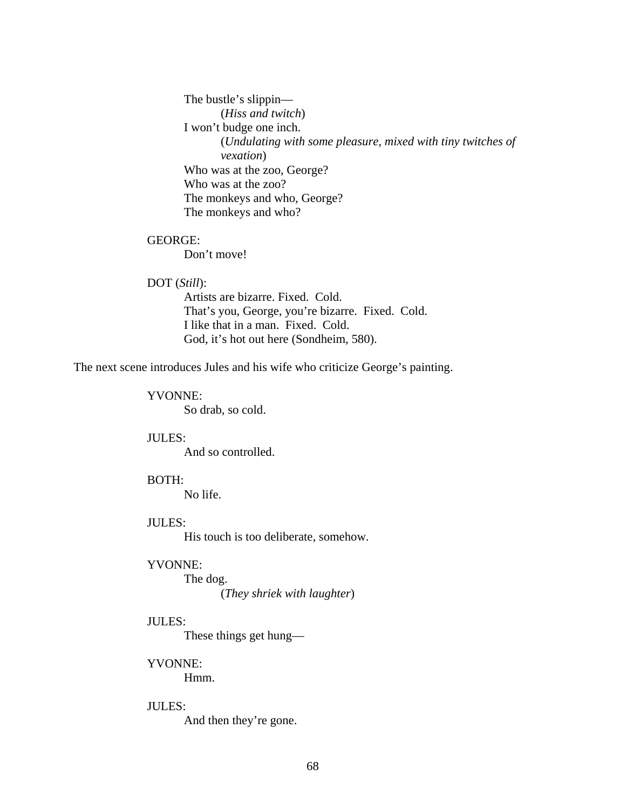The bustle's slippin— (*Hiss and twitch*) I won't budge one inch. (*Undulating with some pleasure, mixed with tiny twitches of vexation*) Who was at the zoo, George? Who was at the zoo? The monkeys and who, George? The monkeys and who?

GEORGE:

Don't move!

## DOT (*Still*):

 Artists are bizarre. Fixed. Cold. That's you, George, you're bizarre. Fixed. Cold. I like that in a man. Fixed. Cold. God, it's hot out here (Sondheim, 580).

The next scene introduces Jules and his wife who criticize George's painting.

## YVONNE:

So drab, so cold.

### JULES:

And so controlled.

## BOTH:

No life.

# JULES:

His touch is too deliberate, somehow.

## YVONNE:

 The dog. (*They shriek with laughter*)

### JULES:

These things get hung—

 YVONNE: Hmm.

### JULES:

And then they're gone.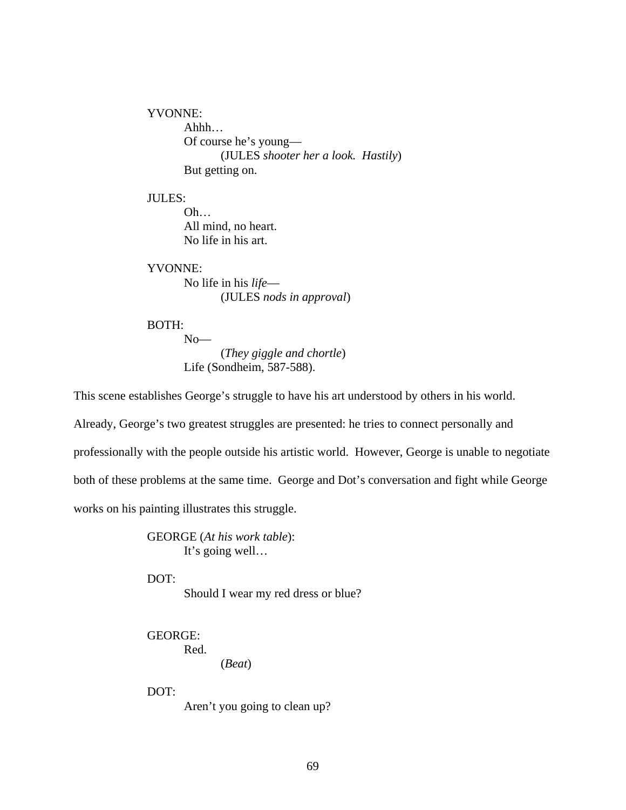YVONNE: Ahhh… Of course he's young— (JULES *shooter her a look. Hastily*) But getting on.

JULES:

 Oh… All mind, no heart. No life in his art.

 YVONNE: No life in his *life*— (JULES *nods in approval*)

## BOTH:

 No— (*They giggle and chortle*) Life (Sondheim, 587-588).

This scene establishes George's struggle to have his art understood by others in his world.

Already, George's two greatest struggles are presented: he tries to connect personally and professionally with the people outside his artistic world. However, George is unable to negotiate both of these problems at the same time. George and Dot's conversation and fight while George works on his painting illustrates this struggle.

> GEORGE (*At his work table*): It's going well…

DOT:

Should I wear my red dress or blue?

 GEORGE: Red.

DOT:

Aren't you going to clean up?

(*Beat*)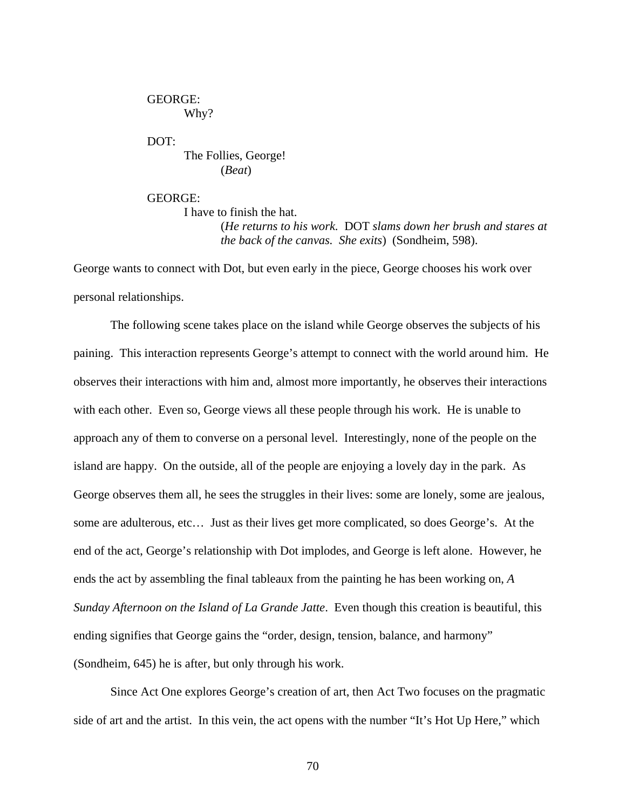GEORGE: Why?

DOT:

 The Follies, George! (*Beat*)

### GEORGE:

I have to finish the hat.

(*He returns to his work.* DOT *slams down her brush and stares at the back of the canvas. She exits*) (Sondheim, 598).

George wants to connect with Dot, but even early in the piece, George chooses his work over personal relationships.

 The following scene takes place on the island while George observes the subjects of his paining. This interaction represents George's attempt to connect with the world around him. He observes their interactions with him and, almost more importantly, he observes their interactions with each other. Even so, George views all these people through his work. He is unable to approach any of them to converse on a personal level. Interestingly, none of the people on the island are happy. On the outside, all of the people are enjoying a lovely day in the park. As George observes them all, he sees the struggles in their lives: some are lonely, some are jealous, some are adulterous, etc… Just as their lives get more complicated, so does George's. At the end of the act, George's relationship with Dot implodes, and George is left alone. However, he ends the act by assembling the final tableaux from the painting he has been working on, *A Sunday Afternoon on the Island of La Grande Jatte*. Even though this creation is beautiful, this ending signifies that George gains the "order, design, tension, balance, and harmony" (Sondheim, 645) he is after, but only through his work.

 Since Act One explores George's creation of art, then Act Two focuses on the pragmatic side of art and the artist. In this vein, the act opens with the number "It's Hot Up Here," which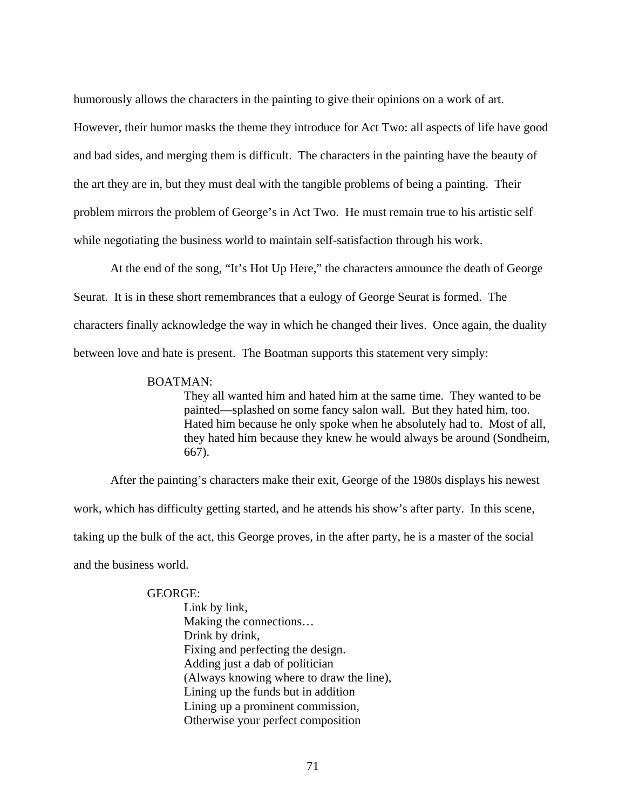humorously allows the characters in the painting to give their opinions on a work of art. However, their humor masks the theme they introduce for Act Two: all aspects of life have good and bad sides, and merging them is difficult. The characters in the painting have the beauty of the art they are in, but they must deal with the tangible problems of being a painting. Their problem mirrors the problem of George's in Act Two. He must remain true to his artistic self while negotiating the business world to maintain self-satisfaction through his work.

 At the end of the song, "It's Hot Up Here," the characters announce the death of George Seurat. It is in these short remembrances that a eulogy of George Seurat is formed. The characters finally acknowledge the way in which he changed their lives. Once again, the duality between love and hate is present. The Boatman supports this statement very simply:

### BOATMAN:

They all wanted him and hated him at the same time. They wanted to be painted—splashed on some fancy salon wall. But they hated him, too. Hated him because he only spoke when he absolutely had to. Most of all, they hated him because they knew he would always be around (Sondheim, 667).

After the painting's characters make their exit, George of the 1980s displays his newest work, which has difficulty getting started, and he attends his show's after party. In this scene, taking up the bulk of the act, this George proves, in the after party, he is a master of the social and the business world.

## GEORGE:

 Link by link, Making the connections… Drink by drink, Fixing and perfecting the design. Adding just a dab of politician (Always knowing where to draw the line), Lining up the funds but in addition Lining up a prominent commission, Otherwise your perfect composition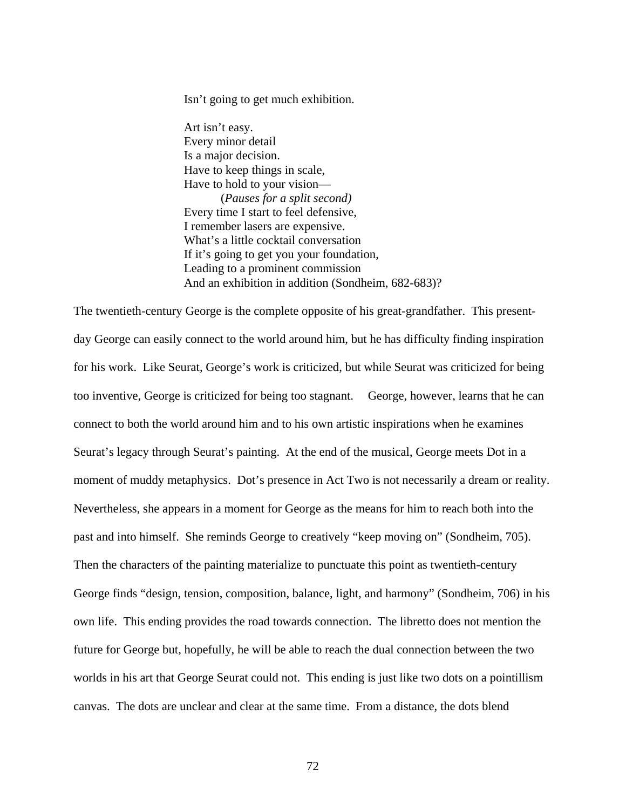Isn't going to get much exhibition.

 Art isn't easy. Every minor detail Is a major decision. Have to keep things in scale, Have to hold to your vision— (*Pauses for a split second)* Every time I start to feel defensive, I remember lasers are expensive. What's a little cocktail conversation If it's going to get you your foundation, Leading to a prominent commission And an exhibition in addition (Sondheim, 682-683)?

The twentieth-century George is the complete opposite of his great-grandfather. This presentday George can easily connect to the world around him, but he has difficulty finding inspiration for his work. Like Seurat, George's work is criticized, but while Seurat was criticized for being too inventive, George is criticized for being too stagnant. George, however, learns that he can connect to both the world around him and to his own artistic inspirations when he examines Seurat's legacy through Seurat's painting. At the end of the musical, George meets Dot in a moment of muddy metaphysics. Dot's presence in Act Two is not necessarily a dream or reality. Nevertheless, she appears in a moment for George as the means for him to reach both into the past and into himself. She reminds George to creatively "keep moving on" (Sondheim, 705). Then the characters of the painting materialize to punctuate this point as twentieth-century George finds "design, tension, composition, balance, light, and harmony" (Sondheim, 706) in his own life. This ending provides the road towards connection. The libretto does not mention the future for George but, hopefully, he will be able to reach the dual connection between the two worlds in his art that George Seurat could not. This ending is just like two dots on a pointillism canvas. The dots are unclear and clear at the same time. From a distance, the dots blend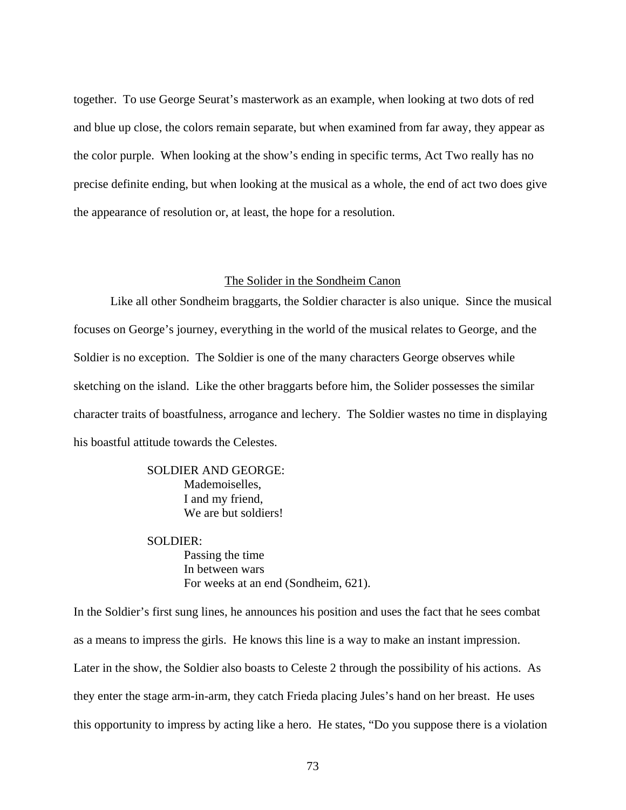together. To use George Seurat's masterwork as an example, when looking at two dots of red and blue up close, the colors remain separate, but when examined from far away, they appear as the color purple. When looking at the show's ending in specific terms, Act Two really has no precise definite ending, but when looking at the musical as a whole, the end of act two does give the appearance of resolution or, at least, the hope for a resolution.

### The Solider in the Sondheim Canon

 Like all other Sondheim braggarts, the Soldier character is also unique. Since the musical focuses on George's journey, everything in the world of the musical relates to George, and the Soldier is no exception. The Soldier is one of the many characters George observes while sketching on the island. Like the other braggarts before him, the Solider possesses the similar character traits of boastfulness, arrogance and lechery. The Soldier wastes no time in displaying his boastful attitude towards the Celestes.

> SOLDIER AND GEORGE: Mademoiselles, I and my friend, We are but soldiers!

SOLDIER: Passing the time In between wars For weeks at an end (Sondheim, 621).

In the Soldier's first sung lines, he announces his position and uses the fact that he sees combat as a means to impress the girls. He knows this line is a way to make an instant impression. Later in the show, the Soldier also boasts to Celeste 2 through the possibility of his actions. As they enter the stage arm-in-arm, they catch Frieda placing Jules's hand on her breast. He uses this opportunity to impress by acting like a hero. He states, "Do you suppose there is a violation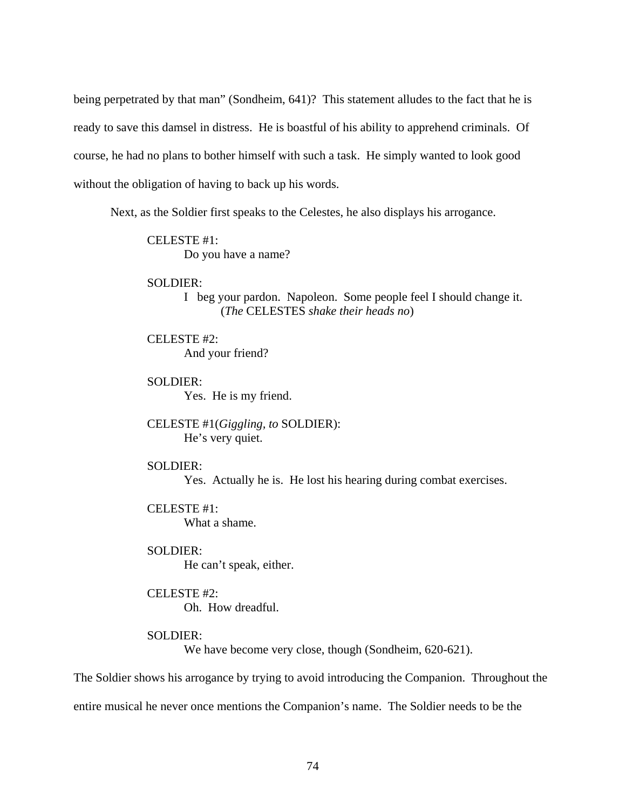being perpetrated by that man" (Sondheim, 641)? This statement alludes to the fact that he is ready to save this damsel in distress. He is boastful of his ability to apprehend criminals. Of course, he had no plans to bother himself with such a task. He simply wanted to look good without the obligation of having to back up his words.

Next, as the Soldier first speaks to the Celestes, he also displays his arrogance.

 CELESTE #1: Do you have a name?

## SOLDIER:

I beg your pardon. Napoleon. Some people feel I should change it. (*The* CELESTES *shake their heads no*)

 CELESTE #2: And your friend?

 SOLDIER: Yes. He is my friend.

CELESTE #1(*Giggling, to* SOLDIER): He's very quiet.

SOLDIER:

Yes. Actually he is. He lost his hearing during combat exercises.

CELESTE #1: What a shame.

SOLDIER:

He can't speak, either.

CELESTE #2: Oh. How dreadful.

# SOLDIER:

We have become very close, though (Sondheim, 620-621).

The Soldier shows his arrogance by trying to avoid introducing the Companion. Throughout the

entire musical he never once mentions the Companion's name. The Soldier needs to be the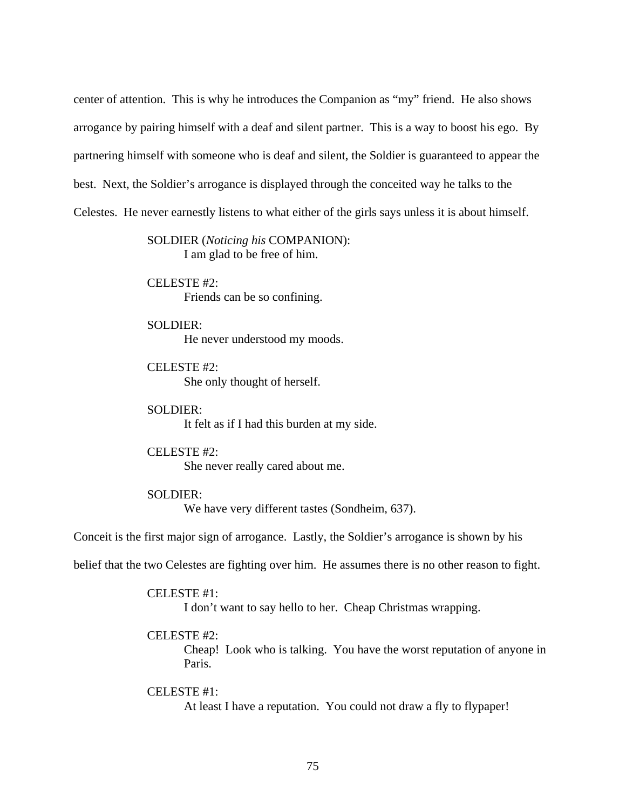center of attention. This is why he introduces the Companion as "my" friend. He also shows arrogance by pairing himself with a deaf and silent partner. This is a way to boost his ego. By partnering himself with someone who is deaf and silent, the Soldier is guaranteed to appear the best. Next, the Soldier's arrogance is displayed through the conceited way he talks to the Celestes. He never earnestly listens to what either of the girls says unless it is about himself.

> SOLDIER (*Noticing his* COMPANION): I am glad to be free of him.

 CELESTE #2: Friends can be so confining.

 SOLDIER: He never understood my moods.

 CELESTE #2: She only thought of herself.

 SOLDIER: It felt as if I had this burden at my side.

 CELESTE #2: She never really cared about me.

 SOLDIER: We have very different tastes (Sondheim, 637).

Conceit is the first major sign of arrogance. Lastly, the Soldier's arrogance is shown by his

belief that the two Celestes are fighting over him. He assumes there is no other reason to fight.

 CELESTE #1: I don't want to say hello to her. Cheap Christmas wrapping.

CELESTE #2:

Cheap! Look who is talking. You have the worst reputation of anyone in Paris.

CELESTE #1:

At least I have a reputation. You could not draw a fly to flypaper!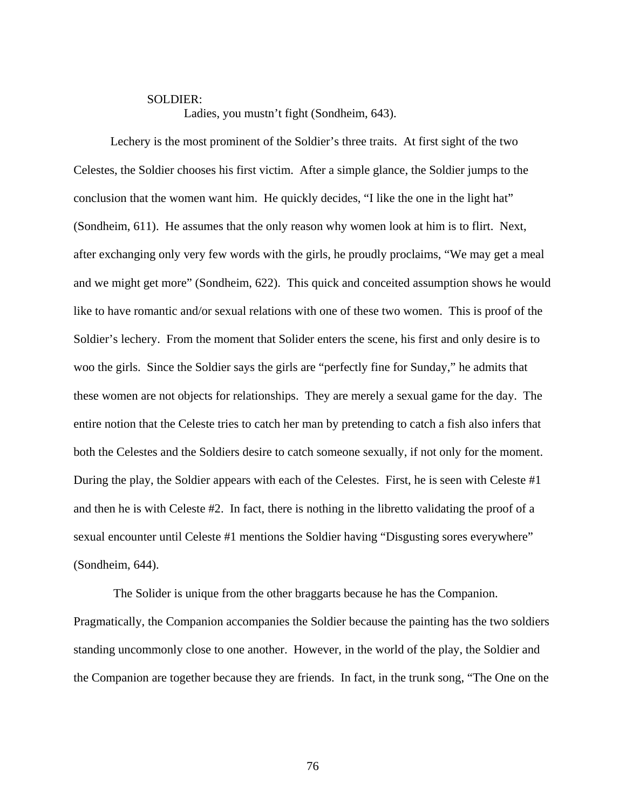### SOLDIER:

Ladies, you mustn't fight (Sondheim, 643).

Lechery is the most prominent of the Soldier's three traits. At first sight of the two Celestes, the Soldier chooses his first victim. After a simple glance, the Soldier jumps to the conclusion that the women want him. He quickly decides, "I like the one in the light hat" (Sondheim, 611). He assumes that the only reason why women look at him is to flirt. Next, after exchanging only very few words with the girls, he proudly proclaims, "We may get a meal and we might get more" (Sondheim, 622). This quick and conceited assumption shows he would like to have romantic and/or sexual relations with one of these two women. This is proof of the Soldier's lechery. From the moment that Solider enters the scene, his first and only desire is to woo the girls. Since the Soldier says the girls are "perfectly fine for Sunday," he admits that these women are not objects for relationships. They are merely a sexual game for the day. The entire notion that the Celeste tries to catch her man by pretending to catch a fish also infers that both the Celestes and the Soldiers desire to catch someone sexually, if not only for the moment. During the play, the Soldier appears with each of the Celestes. First, he is seen with Celeste #1 and then he is with Celeste #2. In fact, there is nothing in the libretto validating the proof of a sexual encounter until Celeste #1 mentions the Soldier having "Disgusting sores everywhere" (Sondheim, 644).

 The Solider is unique from the other braggarts because he has the Companion. Pragmatically, the Companion accompanies the Soldier because the painting has the two soldiers standing uncommonly close to one another. However, in the world of the play, the Soldier and the Companion are together because they are friends. In fact, in the trunk song, "The One on the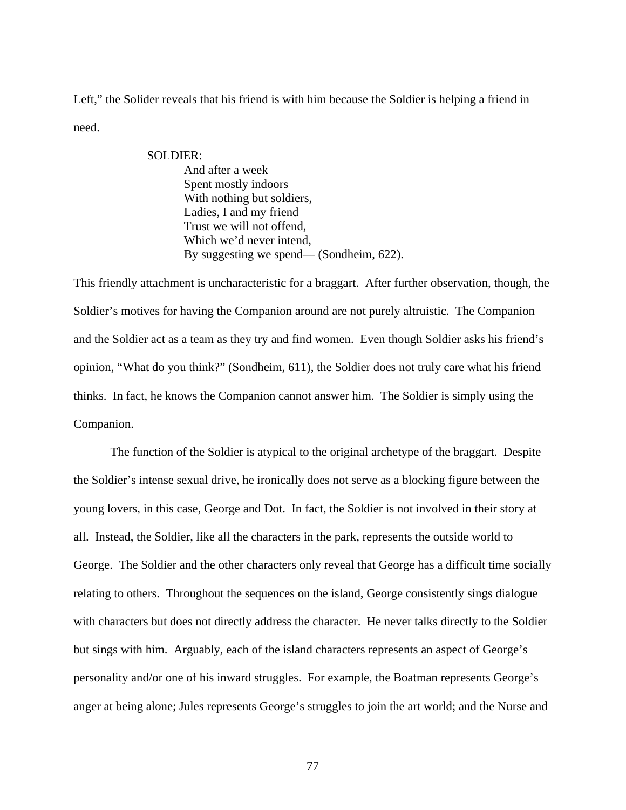Left," the Solider reveals that his friend is with him because the Soldier is helping a friend in need.

> SOLDIER: And after a week Spent mostly indoors With nothing but soldiers, Ladies, I and my friend Trust we will not offend, Which we'd never intend, By suggesting we spend— (Sondheim, 622).

This friendly attachment is uncharacteristic for a braggart. After further observation, though, the Soldier's motives for having the Companion around are not purely altruistic. The Companion and the Soldier act as a team as they try and find women. Even though Soldier asks his friend's opinion, "What do you think?" (Sondheim, 611), the Soldier does not truly care what his friend thinks. In fact, he knows the Companion cannot answer him. The Soldier is simply using the Companion.

 The function of the Soldier is atypical to the original archetype of the braggart. Despite the Soldier's intense sexual drive, he ironically does not serve as a blocking figure between the young lovers, in this case, George and Dot. In fact, the Soldier is not involved in their story at all. Instead, the Soldier, like all the characters in the park, represents the outside world to George. The Soldier and the other characters only reveal that George has a difficult time socially relating to others. Throughout the sequences on the island, George consistently sings dialogue with characters but does not directly address the character. He never talks directly to the Soldier but sings with him. Arguably, each of the island characters represents an aspect of George's personality and/or one of his inward struggles. For example, the Boatman represents George's anger at being alone; Jules represents George's struggles to join the art world; and the Nurse and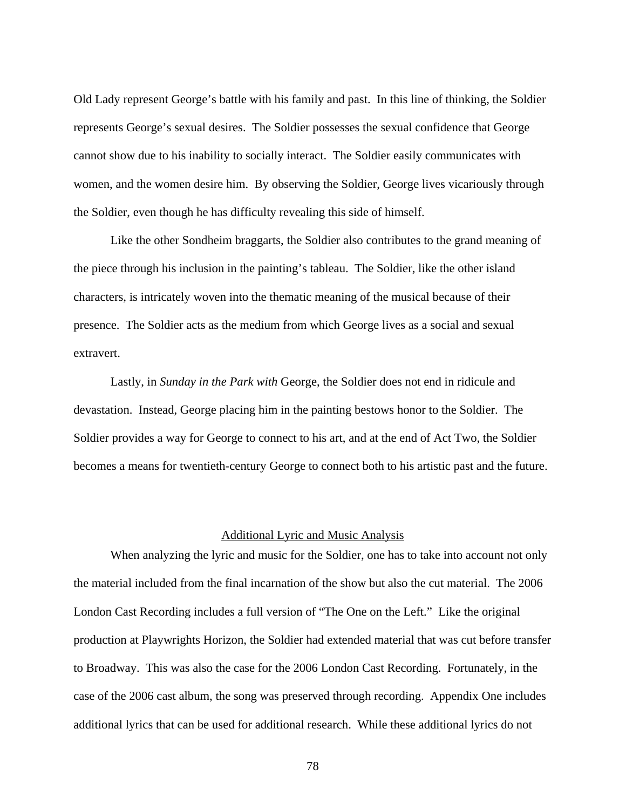Old Lady represent George's battle with his family and past. In this line of thinking, the Soldier represents George's sexual desires. The Soldier possesses the sexual confidence that George cannot show due to his inability to socially interact. The Soldier easily communicates with women, and the women desire him. By observing the Soldier, George lives vicariously through the Soldier, even though he has difficulty revealing this side of himself.

 Like the other Sondheim braggarts, the Soldier also contributes to the grand meaning of the piece through his inclusion in the painting's tableau. The Soldier, like the other island characters, is intricately woven into the thematic meaning of the musical because of their presence. The Soldier acts as the medium from which George lives as a social and sexual extravert.

Lastly, in *Sunday in the Park with* George, the Soldier does not end in ridicule and devastation. Instead, George placing him in the painting bestows honor to the Soldier. The Soldier provides a way for George to connect to his art, and at the end of Act Two, the Soldier becomes a means for twentieth-century George to connect both to his artistic past and the future.

## Additional Lyric and Music Analysis

 When analyzing the lyric and music for the Soldier, one has to take into account not only the material included from the final incarnation of the show but also the cut material. The 2006 London Cast Recording includes a full version of "The One on the Left." Like the original production at Playwrights Horizon, the Soldier had extended material that was cut before transfer to Broadway. This was also the case for the 2006 London Cast Recording. Fortunately, in the case of the 2006 cast album, the song was preserved through recording. Appendix One includes additional lyrics that can be used for additional research. While these additional lyrics do not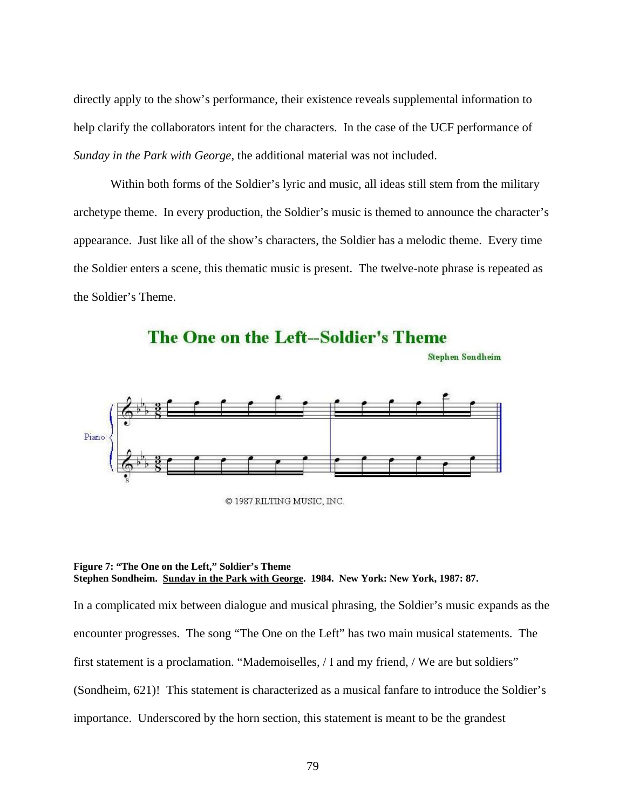directly apply to the show's performance, their existence reveals supplemental information to help clarify the collaborators intent for the characters. In the case of the UCF performance of *Sunday in the Park with George*, the additional material was not included.

Within both forms of the Soldier's lyric and music, all ideas still stem from the military archetype theme. In every production, the Soldier's music is themed to announce the character's appearance. Just like all of the show's characters, the Soldier has a melodic theme. Every time the Soldier enters a scene, this thematic music is present. The twelve-note phrase is repeated as the Soldier's Theme.



The One on the Left-Soldier's Theme

#### **Figure 7: "The One on the Left," Soldier's Theme Stephen Sondheim. Sunday in the Park with George. 1984. New York: New York, 1987: 87.**

In a complicated mix between dialogue and musical phrasing, the Soldier's music expands as the encounter progresses. The song "The One on the Left" has two main musical statements. The first statement is a proclamation. "Mademoiselles, / I and my friend, / We are but soldiers" (Sondheim, 621)! This statement is characterized as a musical fanfare to introduce the Soldier's importance. Underscored by the horn section, this statement is meant to be the grandest

<sup>© 1987</sup> RILTING MUSIC, INC.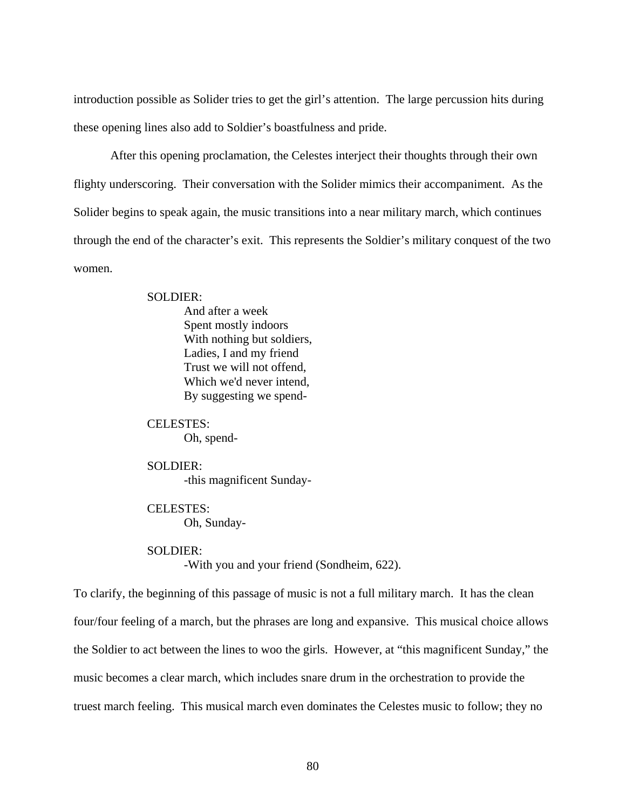introduction possible as Solider tries to get the girl's attention. The large percussion hits during these opening lines also add to Soldier's boastfulness and pride.

 After this opening proclamation, the Celestes interject their thoughts through their own flighty underscoring. Their conversation with the Solider mimics their accompaniment. As the Solider begins to speak again, the music transitions into a near military march, which continues through the end of the character's exit. This represents the Soldier's military conquest of the two women.

### SOLDIER:

And after a week Spent mostly indoors With nothing but soldiers, Ladies, I and my friend Trust we will not offend, Which we'd never intend, By suggesting we spend-

## CELESTES: Oh, spend-

SOLDIER: -this magnificent Sunday-

CELESTES: Oh, Sunday-

### SOLDIER:

-With you and your friend (Sondheim, 622).

To clarify, the beginning of this passage of music is not a full military march. It has the clean four/four feeling of a march, but the phrases are long and expansive. This musical choice allows the Soldier to act between the lines to woo the girls. However, at "this magnificent Sunday," the music becomes a clear march, which includes snare drum in the orchestration to provide the truest march feeling. This musical march even dominates the Celestes music to follow; they no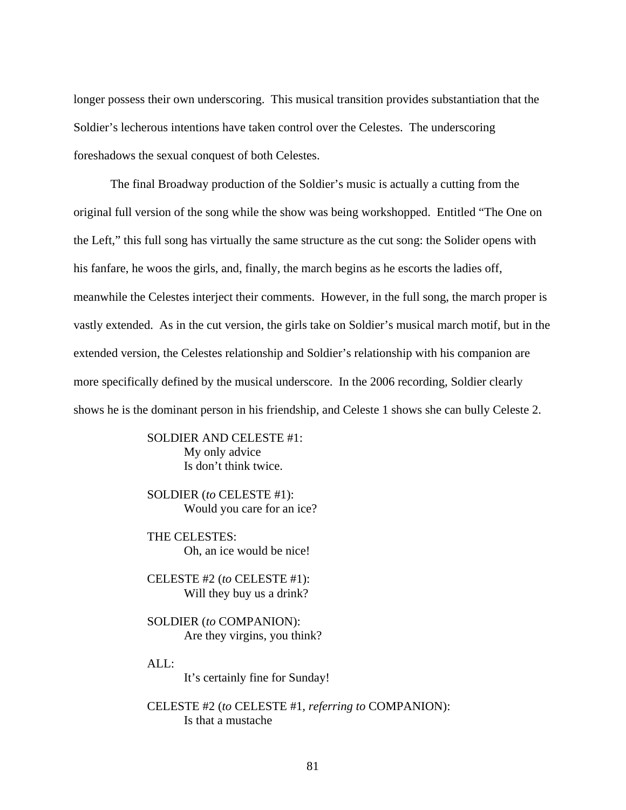longer possess their own underscoring. This musical transition provides substantiation that the Soldier's lecherous intentions have taken control over the Celestes. The underscoring foreshadows the sexual conquest of both Celestes.

 The final Broadway production of the Soldier's music is actually a cutting from the original full version of the song while the show was being workshopped. Entitled "The One on the Left," this full song has virtually the same structure as the cut song: the Solider opens with his fanfare, he woos the girls, and, finally, the march begins as he escorts the ladies off, meanwhile the Celestes interject their comments. However, in the full song, the march proper is vastly extended. As in the cut version, the girls take on Soldier's musical march motif, but in the extended version, the Celestes relationship and Soldier's relationship with his companion are more specifically defined by the musical underscore. In the 2006 recording, Soldier clearly shows he is the dominant person in his friendship, and Celeste 1 shows she can bully Celeste 2.

> SOLDIER AND CELESTE #1: My only advice Is don't think twice.

SOLDIER (*to* CELESTE #1): Would you care for an ice?

THE CELESTES: Oh, an ice would be nice!

CELESTE #2 (*to* CELESTE #1): Will they buy us a drink?

SOLDIER (*to* COMPANION): Are they virgins, you think?

ALL:

It's certainly fine for Sunday!

CELESTE #2 (*to* CELESTE #1*, referring to* COMPANION): Is that a mustache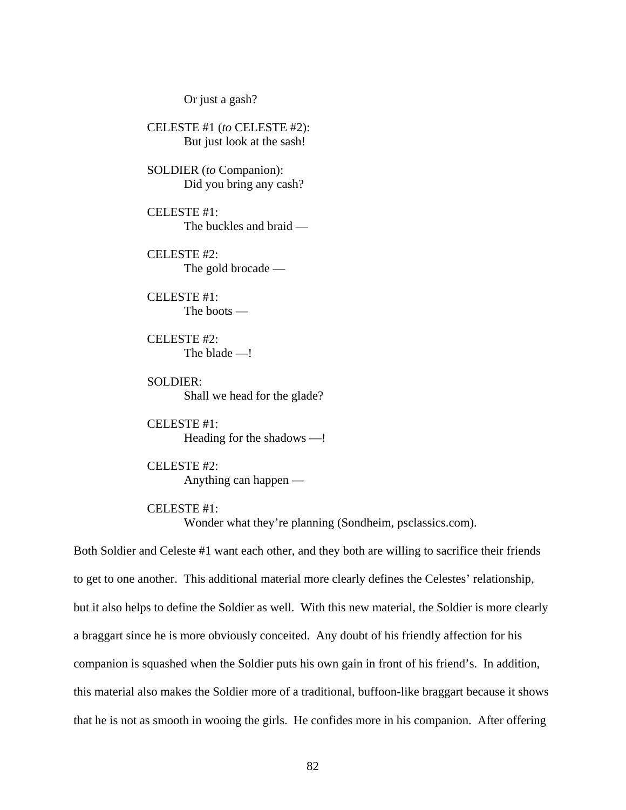Or just a gash?

CELESTE #1 (*to* CELESTE #2): But just look at the sash!

SOLDIER (*to* Companion): Did you bring any cash?

CELESTE #1: The buckles and braid —

CELESTE #2: The gold brocade —

CELESTE #1: The boots —

CELESTE #2: The blade —!

SOLDIER: Shall we head for the glade?

CELESTE #1: Heading for the shadows —!

CELESTE #2: Anything can happen —

CELESTE #1:

Wonder what they're planning (Sondheim, psclassics.com).

Both Soldier and Celeste #1 want each other, and they both are willing to sacrifice their friends to get to one another. This additional material more clearly defines the Celestes' relationship, but it also helps to define the Soldier as well. With this new material, the Soldier is more clearly a braggart since he is more obviously conceited. Any doubt of his friendly affection for his companion is squashed when the Soldier puts his own gain in front of his friend's. In addition, this material also makes the Soldier more of a traditional, buffoon-like braggart because it shows that he is not as smooth in wooing the girls. He confides more in his companion. After offering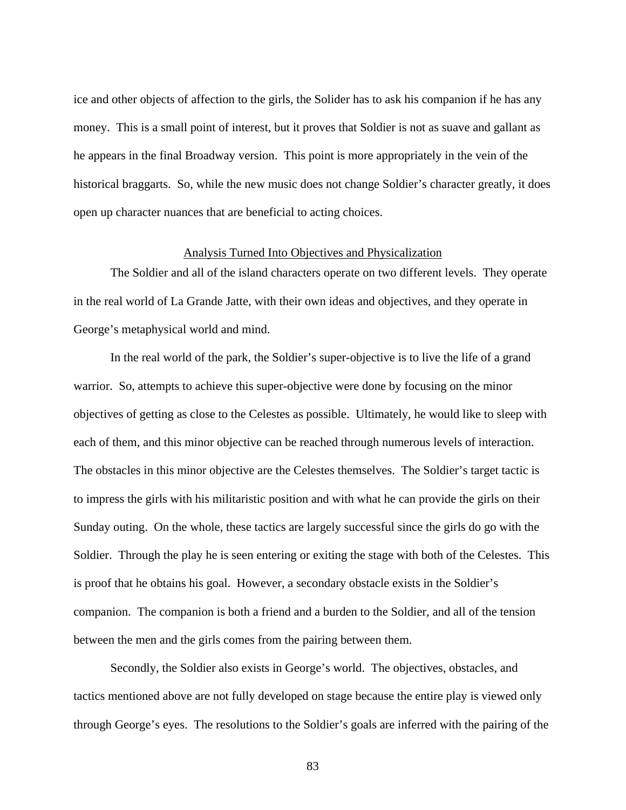ice and other objects of affection to the girls, the Solider has to ask his companion if he has any money. This is a small point of interest, but it proves that Soldier is not as suave and gallant as he appears in the final Broadway version. This point is more appropriately in the vein of the historical braggarts. So, while the new music does not change Soldier's character greatly, it does open up character nuances that are beneficial to acting choices.

# Analysis Turned Into Objectives and Physicalization

 The Soldier and all of the island characters operate on two different levels. They operate in the real world of La Grande Jatte, with their own ideas and objectives, and they operate in George's metaphysical world and mind.

 In the real world of the park, the Soldier's super-objective is to live the life of a grand warrior. So, attempts to achieve this super-objective were done by focusing on the minor objectives of getting as close to the Celestes as possible. Ultimately, he would like to sleep with each of them, and this minor objective can be reached through numerous levels of interaction. The obstacles in this minor objective are the Celestes themselves. The Soldier's target tactic is to impress the girls with his militaristic position and with what he can provide the girls on their Sunday outing. On the whole, these tactics are largely successful since the girls do go with the Soldier. Through the play he is seen entering or exiting the stage with both of the Celestes. This is proof that he obtains his goal. However, a secondary obstacle exists in the Soldier's companion. The companion is both a friend and a burden to the Soldier, and all of the tension between the men and the girls comes from the pairing between them.

 Secondly, the Soldier also exists in George's world. The objectives, obstacles, and tactics mentioned above are not fully developed on stage because the entire play is viewed only through George's eyes. The resolutions to the Soldier's goals are inferred with the pairing of the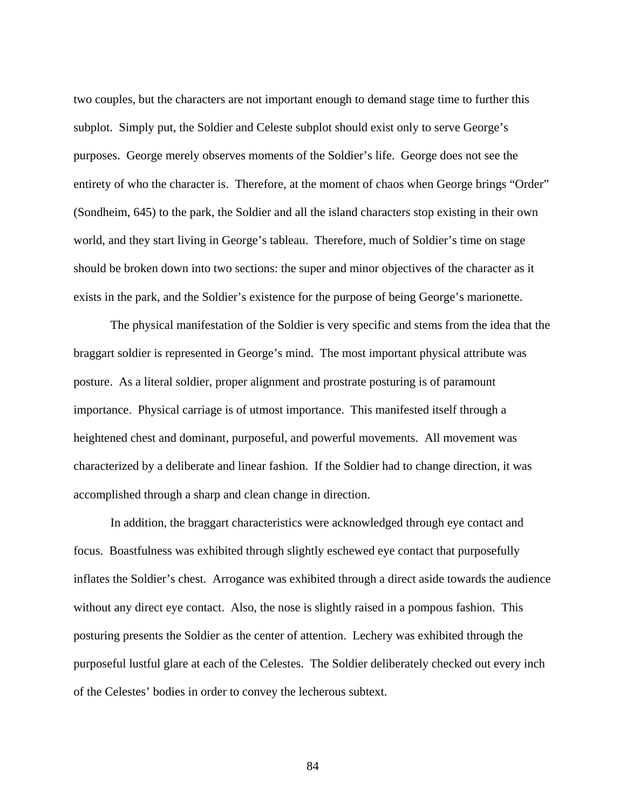two couples, but the characters are not important enough to demand stage time to further this subplot. Simply put, the Soldier and Celeste subplot should exist only to serve George's purposes. George merely observes moments of the Soldier's life. George does not see the entirety of who the character is. Therefore, at the moment of chaos when George brings "Order" (Sondheim, 645) to the park, the Soldier and all the island characters stop existing in their own world, and they start living in George's tableau. Therefore, much of Soldier's time on stage should be broken down into two sections: the super and minor objectives of the character as it exists in the park, and the Soldier's existence for the purpose of being George's marionette.

 The physical manifestation of the Soldier is very specific and stems from the idea that the braggart soldier is represented in George's mind. The most important physical attribute was posture. As a literal soldier, proper alignment and prostrate posturing is of paramount importance. Physical carriage is of utmost importance. This manifested itself through a heightened chest and dominant, purposeful, and powerful movements. All movement was characterized by a deliberate and linear fashion. If the Soldier had to change direction, it was accomplished through a sharp and clean change in direction.

In addition, the braggart characteristics were acknowledged through eye contact and focus. Boastfulness was exhibited through slightly eschewed eye contact that purposefully inflates the Soldier's chest. Arrogance was exhibited through a direct aside towards the audience without any direct eye contact. Also, the nose is slightly raised in a pompous fashion. This posturing presents the Soldier as the center of attention. Lechery was exhibited through the purposeful lustful glare at each of the Celestes. The Soldier deliberately checked out every inch of the Celestes' bodies in order to convey the lecherous subtext.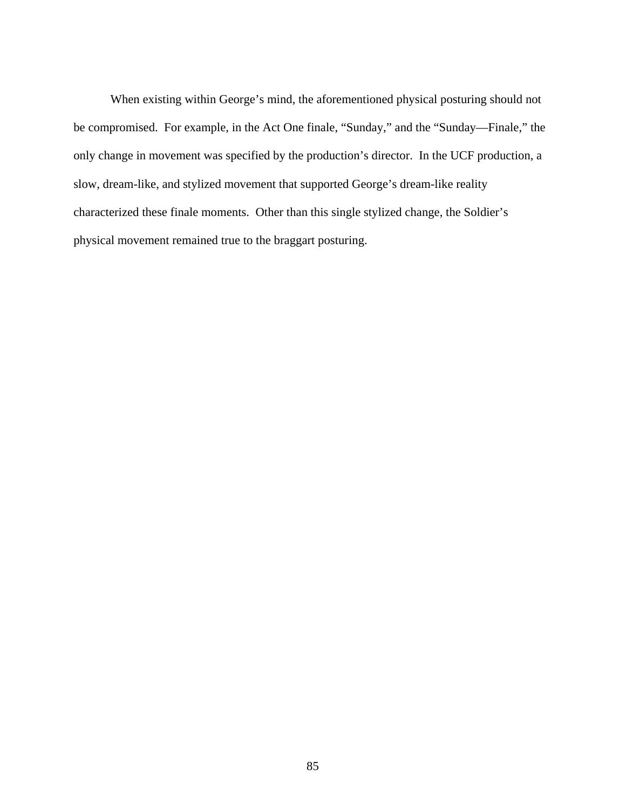When existing within George's mind, the aforementioned physical posturing should not be compromised. For example, in the Act One finale, "Sunday," and the "Sunday—Finale," the only change in movement was specified by the production's director. In the UCF production, a slow, dream-like, and stylized movement that supported George's dream-like reality characterized these finale moments. Other than this single stylized change, the Soldier's physical movement remained true to the braggart posturing.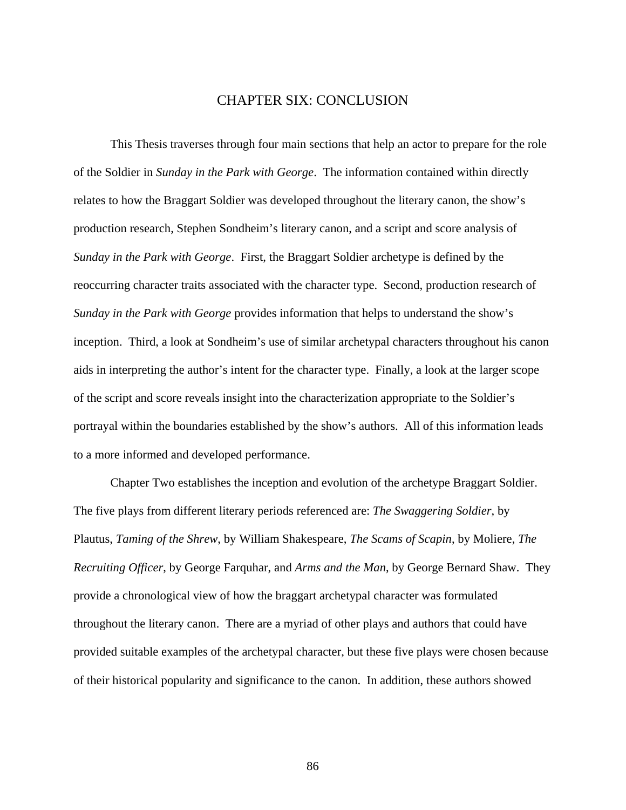# CHAPTER SIX: CONCLUSION

This Thesis traverses through four main sections that help an actor to prepare for the role of the Soldier in *Sunday in the Park with George*. The information contained within directly relates to how the Braggart Soldier was developed throughout the literary canon, the show's production research, Stephen Sondheim's literary canon, and a script and score analysis of *Sunday in the Park with George*. First, the Braggart Soldier archetype is defined by the reoccurring character traits associated with the character type. Second, production research of *Sunday in the Park with George* provides information that helps to understand the show's inception. Third, a look at Sondheim's use of similar archetypal characters throughout his canon aids in interpreting the author's intent for the character type. Finally, a look at the larger scope of the script and score reveals insight into the characterization appropriate to the Soldier's portrayal within the boundaries established by the show's authors. All of this information leads to a more informed and developed performance.

Chapter Two establishes the inception and evolution of the archetype Braggart Soldier. The five plays from different literary periods referenced are: *The Swaggering Soldier*, by Plautus, *Taming of the Shrew*, by William Shakespeare, *The Scams of Scapin*, by Moliere, *The Recruiting Officer*, by George Farquhar, and *Arms and the Man*, by George Bernard Shaw. They provide a chronological view of how the braggart archetypal character was formulated throughout the literary canon. There are a myriad of other plays and authors that could have provided suitable examples of the archetypal character, but these five plays were chosen because of their historical popularity and significance to the canon. In addition, these authors showed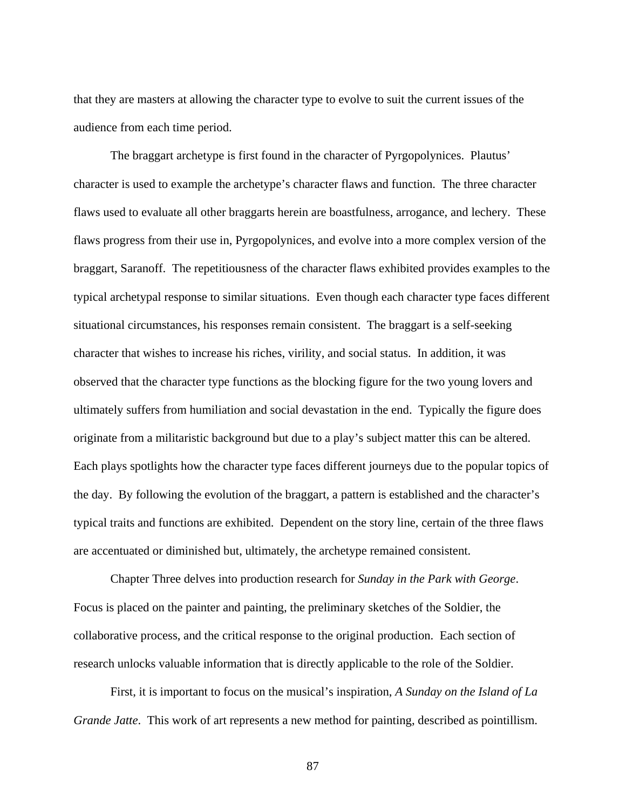that they are masters at allowing the character type to evolve to suit the current issues of the audience from each time period.

The braggart archetype is first found in the character of Pyrgopolynices. Plautus' character is used to example the archetype's character flaws and function. The three character flaws used to evaluate all other braggarts herein are boastfulness, arrogance, and lechery. These flaws progress from their use in, Pyrgopolynices, and evolve into a more complex version of the braggart, Saranoff. The repetitiousness of the character flaws exhibited provides examples to the typical archetypal response to similar situations. Even though each character type faces different situational circumstances, his responses remain consistent. The braggart is a self-seeking character that wishes to increase his riches, virility, and social status. In addition, it was observed that the character type functions as the blocking figure for the two young lovers and ultimately suffers from humiliation and social devastation in the end. Typically the figure does originate from a militaristic background but due to a play's subject matter this can be altered. Each plays spotlights how the character type faces different journeys due to the popular topics of the day. By following the evolution of the braggart, a pattern is established and the character's typical traits and functions are exhibited. Dependent on the story line, certain of the three flaws are accentuated or diminished but, ultimately, the archetype remained consistent.

Chapter Three delves into production research for *Sunday in the Park with George*. Focus is placed on the painter and painting, the preliminary sketches of the Soldier, the collaborative process, and the critical response to the original production. Each section of research unlocks valuable information that is directly applicable to the role of the Soldier.

First, it is important to focus on the musical's inspiration, *A Sunday on the Island of La Grande Jatte*. This work of art represents a new method for painting, described as pointillism.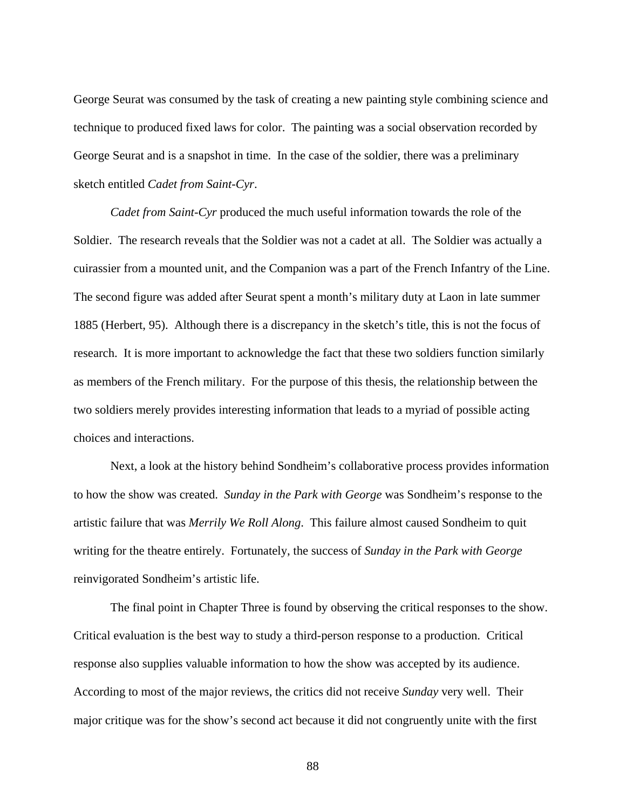George Seurat was consumed by the task of creating a new painting style combining science and technique to produced fixed laws for color. The painting was a social observation recorded by George Seurat and is a snapshot in time. In the case of the soldier, there was a preliminary sketch entitled *Cadet from Saint-Cyr*.

*Cadet from Saint-Cyr* produced the much useful information towards the role of the Soldier. The research reveals that the Soldier was not a cadet at all. The Soldier was actually a cuirassier from a mounted unit, and the Companion was a part of the French Infantry of the Line. The second figure was added after Seurat spent a month's military duty at Laon in late summer 1885 (Herbert, 95). Although there is a discrepancy in the sketch's title, this is not the focus of research. It is more important to acknowledge the fact that these two soldiers function similarly as members of the French military. For the purpose of this thesis, the relationship between the two soldiers merely provides interesting information that leads to a myriad of possible acting choices and interactions.

Next, a look at the history behind Sondheim's collaborative process provides information to how the show was created. *Sunday in the Park with George* was Sondheim's response to the artistic failure that was *Merrily We Roll Along*. This failure almost caused Sondheim to quit writing for the theatre entirely. Fortunately, the success of *Sunday in the Park with George*  reinvigorated Sondheim's artistic life.

The final point in Chapter Three is found by observing the critical responses to the show. Critical evaluation is the best way to study a third-person response to a production. Critical response also supplies valuable information to how the show was accepted by its audience. According to most of the major reviews, the critics did not receive *Sunday* very well. Their major critique was for the show's second act because it did not congruently unite with the first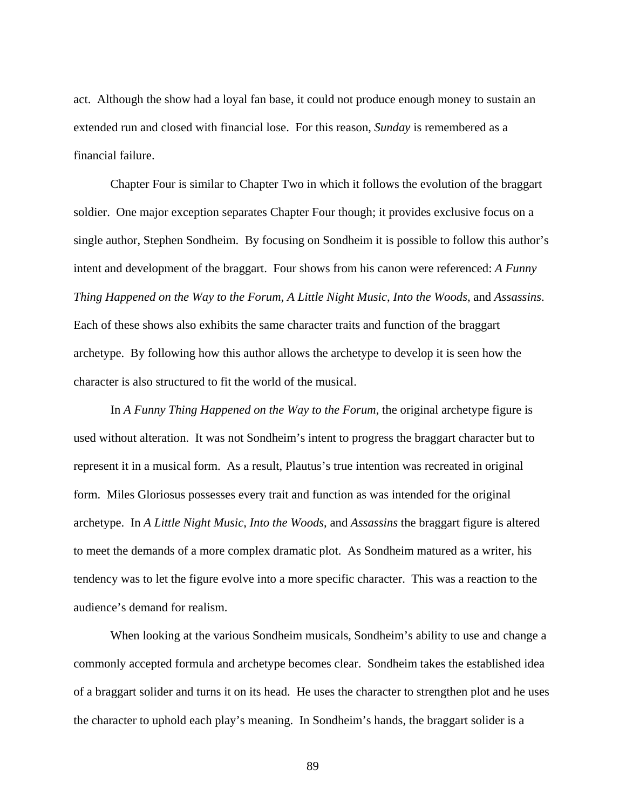act. Although the show had a loyal fan base, it could not produce enough money to sustain an extended run and closed with financial lose. For this reason, *Sunday* is remembered as a financial failure.

Chapter Four is similar to Chapter Two in which it follows the evolution of the braggart soldier. One major exception separates Chapter Four though; it provides exclusive focus on a single author, Stephen Sondheim. By focusing on Sondheim it is possible to follow this author's intent and development of the braggart. Four shows from his canon were referenced: *A Funny Thing Happened on the Way to the Forum*, *A Little Night Music*, *Into the Woods*, and *Assassins*. Each of these shows also exhibits the same character traits and function of the braggart archetype. By following how this author allows the archetype to develop it is seen how the character is also structured to fit the world of the musical.

In *A Funny Thing Happened on the Way to the Forum*, the original archetype figure is used without alteration. It was not Sondheim's intent to progress the braggart character but to represent it in a musical form. As a result, Plautus's true intention was recreated in original form. Miles Gloriosus possesses every trait and function as was intended for the original archetype. In *A Little Night Music*, *Into the Woods*, and *Assassins* the braggart figure is altered to meet the demands of a more complex dramatic plot. As Sondheim matured as a writer, his tendency was to let the figure evolve into a more specific character. This was a reaction to the audience's demand for realism.

When looking at the various Sondheim musicals, Sondheim's ability to use and change a commonly accepted formula and archetype becomes clear. Sondheim takes the established idea of a braggart solider and turns it on its head. He uses the character to strengthen plot and he uses the character to uphold each play's meaning. In Sondheim's hands, the braggart solider is a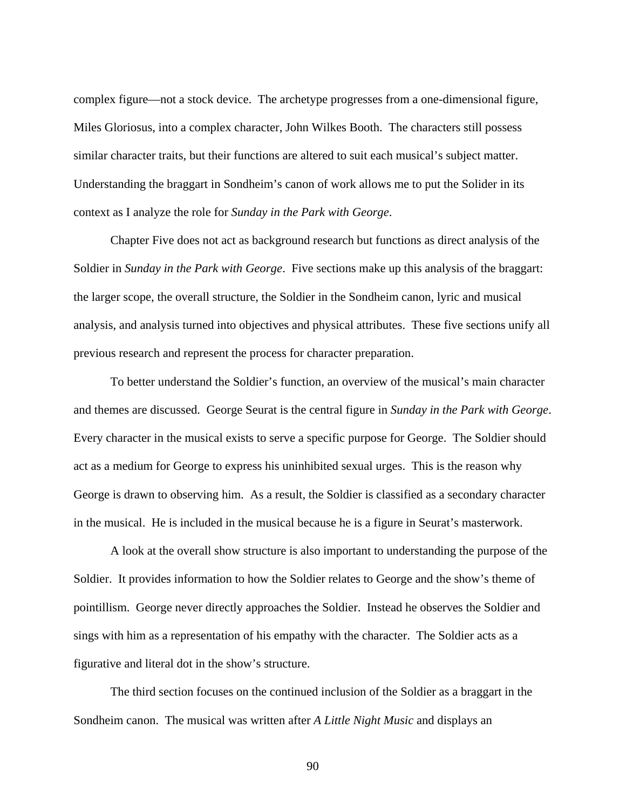complex figure—not a stock device. The archetype progresses from a one-dimensional figure, Miles Gloriosus, into a complex character, John Wilkes Booth. The characters still possess similar character traits, but their functions are altered to suit each musical's subject matter. Understanding the braggart in Sondheim's canon of work allows me to put the Solider in its context as I analyze the role for *Sunday in the Park with George*.

Chapter Five does not act as background research but functions as direct analysis of the Soldier in *Sunday in the Park with George*. Five sections make up this analysis of the braggart: the larger scope, the overall structure, the Soldier in the Sondheim canon, lyric and musical analysis, and analysis turned into objectives and physical attributes. These five sections unify all previous research and represent the process for character preparation.

To better understand the Soldier's function, an overview of the musical's main character and themes are discussed. George Seurat is the central figure in *Sunday in the Park with George*. Every character in the musical exists to serve a specific purpose for George. The Soldier should act as a medium for George to express his uninhibited sexual urges. This is the reason why George is drawn to observing him. As a result, the Soldier is classified as a secondary character in the musical. He is included in the musical because he is a figure in Seurat's masterwork.

A look at the overall show structure is also important to understanding the purpose of the Soldier. It provides information to how the Soldier relates to George and the show's theme of pointillism. George never directly approaches the Soldier. Instead he observes the Soldier and sings with him as a representation of his empathy with the character. The Soldier acts as a figurative and literal dot in the show's structure.

The third section focuses on the continued inclusion of the Soldier as a braggart in the Sondheim canon. The musical was written after *A Little Night Music* and displays an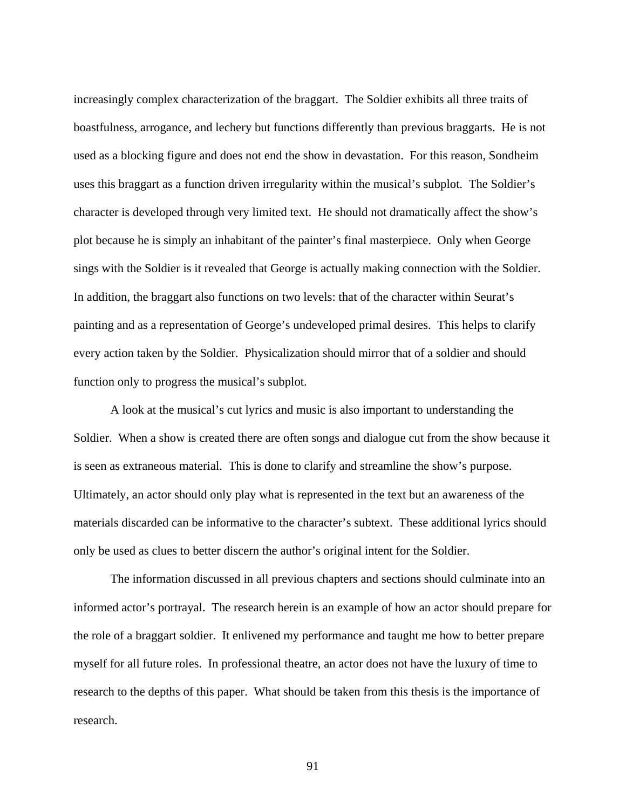increasingly complex characterization of the braggart. The Soldier exhibits all three traits of boastfulness, arrogance, and lechery but functions differently than previous braggarts. He is not used as a blocking figure and does not end the show in devastation. For this reason, Sondheim uses this braggart as a function driven irregularity within the musical's subplot. The Soldier's character is developed through very limited text. He should not dramatically affect the show's plot because he is simply an inhabitant of the painter's final masterpiece. Only when George sings with the Soldier is it revealed that George is actually making connection with the Soldier. In addition, the braggart also functions on two levels: that of the character within Seurat's painting and as a representation of George's undeveloped primal desires. This helps to clarify every action taken by the Soldier. Physicalization should mirror that of a soldier and should function only to progress the musical's subplot.

A look at the musical's cut lyrics and music is also important to understanding the Soldier. When a show is created there are often songs and dialogue cut from the show because it is seen as extraneous material. This is done to clarify and streamline the show's purpose. Ultimately, an actor should only play what is represented in the text but an awareness of the materials discarded can be informative to the character's subtext. These additional lyrics should only be used as clues to better discern the author's original intent for the Soldier.

The information discussed in all previous chapters and sections should culminate into an informed actor's portrayal. The research herein is an example of how an actor should prepare for the role of a braggart soldier. It enlivened my performance and taught me how to better prepare myself for all future roles. In professional theatre, an actor does not have the luxury of time to research to the depths of this paper. What should be taken from this thesis is the importance of research.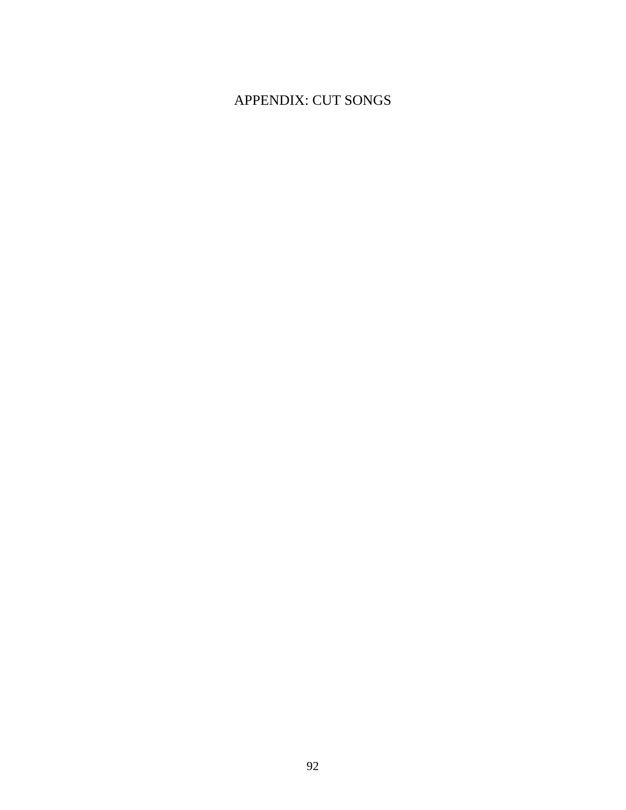# APPENDIX: CUT SONGS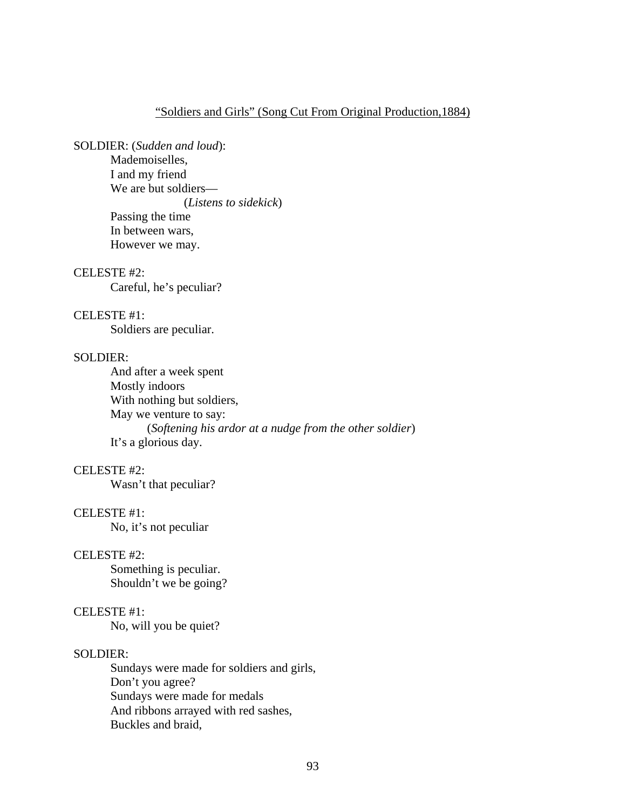## "Soldiers and Girls" (Song Cut From Original Production,1884)

SOLDIER: (*Sudden and loud*):

 Mademoiselles, I and my friend We are but soldiers— (*Listens to sidekick*) Passing the time In between wars, However we may.

CELESTE #2:

Careful, he's peculiar?

# CELESTE #1:

Soldiers are peculiar.

## SOLDIER:

 And after a week spent Mostly indoors With nothing but soldiers, May we venture to say: (*Softening his ardor at a nudge from the other soldier*) It's a glorious day.

## CELESTE #2:

Wasn't that peculiar?

# CELESTE #1:

No, it's not peculiar

### CELESTE #2:

 Something is peculiar. Shouldn't we be going?

## CELESTE #1:

No, will you be quiet?

## SOLDIER:

 Sundays were made for soldiers and girls, Don't you agree? Sundays were made for medals And ribbons arrayed with red sashes, Buckles and braid,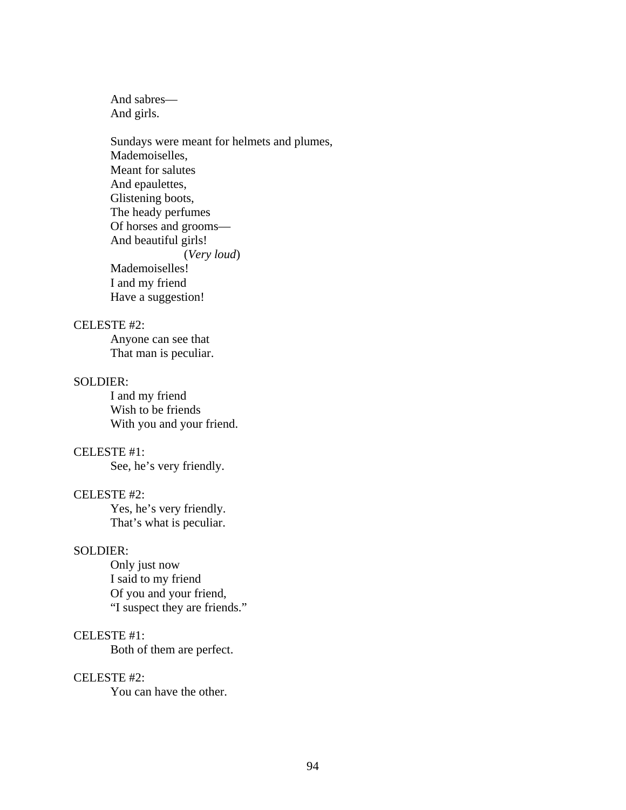And sabres— And girls.

 Sundays were meant for helmets and plumes, Mademoiselles, Meant for salutes And epaulettes, Glistening boots, The heady perfumes Of horses and grooms— And beautiful girls! (*Very loud*) Mademoiselles! I and my friend Have a suggestion!

# CELESTE #2:

 Anyone can see that That man is peculiar.

### SOLDIER:

 I and my friend Wish to be friends With you and your friend.

# CELESTE #1:

See, he's very friendly.

### CELESTE #2:

 Yes, he's very friendly. That's what is peculiar.

## SOLDIER:

 Only just now I said to my friend Of you and your friend, "I suspect they are friends."

## CELESTE #1:

Both of them are perfect.

## CELESTE #2:

You can have the other.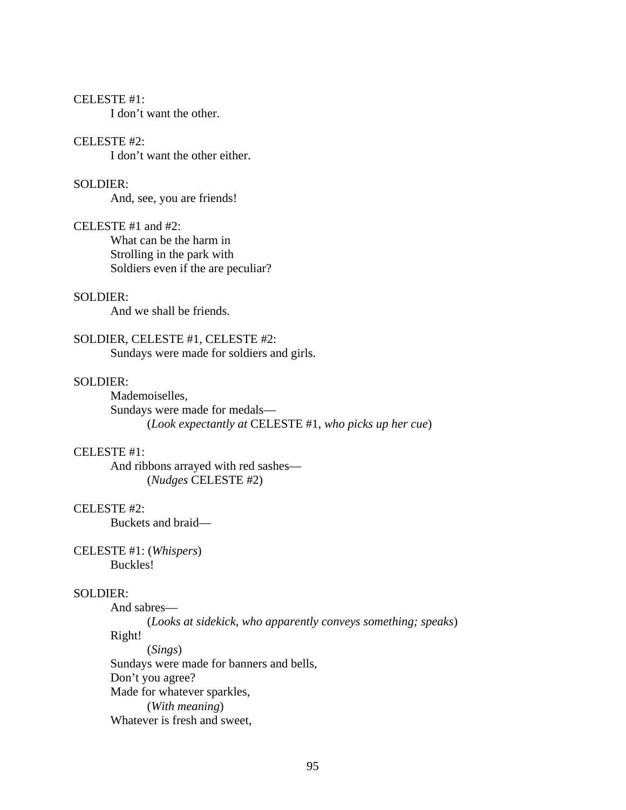## CELESTE #1:

I don't want the other.

### CELESTE #2:

I don't want the other either.

### SOLDIER:

And, see, you are friends!

# CELESTE #1 and #2:

 What can be the harm in Strolling in the park with Soldiers even if the are peculiar?

### SOLDIER:

And we shall be friends.

# SOLDIER, CELESTE #1, CELESTE #2:

Sundays were made for soldiers and girls.

### SOLDIER:

 Mademoiselles, Sundays were made for medals— (*Look expectantly at* CELESTE #1, *who picks up her cue*)

# CELESTE #1:

 And ribbons arrayed with red sashes— (*Nudges* CELESTE #2)

## CELESTE #2:

Buckets and braid—

CELESTE #1: (*Whispers*) Buckles!

### SOLDIER:

And sabres—

(*Looks at sidekick, who apparently conveys something; speaks*)

Right!

(*Sings*)

Sundays were made for banners and bells,

Don't you agree?

Made for whatever sparkles,

(*With meaning*)

Whatever is fresh and sweet,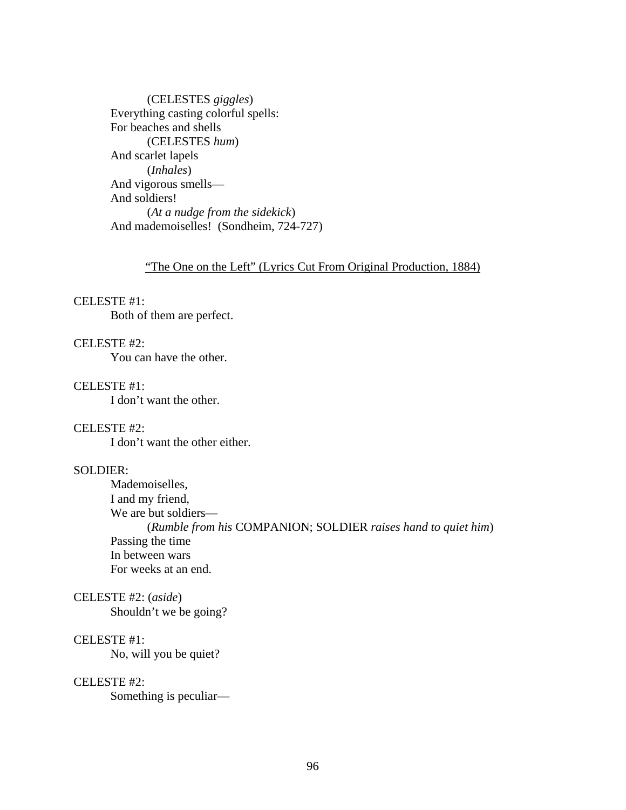(CELESTES *giggles*) Everything casting colorful spells: For beaches and shells (CELESTES *hum*) And scarlet lapels (*Inhales*) And vigorous smells— And soldiers! (*At a nudge from the sidekick*) And mademoiselles! (Sondheim, 724-727)

# "The One on the Left" (Lyrics Cut From Original Production, 1884)

### CELESTE #1:

Both of them are perfect.

# CELESTE #2:

You can have the other.

## CELESTE #1:

I don't want the other.

# CELESTE #2:

I don't want the other either.

### SOLDIER:

 Mademoiselles, I and my friend, We are but soldiers— (*Rumble from his* COMPANION; SOLDIER *raises hand to quiet him*) Passing the time In between wars For weeks at an end.

### CELESTE #2: (*aside*)

Shouldn't we be going?

## CELESTE #1:

No, will you be quiet?

### CELESTE #2:

Something is peculiar—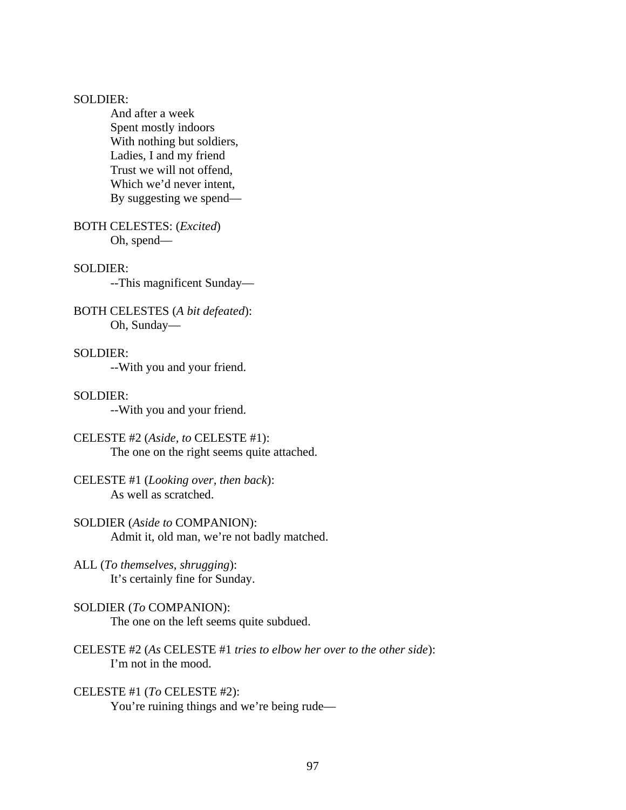### SOLDIER:

 And after a week Spent mostly indoors With nothing but soldiers, Ladies, I and my friend Trust we will not offend, Which we'd never intent, By suggesting we spend—

BOTH CELESTES: (*Excited*) Oh, spend—

SOLDIER:

--This magnificent Sunday—

BOTH CELESTES (*A bit defeated*): Oh, Sunday—

SOLDIER: --With you and your friend.

## SOLDIER:

--With you and your friend.

- CELESTE #2 (*Aside, to* CELESTE #1): The one on the right seems quite attached.
- CELESTE #1 (*Looking over, then back*): As well as scratched.
- SOLDIER (*Aside to* COMPANION): Admit it, old man, we're not badly matched.
- ALL (*To themselves, shrugging*): It's certainly fine for Sunday.
- SOLDIER (*To* COMPANION): The one on the left seems quite subdued.
- CELESTE #2 (*As* CELESTE #1 *tries to elbow her over to the other side*): I'm not in the mood.
- CELESTE #1 (*To* CELESTE #2): You're ruining things and we're being rude—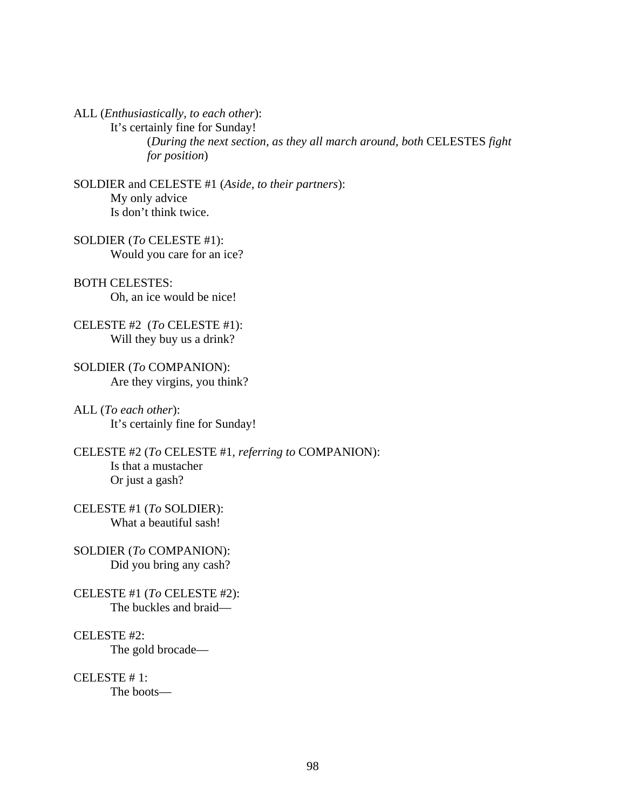ALL (*Enthusiastically, to each other*):

 It's certainly fine for Sunday! (*During the next section, as they all march around, both* CELESTES *fight for position*)

SOLDIER and CELESTE #1 (*Aside, to their partners*): My only advice Is don't think twice.

SOLDIER (*To* CELESTE #1): Would you care for an ice?

BOTH CELESTES: Oh, an ice would be nice!

CELESTE #2 (*To* CELESTE #1): Will they buy us a drink?

SOLDIER (*To* COMPANION): Are they virgins, you think?

ALL (*To each other*): It's certainly fine for Sunday!

CELESTE #2 (*To* CELESTE #1*, referring to* COMPANION): Is that a mustacher Or just a gash?

CELESTE #1 (*To* SOLDIER): What a beautiful sash!

SOLDIER (*To* COMPANION): Did you bring any cash?

CELESTE #1 (*To* CELESTE #2): The buckles and braid—

# CELESTE #2:

The gold brocade—

CELESTE # 1: The boots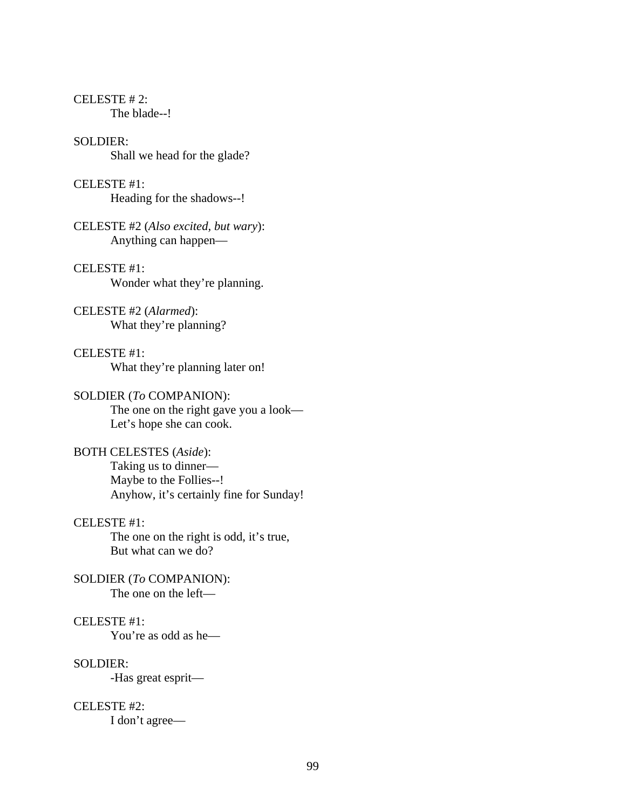CELESTE # 2: The blade--!

# SOLDIER:

Shall we head for the glade?

## CELESTE #1:

Heading for the shadows--!

# CELESTE #2 (*Also excited, but wary*): Anything can happen—

CELESTE #1: Wonder what they're planning.

# CELESTE #2 (*Alarmed*): What they're planning?

CELESTE #1: What they're planning later on!

# SOLDIER (*To* COMPANION):

 The one on the right gave you a look— Let's hope she can cook.

# BOTH CELESTES (*Aside*):

 Taking us to dinner— Maybe to the Follies--! Anyhow, it's certainly fine for Sunday!

# CELESTE #1:

 The one on the right is odd, it's true, But what can we do?

# SOLDIER (*To* COMPANION): The one on the left—

# CELESTE #1:

You're as odd as he—

# SOLDIER:

-Has great esprit—

# CELESTE #2:

I don't agree—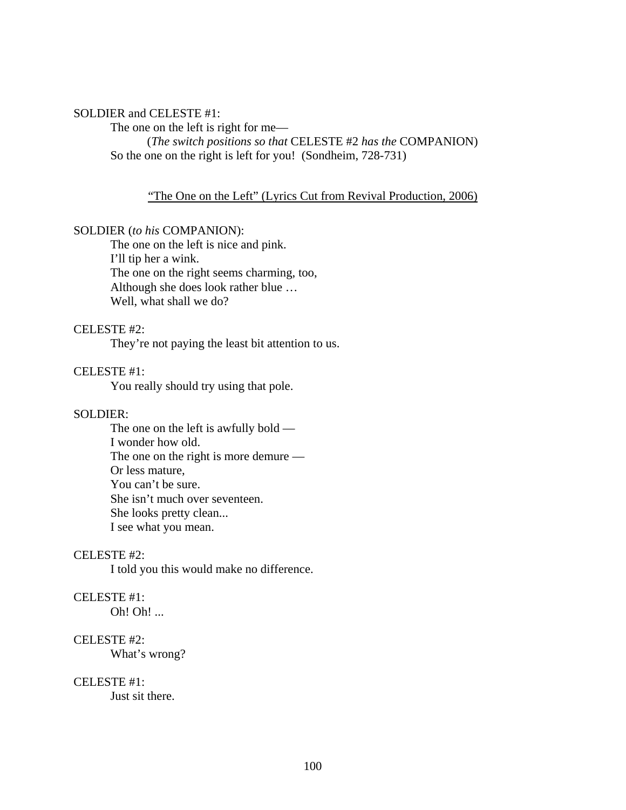### SOLDIER and CELESTE #1:

The one on the left is right for me—

 (*The switch positions so that* CELESTE #2 *has the* COMPANION) So the one on the right is left for you! (Sondheim, 728-731)

### "The One on the Left" (Lyrics Cut from Revival Production, 2006)

### SOLDIER (*to his* COMPANION):

The one on the left is nice and pink. I'll tip her a wink. The one on the right seems charming, too, Although she does look rather blue … Well, what shall we do?

### CELESTE #2:

They're not paying the least bit attention to us.

## CELESTE #1:

You really should try using that pole.

### SOLDIER:

The one on the left is awfully bold — I wonder how old. The one on the right is more demure — Or less mature, You can't be sure. She isn't much over seventeen. She looks pretty clean... I see what you mean.

### CELESTE #2:

I told you this would make no difference.

# CELESTE #1:

Oh! Oh! ...

## CELESTE #2:

What's wrong?

## CELESTE #1:

Just sit there.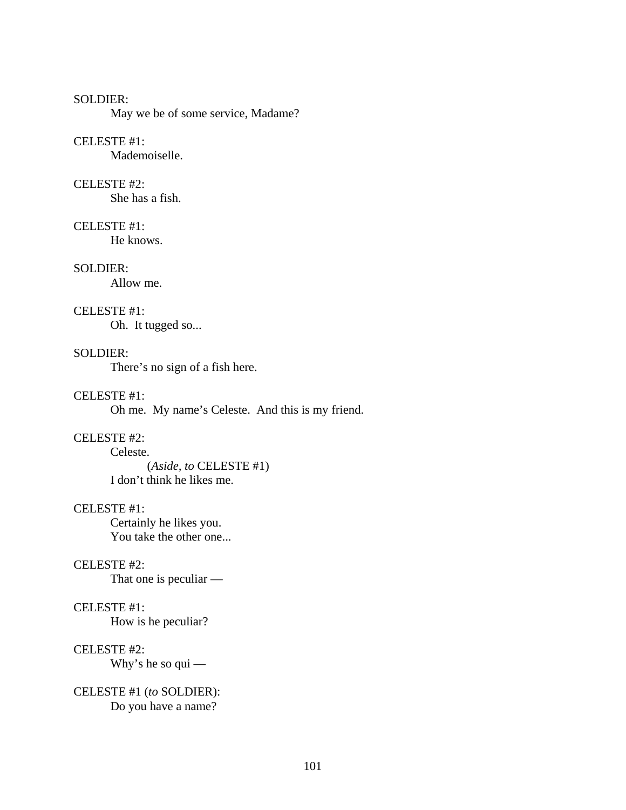May we be of some service, Madame?

# CELESTE #1:

Mademoiselle.

# CELESTE #2:

She has a fish.

#### CELESTE #1:

He knows.

#### SOLDIER:

Allow me.

#### CELESTE #1:

Oh. It tugged so...

# SOLDIER:

There's no sign of a fish here.

#### CELESTE #1:

Oh me. My name's Celeste. And this is my friend.

#### CELESTE #2:

Celeste. (*Aside, to* CELESTE #1) I don't think he likes me.

#### CELESTE #1:

Certainly he likes you. You take the other one...

#### CELESTE #2:

That one is peculiar —

#### CELESTE #1:

How is he peculiar?

#### CELESTE #2:

Why's he so qui —

# CELESTE #1 (*to* SOLDIER): Do you have a name?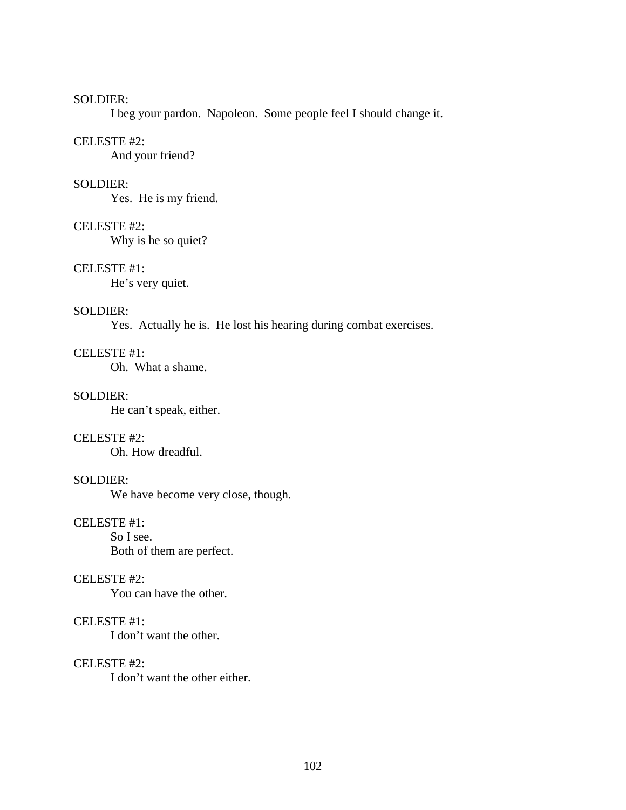I beg your pardon. Napoleon. Some people feel I should change it.

#### CELESTE #2:

And your friend?

#### SOLDIER:

Yes. He is my friend.

## CELESTE #2:

Why is he so quiet?

#### CELESTE #1:

He's very quiet.

# SOLDIER:

Yes. Actually he is. He lost his hearing during combat exercises.

#### CELESTE #1:

Oh. What a shame.

#### SOLDIER:

He can't speak, either.

#### CELESTE #2:

Oh. How dreadful.

# SOLDIER:

We have become very close, though.

# CELESTE #1:

So I see. Both of them are perfect.

#### CELESTE #2:

You can have the other.

# CELESTE #1:

I don't want the other.

# CELESTE #2:

I don't want the other either.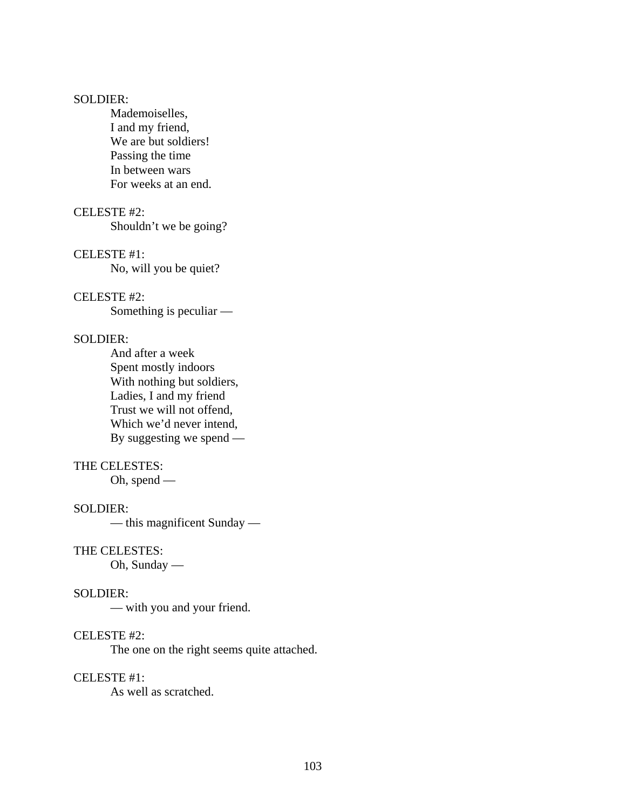Mademoiselles, I and my friend, We are but soldiers! Passing the time In between wars For weeks at an end.

## CELESTE #2:

Shouldn't we be going?

# CELESTE #1:

No, will you be quiet?

#### CELESTE #2:

Something is peculiar —

## SOLDIER:

And after a week Spent mostly indoors With nothing but soldiers, Ladies, I and my friend Trust we will not offend, Which we'd never intend, By suggesting we spend —

# THE CELESTES:

Oh, spend —

### SOLDIER:

— this magnificent Sunday —

#### THE CELESTES:

Oh, Sunday —

#### SOLDIER:

— with you and your friend.

#### CELESTE #2:

The one on the right seems quite attached.

#### CELESTE #1:

As well as scratched.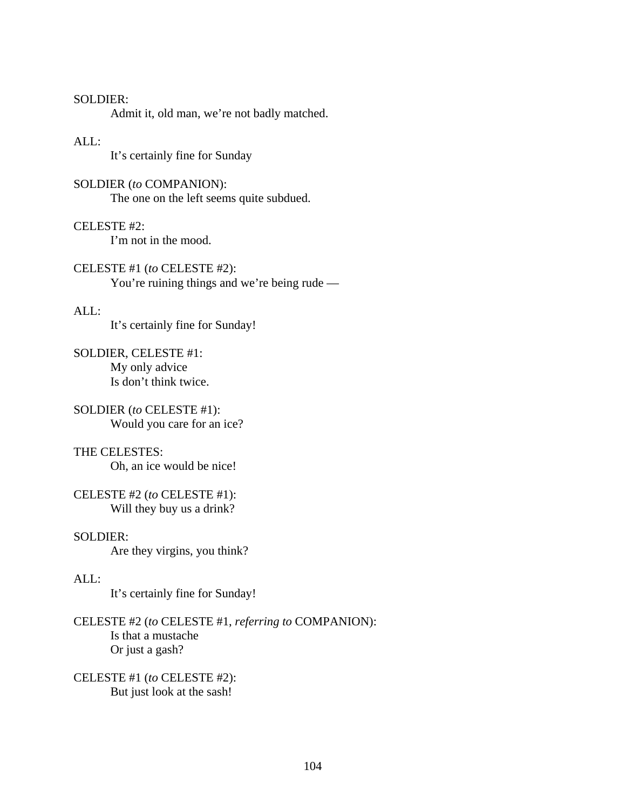Admit it, old man, we're not badly matched.

## ALL:

It's certainly fine for Sunday

#### SOLDIER (*to* COMPANION):

The one on the left seems quite subdued.

# CELESTE #2:

I'm not in the mood.

#### CELESTE #1 (*to* CELESTE #2): You're ruining things and we're being rude —

# ALL:

It's certainly fine for Sunday!

SOLDIER, CELESTE #1: My only advice Is don't think twice.

#### SOLDIER (*to* CELESTE #1): Would you care for an ice?

#### THE CELESTES:

Oh, an ice would be nice!

#### CELESTE #2 (*to* CELESTE #1): Will they buy us a drink?

SOLDIER: Are they virgins, you think?

#### ALL:

It's certainly fine for Sunday!

# CELESTE #2 (*to* CELESTE #1, *referring to* COMPANION): Is that a mustache Or just a gash?

CELESTE #1 (*to* CELESTE #2): But just look at the sash!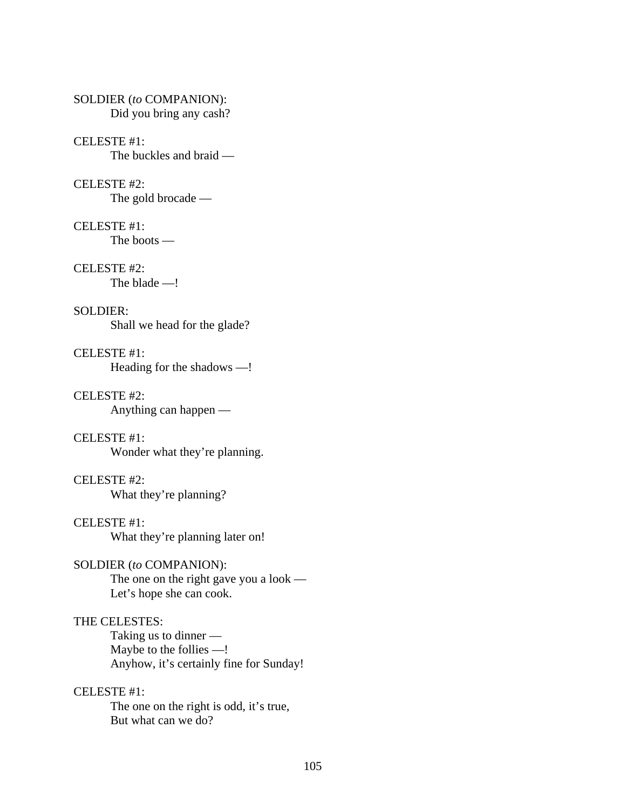# SOLDIER (*to* COMPANION):

Did you bring any cash?

#### CELESTE #1:

The buckles and braid —

# CELESTE #2:

The gold brocade —

# CELESTE #1:

The boots —

# CELESTE #2:

The blade —!

# SOLDIER:

Shall we head for the glade?

# CELESTE #1:

Heading for the shadows —!

# CELESTE #2:

Anything can happen —

# CELESTE #1:

Wonder what they're planning.

# CELESTE #2:

What they're planning?

# CELESTE #1:

What they're planning later on!

# SOLDIER (*to* COMPANION):

The one on the right gave you a look — Let's hope she can cook.

# THE CELESTES:

Taking us to dinner — Maybe to the follies —! Anyhow, it's certainly fine for Sunday!

# CELESTE #1:

The one on the right is odd, it's true, But what can we do?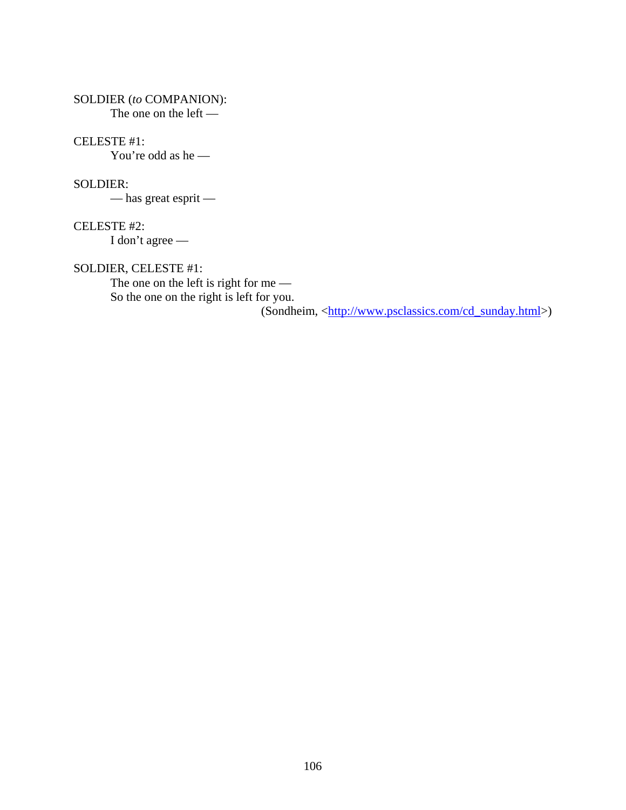# SOLDIER (*to* COMPANION):

The one on the left —

### CELESTE #1:

You're odd as he —

# SOLDIER:

 $-$  has great esprit  $-$ 

# CELESTE #2:

I don't agree —

# SOLDIER, CELESTE #1:

The one on the left is right for me — So the one on the right is left for you.

(Sondheim, [<http://www.psclassics.com/cd\\_sunday.html>](http://www.psclassics.com/cd_sunday.html))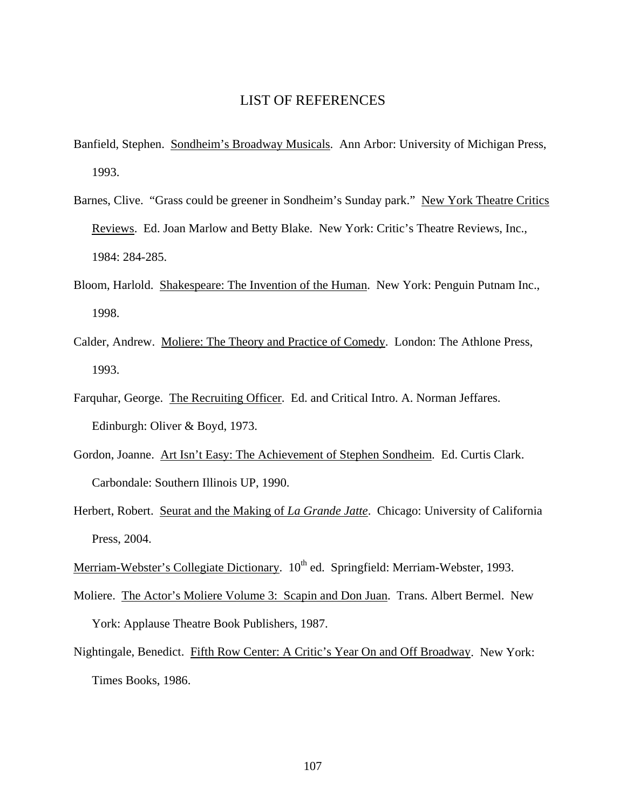#### LIST OF REFERENCES

- Banfield, Stephen. Sondheim's Broadway Musicals. Ann Arbor: University of Michigan Press, 1993.
- Barnes, Clive. "Grass could be greener in Sondheim's Sunday park." New York Theatre Critics Reviews. Ed. Joan Marlow and Betty Blake. New York: Critic's Theatre Reviews, Inc., 1984: 284-285.
- Bloom, Harlold. Shakespeare: The Invention of the Human. New York: Penguin Putnam Inc., 1998.
- Calder, Andrew. Moliere: The Theory and Practice of Comedy. London: The Athlone Press, 1993.
- Farquhar, George. The Recruiting Officer. Ed. and Critical Intro. A. Norman Jeffares. Edinburgh: Oliver & Boyd, 1973.
- Gordon, Joanne. Art Isn't Easy: The Achievement of Stephen Sondheim. Ed. Curtis Clark. Carbondale: Southern Illinois UP, 1990.
- Herbert, Robert. Seurat and the Making of *La Grande Jatte*. Chicago: University of California Press, 2004.
- Merriam-Webster's Collegiate Dictionary. 10<sup>th</sup> ed. Springfield: Merriam-Webster, 1993.
- Moliere. The Actor's Moliere Volume 3: Scapin and Don Juan. Trans. Albert Bermel. New York: Applause Theatre Book Publishers, 1987.
- Nightingale, Benedict. Fifth Row Center: A Critic's Year On and Off Broadway. New York: Times Books, 1986.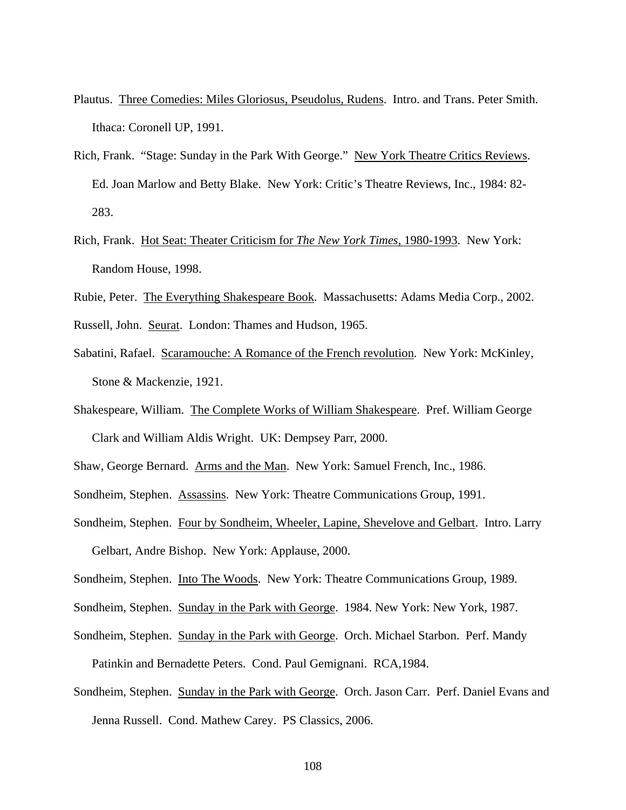- Plautus. Three Comedies: Miles Gloriosus, Pseudolus, Rudens. Intro. and Trans. Peter Smith. Ithaca: Coronell UP, 1991.
- Rich, Frank. "Stage: Sunday in the Park With George." New York Theatre Critics Reviews. Ed. Joan Marlow and Betty Blake. New York: Critic's Theatre Reviews, Inc., 1984: 82- 283.
- Rich, Frank. Hot Seat: Theater Criticism for *The New York Times*, 1980-1993. New York: Random House, 1998.

Rubie, Peter. The Everything Shakespeare Book. Massachusetts: Adams Media Corp., 2002.

Russell, John. Seurat. London: Thames and Hudson, 1965.

- Sabatini, Rafael. Scaramouche: A Romance of the French revolution. New York: McKinley, Stone & Mackenzie, 1921.
- Shakespeare, William. The Complete Works of William Shakespeare. Pref. William George Clark and William Aldis Wright. UK: Dempsey Parr, 2000.

Shaw, George Bernard. Arms and the Man. New York: Samuel French, Inc., 1986.

Sondheim, Stephen. Assassins. New York: Theatre Communications Group, 1991.

Sondheim, Stephen. Four by Sondheim, Wheeler, Lapine, Shevelove and Gelbart. Intro. Larry Gelbart, Andre Bishop. New York: Applause, 2000.

Sondheim, Stephen. Into The Woods. New York: Theatre Communications Group, 1989.

- Sondheim, Stephen. Sunday in the Park with George. 1984. New York: New York, 1987.
- Sondheim, Stephen. Sunday in the Park with George. Orch. Michael Starbon. Perf. Mandy

Patinkin and Bernadette Peters. Cond. Paul Gemignani. RCA,1984.

Sondheim, Stephen. Sunday in the Park with George. Orch. Jason Carr. Perf. Daniel Evans and Jenna Russell. Cond. Mathew Carey. PS Classics, 2006.